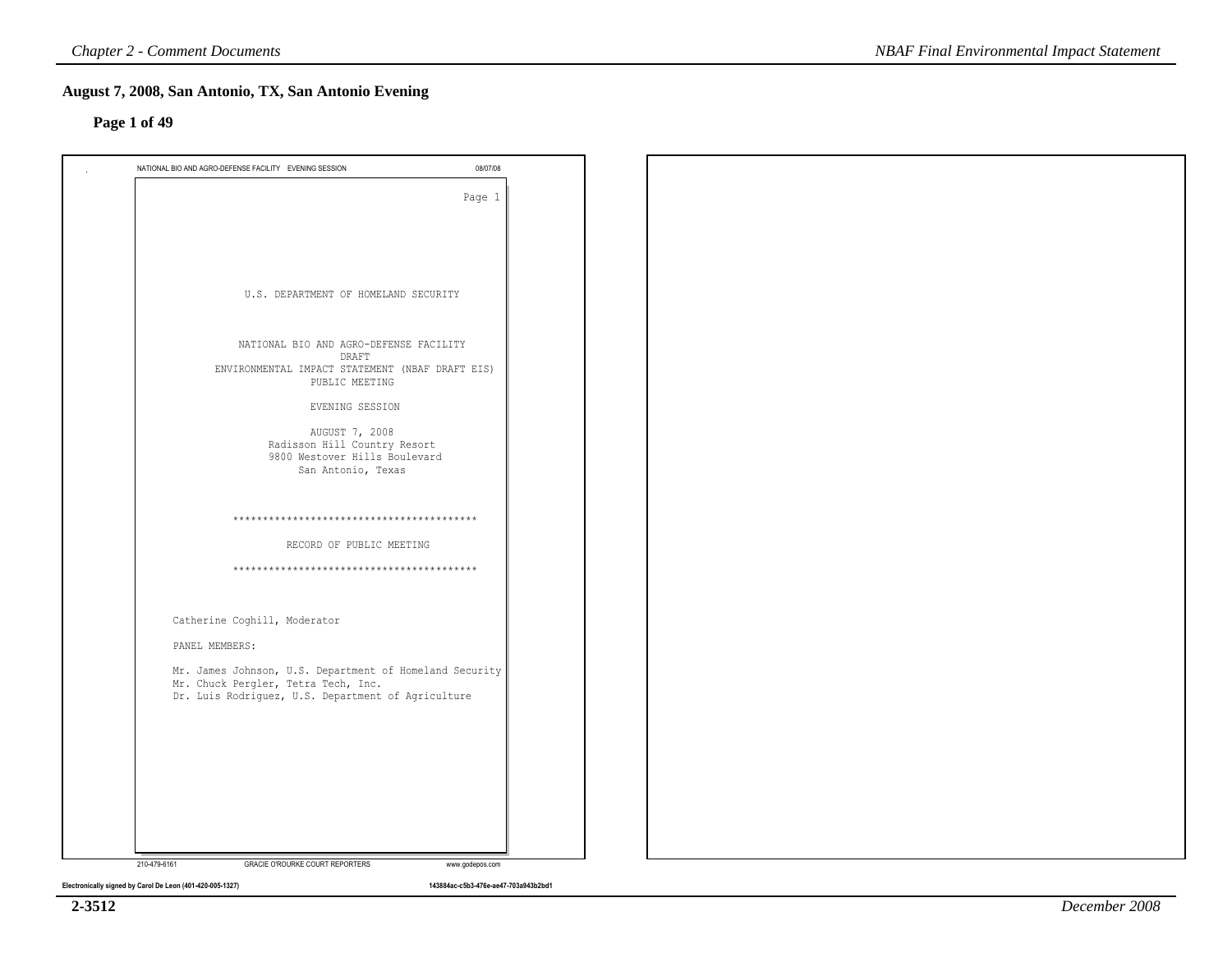### **Page 1 of 49**

| NATIONAL BIO AND AGRO-DEFENSE FACILITY EVENING SESSION                                         | 08/07/08        |
|------------------------------------------------------------------------------------------------|-----------------|
|                                                                                                | Page 1          |
|                                                                                                |                 |
|                                                                                                |                 |
|                                                                                                |                 |
| U.S. DEPARTMENT OF HOMELAND SECURITY                                                           |                 |
|                                                                                                |                 |
| NATIONAL BIO AND AGRO-DEFENSE FACILITY                                                         |                 |
| DRAFT<br>ENVIRONMENTAL IMPACT STATEMENT (NBAF DRAFT EIS)                                       |                 |
| PUBLIC MEETING                                                                                 |                 |
| EVENING SESSION                                                                                |                 |
| AUGUST 7, 2008<br>Radisson Hill Country Resort                                                 |                 |
| 9800 Westover Hills Boulevard<br>San Antonio, Texas                                            |                 |
|                                                                                                |                 |
|                                                                                                |                 |
|                                                                                                |                 |
| RECORD OF PUBLIC MEETING                                                                       |                 |
|                                                                                                |                 |
|                                                                                                |                 |
| Catherine Coghill, Moderator                                                                   |                 |
| PANEL MEMBERS:                                                                                 |                 |
| Mr. James Johnson, U.S. Department of Homeland Security<br>Mr. Chuck Pergler, Tetra Tech, Inc. |                 |
| Dr. Luis Rodriguez, U.S. Department of Agriculture                                             |                 |
|                                                                                                |                 |
|                                                                                                |                 |
|                                                                                                |                 |
|                                                                                                |                 |
|                                                                                                |                 |
| 210-479-6161<br>GRACIE O'ROURKE COURT REPORTERS                                                | www.godepos.com |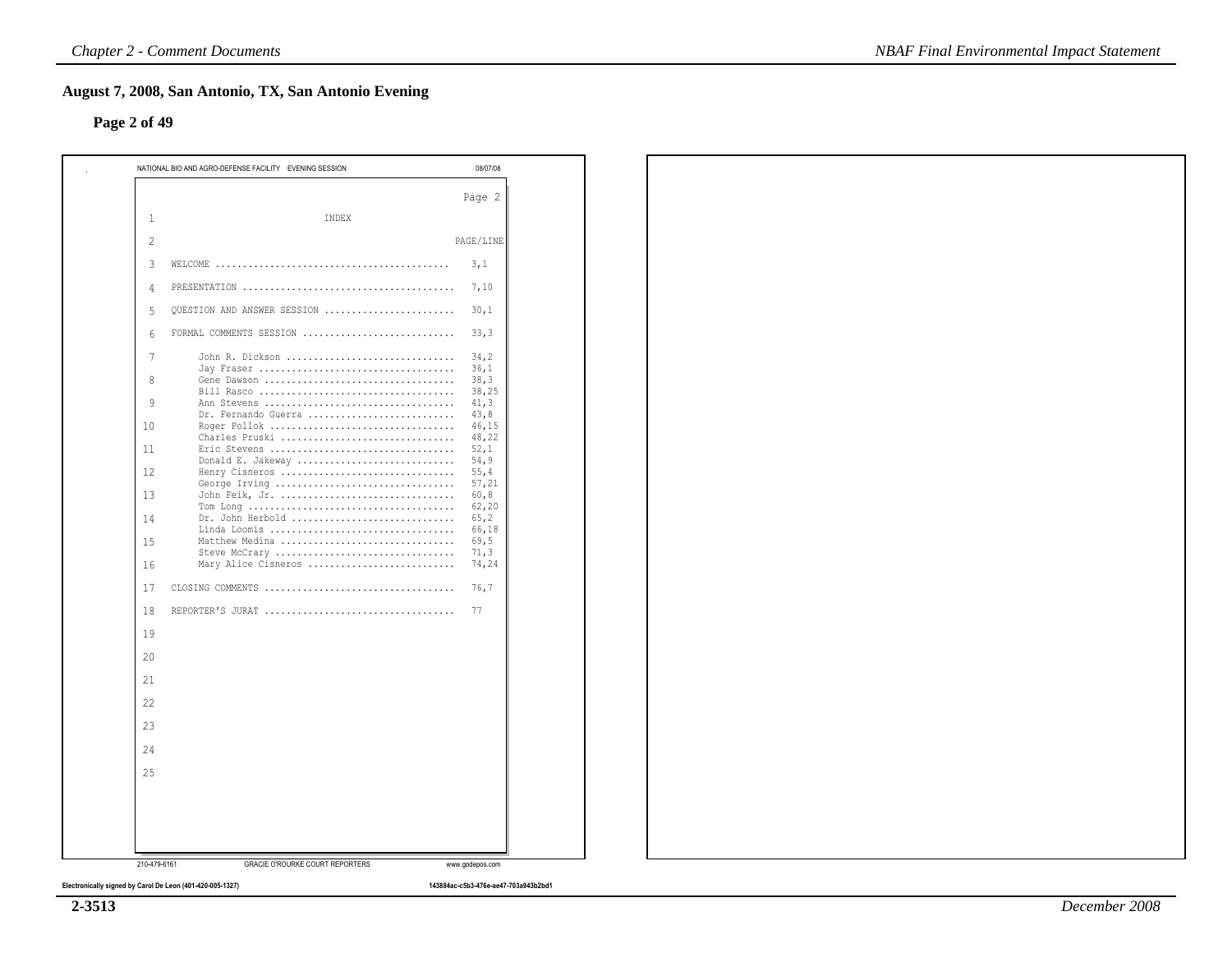### **Page 2 of 49**

|                          | NATIONAL BIO AND AGRO-DEFENSE FACILITY EVENING SESSION                                               | 08/07/08                |
|--------------------------|------------------------------------------------------------------------------------------------------|-------------------------|
|                          |                                                                                                      | Page 2                  |
| 1                        | INDEX                                                                                                |                         |
| $\overline{\mathcal{L}}$ |                                                                                                      | PAGE/LINE               |
| 3                        | WELCOME $\ldots \ldots \ldots \ldots \ldots \ldots \ldots \ldots \ldots \ldots \ldots \ldots \ldots$ | 3,1                     |
| 4                        |                                                                                                      | 7,10                    |
| 5                        | OUESTION AND ANSWER SESSION                                                                          | 30,1                    |
| 6                        | FORMAL COMMENTS SESSION                                                                              | 33,3                    |
| 7                        | John R. Dickson                                                                                      | 34,2                    |
| 8                        | Gene Dawson                                                                                          | 36,1<br>38,3            |
| 9                        | Ann Stevens                                                                                          | 38,25<br>41, 3          |
| 10                       | Dr. Fernando Guerra                                                                                  | 43,8<br>46,15           |
| 11                       | Charles Pruski<br>Eric Stevens                                                                       | 48,22<br>52,1           |
| 12                       | Donald E. Jakeway<br>Henry Cisneros                                                                  | 54, 9<br>55,4           |
| 13                       | George Irving<br>John Feik, Jr.                                                                      | 57,21<br>60,8<br>62, 20 |
| 14                       | Dr. John Herbold<br>Linda Loomis                                                                     | 65, 2<br>66,18          |
| 15                       | Matthew Medina<br>Steve McCrary                                                                      | 69,5<br>71, 3           |
| 16                       | Mary Alice Cisneros                                                                                  | 74,24                   |
| 17                       | CLOSING COMMENTS                                                                                     | 76,7                    |
| 18                       | REPORTER'S JURAT                                                                                     | 77                      |
| 19                       |                                                                                                      |                         |
| 20                       |                                                                                                      |                         |
| 21                       |                                                                                                      |                         |
| 22                       |                                                                                                      |                         |
| 23                       |                                                                                                      |                         |
| 24                       |                                                                                                      |                         |
| 25                       |                                                                                                      |                         |
|                          |                                                                                                      |                         |
|                          |                                                                                                      |                         |
| 210-479-6161             | <b>GRACIE O'ROURKE COURT REPORTERS</b>                                                               | www.godepos.com         |

**2-3513**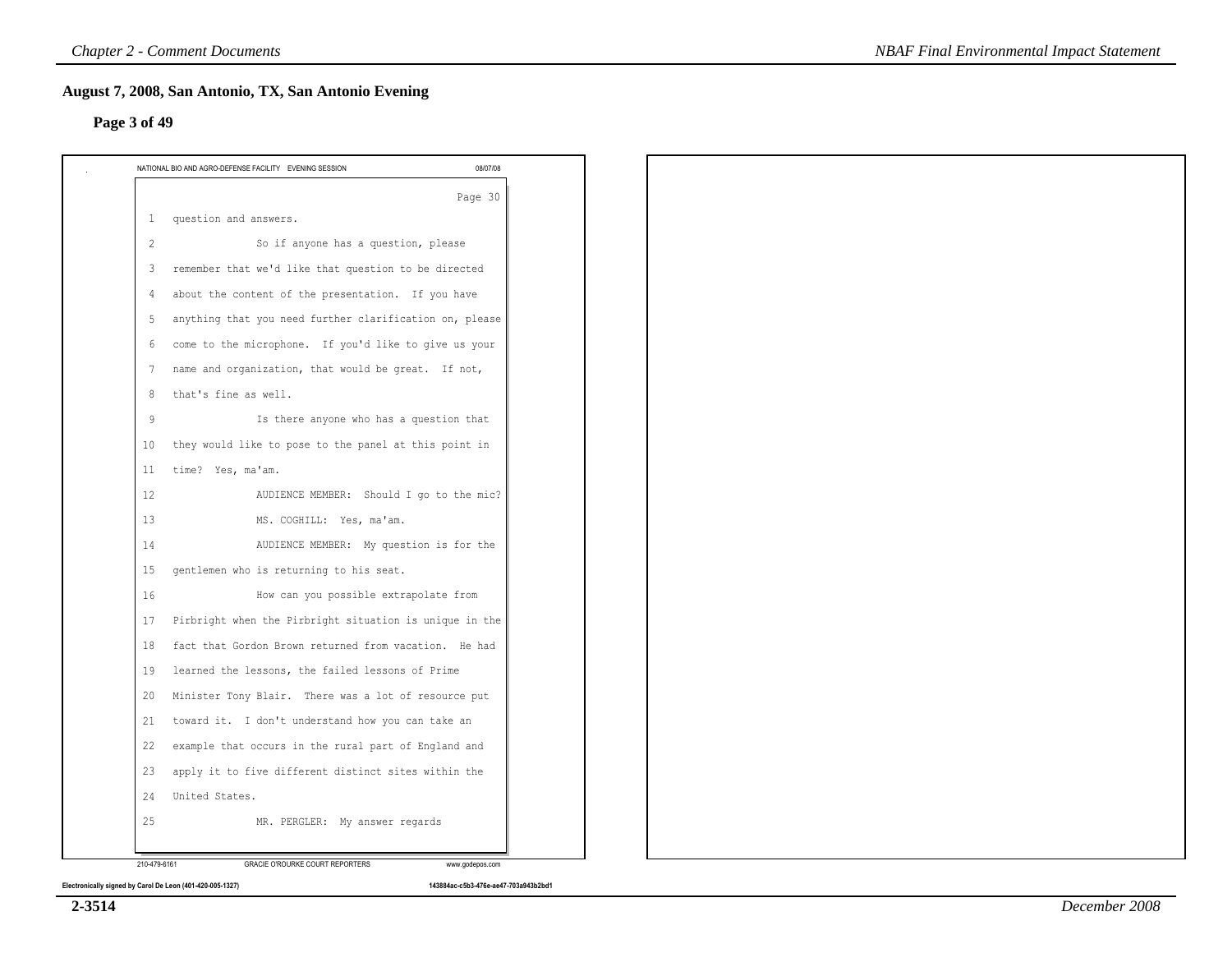### **Page 3 of 49**

|                | NATIONAL BIO AND AGRO-DEFENSE FACILITY EVENING SESSION<br>08/07/08 |
|----------------|--------------------------------------------------------------------|
|                | Page 30                                                            |
| $\mathbf{1}$   | question and answers.                                              |
| $\overline{2}$ | So if anyone has a question, please                                |
| 3              | remember that we'd like that question to be directed               |
| 4              | about the content of the presentation. If you have                 |
| 5              | anything that you need further clarification on, please            |
| 6              | come to the microphone. If you'd like to give us your              |
| 7              | name and organization, that would be great. If not,                |
| 8              | that's fine as well.                                               |
| $\overline{9}$ | Is there anyone who has a question that                            |
| 10             | they would like to pose to the panel at this point in              |
| 11             | time? Yes, ma'am.                                                  |
| 12             | AUDIENCE MEMBER: Should I go to the mic?                           |
| 13             | MS. COGHILL: Yes, ma'am.                                           |
| 14             | AUDIENCE MEMBER: My question is for the                            |
| 15             | gentlemen who is returning to his seat.                            |
| 16             | How can you possible extrapolate from                              |
| 17             | Pirbright when the Pirbright situation is unique in the            |
| 18             | fact that Gordon Brown returned from vacation. He had              |
| 19             | learned the lessons, the failed lessons of Prime                   |
| 20             | Minister Tony Blair. There was a lot of resource put               |
| 21             | toward it. I don't understand how you can take an                  |
| 22             | example that occurs in the rural part of England and               |
| 23             | apply it to five different distinct sites within the               |
| 24             | United States.                                                     |
| 25             | MR. PERGLER: My answer regards                                     |
|                |                                                                    |
| 210-479-6161   | GRACIE O'ROURKE COURT REPORTERS<br>www.godepos.com                 |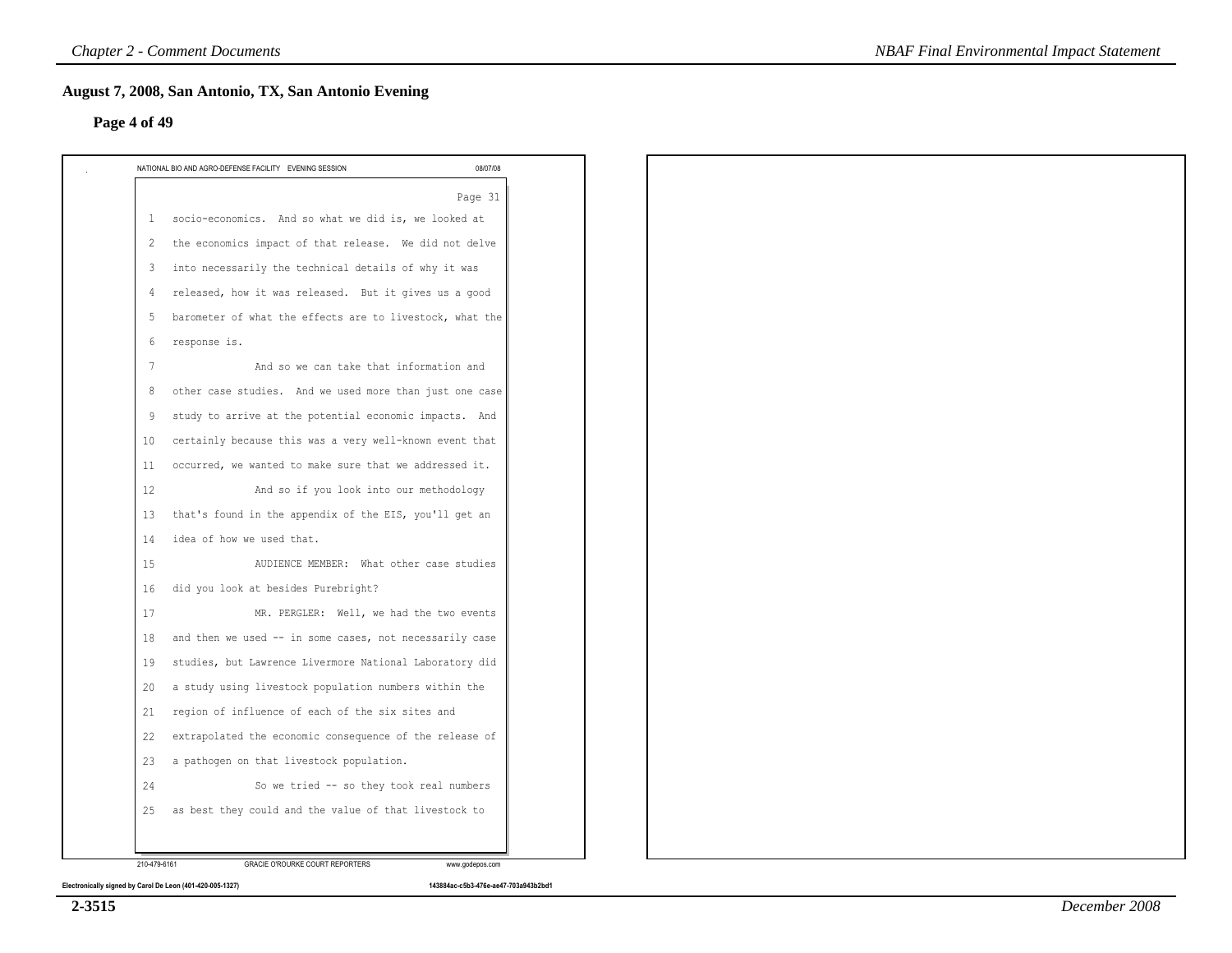### **Page 4 of 49**

|                | Page 31                                                  |  |
|----------------|----------------------------------------------------------|--|
| $\mathbf{1}$   | socio-economics. And so what we did is, we looked at     |  |
| 2              | the economics impact of that release. We did not delve   |  |
| 3              | into necessarily the technical details of why it was     |  |
| $\overline{4}$ | released, how it was released. But it gives us a good    |  |
| 5              | barometer of what the effects are to livestock, what the |  |
| 6              | response is.                                             |  |
| 7              | And so we can take that information and                  |  |
| 8              | other case studies. And we used more than just one case  |  |
| 9              | study to arrive at the potential economic impacts. And   |  |
| 10             | certainly because this was a very well-known event that  |  |
| 11             | occurred, we wanted to make sure that we addressed it.   |  |
| 12             | And so if you look into our methodology                  |  |
| 13             | that's found in the appendix of the EIS, you'll get an   |  |
| 14             | idea of how we used that.                                |  |
| 15             | AUDIENCE MEMBER: What other case studies                 |  |
| 16             | did you look at besides Purebright?                      |  |
| 17             | MR. PERGLER: Well, we had the two events                 |  |
| 18             | and then we used -- in some cases, not necessarily case  |  |
| 19             | studies, but Lawrence Livermore National Laboratory did  |  |
| 20             | a study using livestock population numbers within the    |  |
| 21             | region of influence of each of the six sites and         |  |
| 22             | extrapolated the economic consequence of the release of  |  |
| 23             | a pathogen on that livestock population.                 |  |
| 24             | So we tried -- so they took real numbers                 |  |
| 25             | as best they could and the value of that livestock to    |  |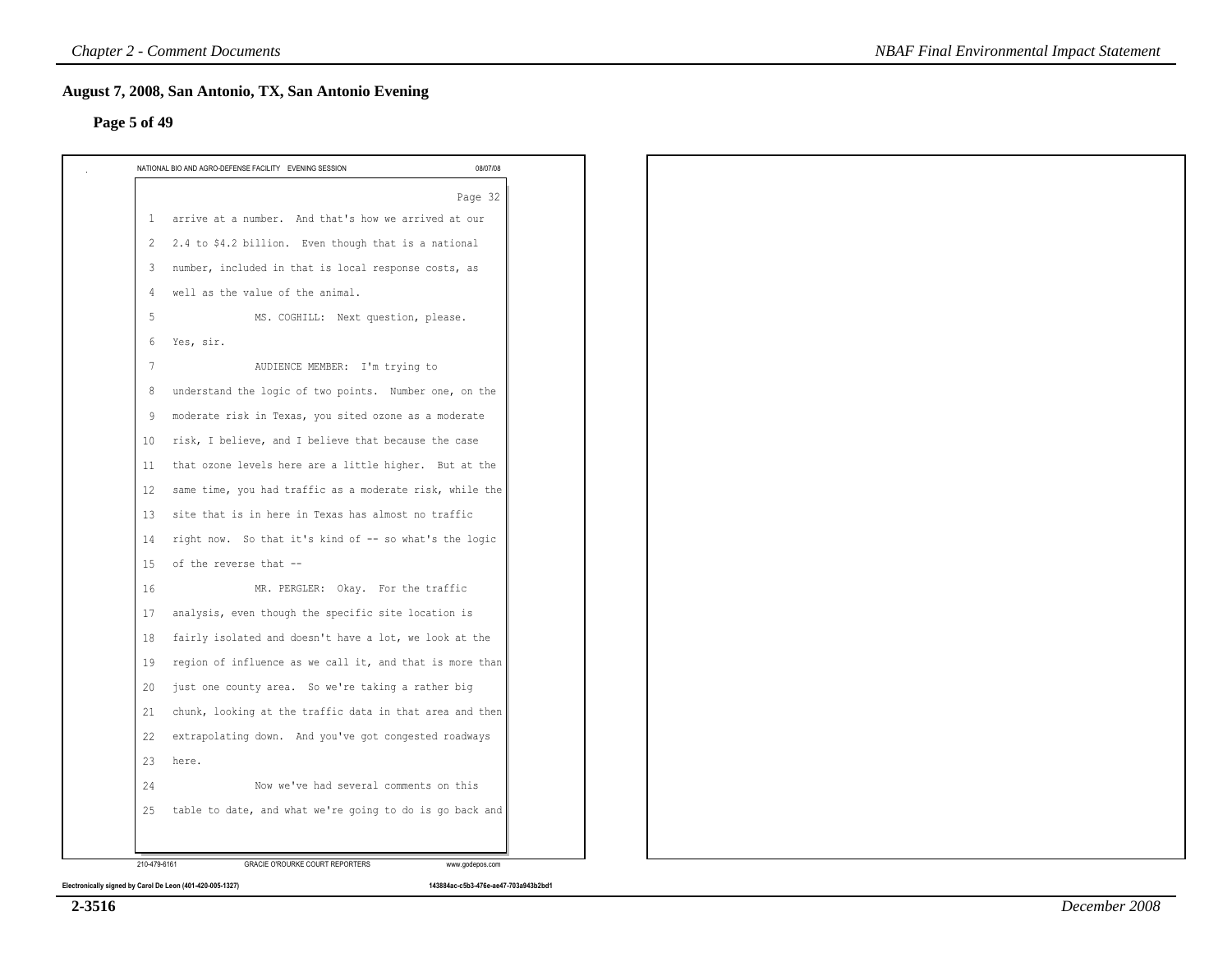# **Page 5 of 49**

|                   | 08/07/08<br>NATIONAL BIO AND AGRO-DEFENSE FACILITY EVENING SESSION |
|-------------------|--------------------------------------------------------------------|
|                   | Page 32                                                            |
| $\mathbf{1}$      | arrive at a number. And that's how we arrived at our               |
| 2                 | 2.4 to \$4.2 billion. Even though that is a national               |
| 3                 | number, included in that is local response costs, as               |
| 4                 | well as the value of the animal.                                   |
| 5                 | MS. COGHILL: Next question, please.                                |
| 6                 | Yes, sir.                                                          |
| $7\phantom{.0}$   | AUDIENCE MEMBER: I'm trying to                                     |
| 8                 | understand the logic of two points. Number one, on the             |
| 9                 | moderate risk in Texas, you sited ozone as a moderate              |
| 10                | risk, I believe, and I believe that because the case               |
| 11                | that ozone levels here are a little higher. But at the             |
| $12 \overline{ }$ | same time, you had traffic as a moderate risk, while the           |
| 13                | site that is in here in Texas has almost no traffic                |
| 14                | right now. So that it's kind of -- so what's the logic             |
| 15                | of the reverse that --                                             |
| 16                | MR. PERGLER: Okay. For the traffic                                 |
| 17                | analysis, even though the specific site location is                |
| 18                | fairly isolated and doesn't have a lot, we look at the             |
| 19                | region of influence as we call it, and that is more than           |
| 20                | just one county area. So we're taking a rather big                 |
| 21                | chunk, looking at the traffic data in that area and then           |
| 22                | extrapolating down. And you've got congested roadways              |
| 23                | here.                                                              |
| 24                | Now we've had several comments on this                             |
| 25                | table to date, and what we're going to do is go back and           |
|                   |                                                                    |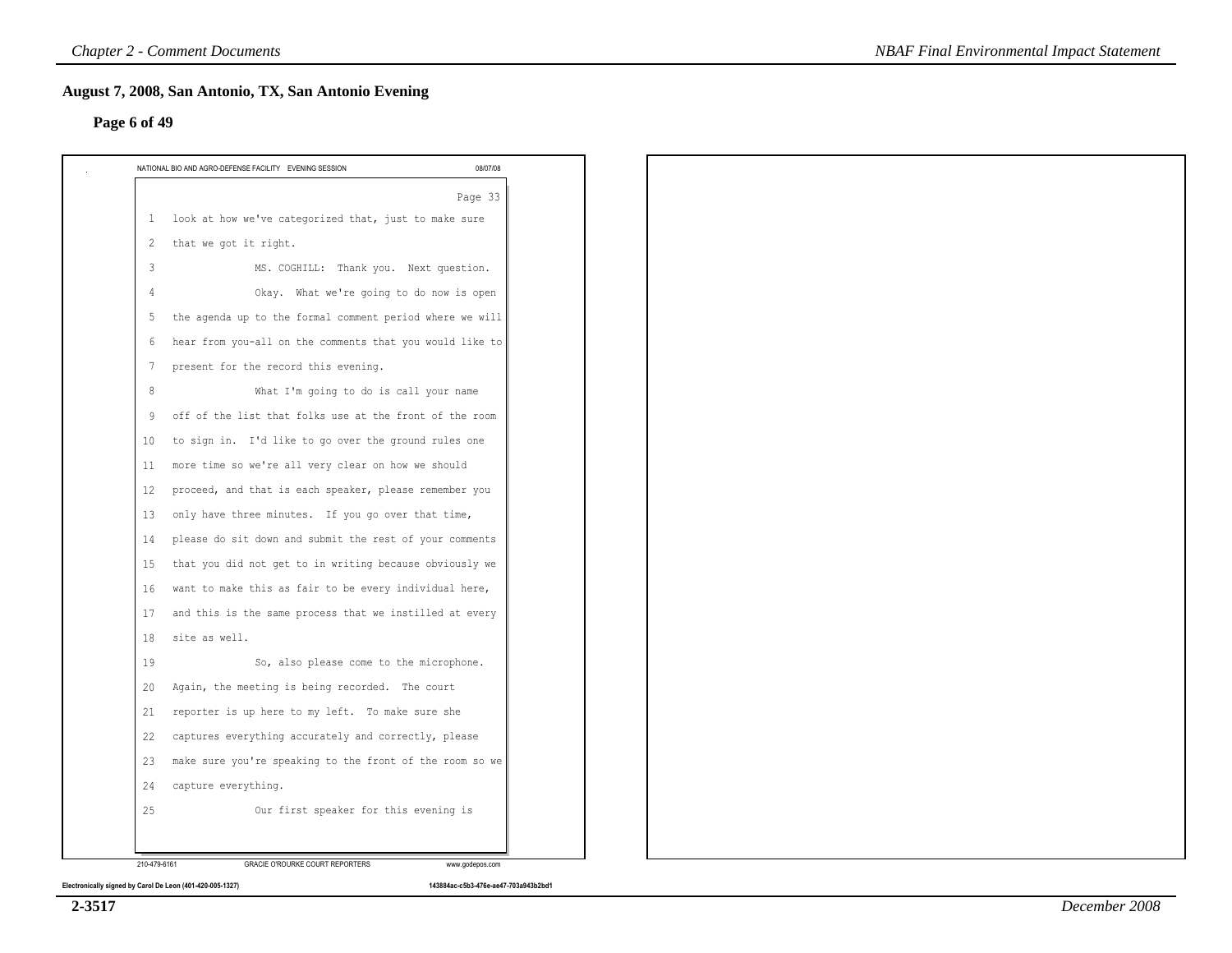### **Page 6 of 49**

|                | NATIONAL BIO AND AGRO-DEFENSE FACILITY EVENING SESSION<br>08/07/08 |
|----------------|--------------------------------------------------------------------|
|                | Page 33                                                            |
| $\mathbf{1}$   | look at how we've categorized that, just to make sure              |
| 2              | that we got it right.                                              |
| 3              | MS. COGHILL: Thank you. Next question.                             |
| $\overline{4}$ | Okay. What we're going to do now is open                           |
| 5              | the agenda up to the formal comment period where we will           |
| 6              | hear from you-all on the comments that you would like to           |
| 7              | present for the record this evening.                               |
| 8              | What I'm going to do is call your name                             |
| -9             | off of the list that folks use at the front of the room            |
| 10             | to sign in. I'd like to go over the ground rules one               |
| 11             | more time so we're all very clear on how we should                 |
| 12             | proceed, and that is each speaker, please remember you             |
| 13             | only have three minutes. If you go over that time,                 |
| 14             | please do sit down and submit the rest of your comments            |
| 15             | that you did not get to in writing because obviously we            |
| 16             | want to make this as fair to be every individual here,             |
| 17             | and this is the same process that we instilled at every            |
| 18             | site as well.                                                      |
| 19             | So, also please come to the microphone.                            |
| 20             | Again, the meeting is being recorded. The court                    |
| 21             | reporter is up here to my left. To make sure she                   |
| 22             | captures everything accurately and correctly, please               |
| 23             | make sure you're speaking to the front of the room so we           |
| 24             | capture everything.                                                |
| 25             | Our first speaker for this evening is                              |
|                |                                                                    |
| 210-479-6161   | <b>GRACIE O'ROURKE COURT REPORTERS</b><br>www.godepos.com          |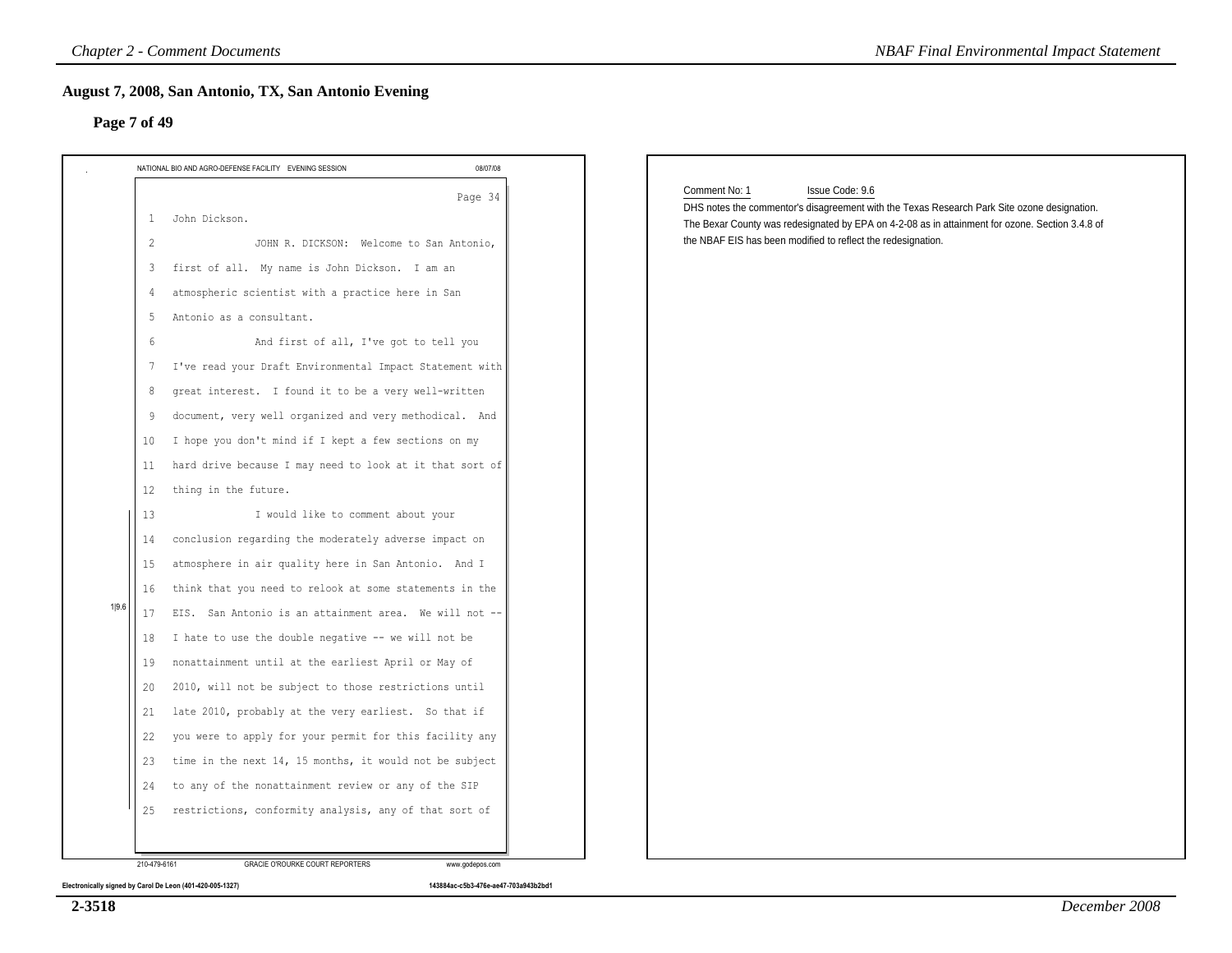| NATIONAL BIO AND AGRO-DEFENSE FACILITY EVENING SESSION                                                                                                                                                                                                                                                                                                                                                                                                                                                                                                                                                                                                                                                                                                                                                                                                                                                                                                                                                                                                                                                                                                                                        | 08/07/08 |                                                                                                                                                                                                                                                                                                    |
|-----------------------------------------------------------------------------------------------------------------------------------------------------------------------------------------------------------------------------------------------------------------------------------------------------------------------------------------------------------------------------------------------------------------------------------------------------------------------------------------------------------------------------------------------------------------------------------------------------------------------------------------------------------------------------------------------------------------------------------------------------------------------------------------------------------------------------------------------------------------------------------------------------------------------------------------------------------------------------------------------------------------------------------------------------------------------------------------------------------------------------------------------------------------------------------------------|----------|----------------------------------------------------------------------------------------------------------------------------------------------------------------------------------------------------------------------------------------------------------------------------------------------------|
| John Dickson.<br>1<br>JOHN R. DICKSON: Welcome to San Antonio,<br>2<br>first of all. My name is John Dickson. I am an<br>3<br>atmospheric scientist with a practice here in San<br>4<br>Antonio as a consultant.<br>5<br>And first of all, I've got to tell you<br>6<br>7 I've read your Draft Environmental Impact Statement with<br>great interest. I found it to be a very well-written<br>8<br>document, very well organized and very methodical. And<br>9<br>I hope you don't mind if I kept a few sections on my<br>10<br>hard drive because I may need to look at it that sort of<br>11<br>thing in the future.<br>12<br>I would like to comment about your<br>13<br>conclusion regarding the moderately adverse impact on<br>14<br>atmosphere in air quality here in San Antonio. And I<br>15<br>think that you need to relook at some statements in the<br>16<br>EIS. San Antonio is an attainment area. We will not --<br>17<br>I hate to use the double negative -- we will not be<br>18<br>nonattainment until at the earliest April or May of<br>19<br>2010, will not be subject to those restrictions until<br>20<br>late 2010, probably at the very earliest. So that if<br>21 | Page 34  | Issue Code: 9.6<br>Comment No: 1<br>DHS notes the commentor's disagreement with the Texas Research Park Site ozone designation.<br>The Bexar County was redesignated by EPA on 4-2-08 as in attainment for ozone. Section 3.4.8 of<br>the NBAF EIS has been modified to reflect the redesignation. |
| you were to apply for your permit for this facility any<br>22<br>time in the next 14, 15 months, it would not be subject<br>23                                                                                                                                                                                                                                                                                                                                                                                                                                                                                                                                                                                                                                                                                                                                                                                                                                                                                                                                                                                                                                                                |          |                                                                                                                                                                                                                                                                                                    |
| to any of the nonattainment review or any of the SIP<br>24                                                                                                                                                                                                                                                                                                                                                                                                                                                                                                                                                                                                                                                                                                                                                                                                                                                                                                                                                                                                                                                                                                                                    |          |                                                                                                                                                                                                                                                                                                    |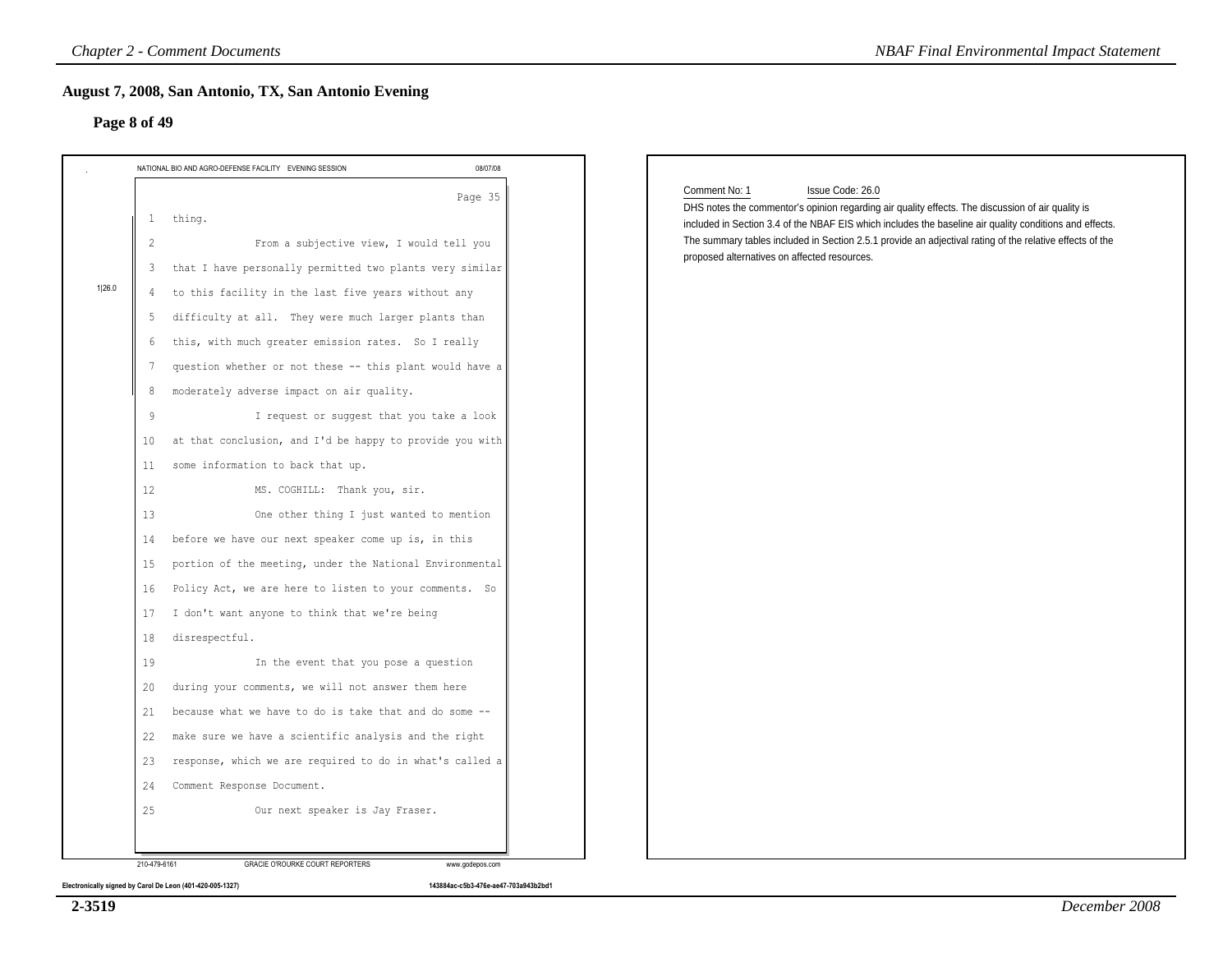### **Page 8 of 49**

| NATIONAL BIO AND AGRO-DEFENSE FACILITY EVENING SESSION                                                                                                                                                                                                                                                                                                                                                                                                                                                                                                                                                                                                                                                                                                                                                                                                                                                                                                                                                                                                                                                   | 08/07/08 |                                                                                                                                                                                                                                                                                                                                                                                                               |
|----------------------------------------------------------------------------------------------------------------------------------------------------------------------------------------------------------------------------------------------------------------------------------------------------------------------------------------------------------------------------------------------------------------------------------------------------------------------------------------------------------------------------------------------------------------------------------------------------------------------------------------------------------------------------------------------------------------------------------------------------------------------------------------------------------------------------------------------------------------------------------------------------------------------------------------------------------------------------------------------------------------------------------------------------------------------------------------------------------|----------|---------------------------------------------------------------------------------------------------------------------------------------------------------------------------------------------------------------------------------------------------------------------------------------------------------------------------------------------------------------------------------------------------------------|
| thing.<br>$\mathbf{1}$<br>From a subjective view, I would tell you<br>2<br>that I have personally permitted two plants very similar<br>$\mathbf{3}$<br>4 to this facility in the last five years without any<br>difficulty at all. They were much larger plants than<br>5<br>this, with much greater emission rates. So I really<br>6<br>question whether or not these -- this plant would have a<br>7<br>moderately adverse impact on air quality.<br>8<br>I request or suggest that you take a look<br>9<br>at that conclusion, and I'd be happy to provide you with<br>10<br>some information to back that up.<br>11<br>12<br>MS. COGHILL: Thank you, sir.<br>One other thing I just wanted to mention<br>13<br>before we have our next speaker come up is, in this<br>14<br>portion of the meeting, under the National Environmental<br>15<br>Policy Act, we are here to listen to your comments. So<br>16<br>I don't want anyone to think that we're being<br>17<br>disrespectful.<br>18<br>19<br>In the event that you pose a question<br>during your comments, we will not answer them here<br>20 | Page 35  | Comment No: 1<br>Issue Code: 26.0<br>DHS notes the commentor's opinion regarding air quality effects. The discussion of air quality is<br>included in Section 3.4 of the NBAF EIS which includes the baseline air quality conditions and effects.<br>The summary tables included in Section 2.5.1 provide an adjectival rating of the relative effects of the<br>proposed alternatives on affected resources. |
| because what we have to do is take that and do some --<br>21                                                                                                                                                                                                                                                                                                                                                                                                                                                                                                                                                                                                                                                                                                                                                                                                                                                                                                                                                                                                                                             |          |                                                                                                                                                                                                                                                                                                                                                                                                               |
| make sure we have a scientific analysis and the right<br>22                                                                                                                                                                                                                                                                                                                                                                                                                                                                                                                                                                                                                                                                                                                                                                                                                                                                                                                                                                                                                                              |          |                                                                                                                                                                                                                                                                                                                                                                                                               |
| response, which we are required to do in what's called a<br>23                                                                                                                                                                                                                                                                                                                                                                                                                                                                                                                                                                                                                                                                                                                                                                                                                                                                                                                                                                                                                                           |          |                                                                                                                                                                                                                                                                                                                                                                                                               |
| Comment Response Document.<br>24                                                                                                                                                                                                                                                                                                                                                                                                                                                                                                                                                                                                                                                                                                                                                                                                                                                                                                                                                                                                                                                                         |          |                                                                                                                                                                                                                                                                                                                                                                                                               |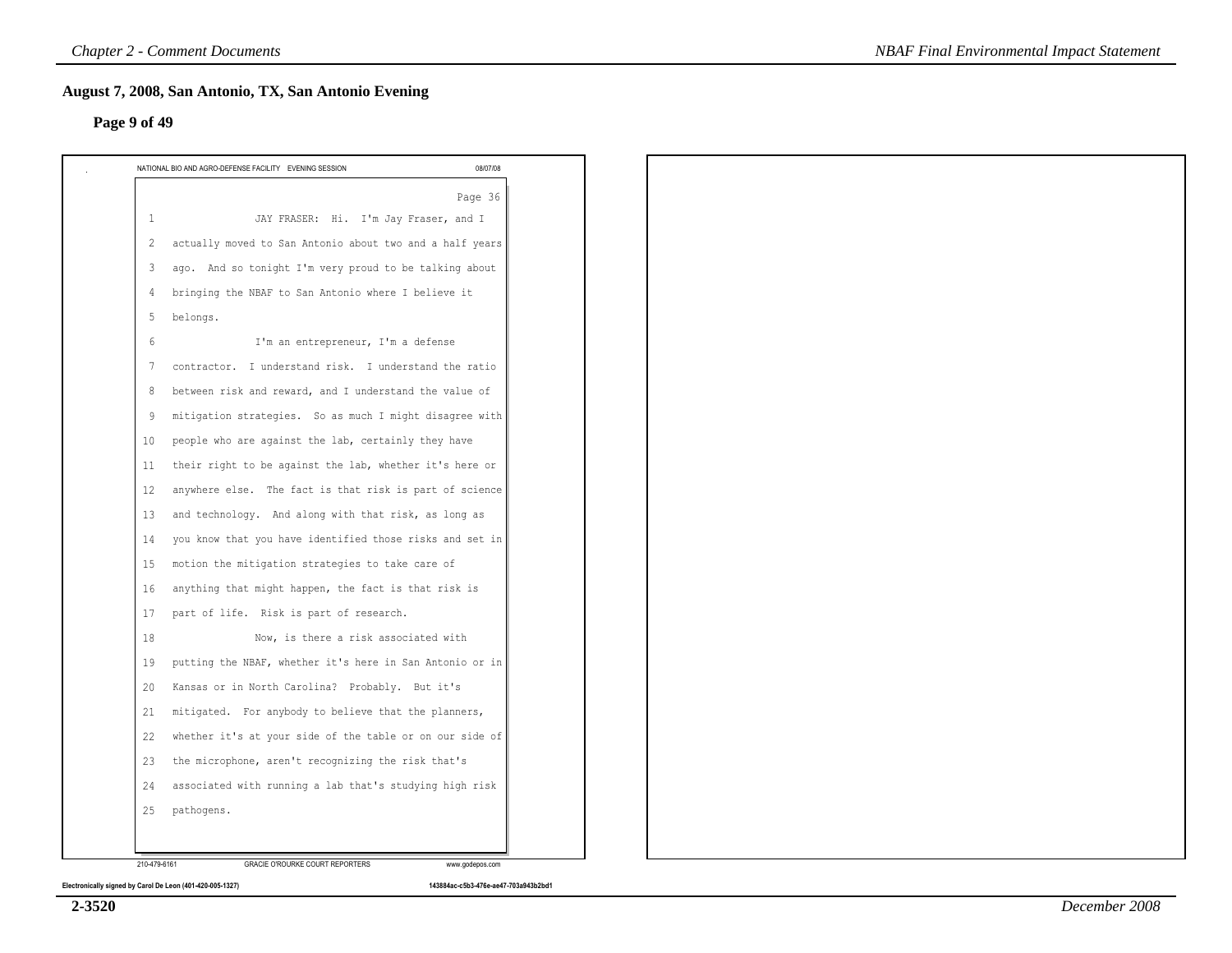# **Page 9 of 49**

|    | NATIONAL BIO AND AGRO-DEFENSE FACILITY EVENING SESSION<br>08/07/08         |
|----|----------------------------------------------------------------------------|
|    | Page 36                                                                    |
|    | JAY FRASER: Hi. I'm Jay Fraser, and I<br>1                                 |
|    | actually moved to San Antonio about two and a half years<br>2              |
|    | ago. And so tonight I'm very proud to be talking about<br>3                |
|    | bringing the NBAF to San Antonio where I believe it<br>$\overline{4}$      |
|    | belongs.<br>-5                                                             |
|    | I'm an entrepreneur, I'm a defense<br>6                                    |
|    | contractor. I understand risk. I understand the ratio<br>7                 |
|    | between risk and reward, and I understand the value of<br>8                |
|    | mitigation strategies. So as much I might disagree with<br>9               |
|    | people who are against the lab, certainly they have<br>10                  |
| 11 | their right to be against the lab, whether it's here or                    |
|    | anywhere else. The fact is that risk is part of science<br>12 <sup>°</sup> |
|    | and technology. And along with that risk, as long as<br>13                 |
|    | you know that you have identified those risks and set in<br>14             |
| 15 | motion the mitigation strategies to take care of                           |
|    | anything that might happen, the fact is that risk is<br>16                 |
|    | part of life. Risk is part of research.<br>17                              |
|    | 18<br>Now, is there a risk associated with                                 |
|    | putting the NBAF, whether it's here in San Antonio or in<br>19             |
|    | Kansas or in North Carolina? Probably. But it's<br>20                      |
|    | mitigated. For anybody to believe that the planners,<br>21                 |
|    | whether it's at your side of the table or on our side of<br>22             |
|    | the microphone, aren't recognizing the risk that's<br>23                   |
|    | associated with running a lab that's studying high risk<br>24              |
|    | pathogens.<br>25                                                           |
|    |                                                                            |
|    | 210-479-6161<br>GRACIE O'ROURKE COURT REPORTERS<br>www.godepos.com         |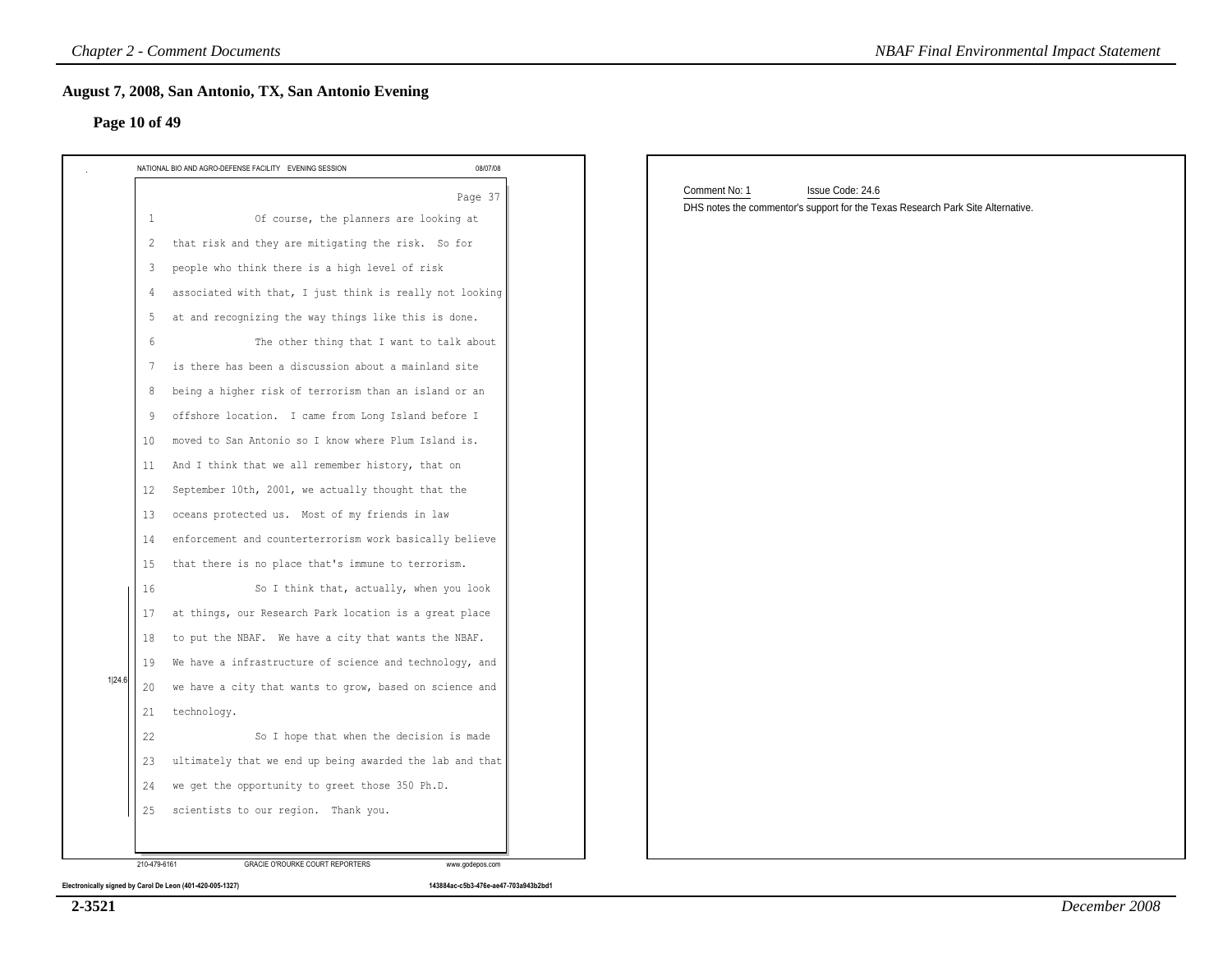| August 7, 2008, San Antonio, TX, San Antonio Evening<br>Page 10 of 49                                                                                                                                                                                                                                                                                                                                                                                                                                                                                                                                                                                                                                                                                                                                                                                                                                                                                                                                                                                                                                                                                                                                                              |          |                                                                                                                      |
|------------------------------------------------------------------------------------------------------------------------------------------------------------------------------------------------------------------------------------------------------------------------------------------------------------------------------------------------------------------------------------------------------------------------------------------------------------------------------------------------------------------------------------------------------------------------------------------------------------------------------------------------------------------------------------------------------------------------------------------------------------------------------------------------------------------------------------------------------------------------------------------------------------------------------------------------------------------------------------------------------------------------------------------------------------------------------------------------------------------------------------------------------------------------------------------------------------------------------------|----------|----------------------------------------------------------------------------------------------------------------------|
| NATIONAL BIO AND AGRO-DEFENSE FACILITY EVENING SESSION                                                                                                                                                                                                                                                                                                                                                                                                                                                                                                                                                                                                                                                                                                                                                                                                                                                                                                                                                                                                                                                                                                                                                                             | 08/07/08 |                                                                                                                      |
| Of course, the planners are looking at<br>1<br>that risk and they are mitigating the risk. So for<br>2<br>people who think there is a high level of risk<br>3<br>associated with that, I just think is really not looking<br>4<br>at and recognizing the way things like this is done.<br>-5<br>The other thing that I want to talk about<br>-6<br>is there has been a discussion about a mainland site<br>7<br>being a higher risk of terrorism than an island or an<br>8<br>offshore location. I came from Long Island before I<br>9<br>moved to San Antonio so I know where Plum Island is.<br>10<br>And I think that we all remember history, that on<br>11<br>September 10th, 2001, we actually thought that the<br>12<br>oceans protected us. Most of my friends in law<br>13<br>enforcement and counterterrorism work basically believe<br>14<br>that there is no place that's immune to terrorism.<br>15<br>So I think that, actually, when you look<br>16<br>at things, our Research Park location is a great place<br>17<br>to put the NBAF. We have a city that wants the NBAF.<br>18<br>We have a infrastructure of science and technology, and<br>19<br>we have a city that wants to grow, based on science and<br>20 | Page 37  | Comment No: 1<br>Issue Code: 24.6<br>DHS notes the commentor's support for the Texas Research Park Site Alternative. |
| technology.<br>21<br>22<br>So I hope that when the decision is made<br>ultimately that we end up being awarded the lab and that<br>23<br>we get the opportunity to greet those 350 Ph.D.<br>24<br>scientists to our region. Thank you.<br>25                                                                                                                                                                                                                                                                                                                                                                                                                                                                                                                                                                                                                                                                                                                                                                                                                                                                                                                                                                                       |          |                                                                                                                      |

**2-3521**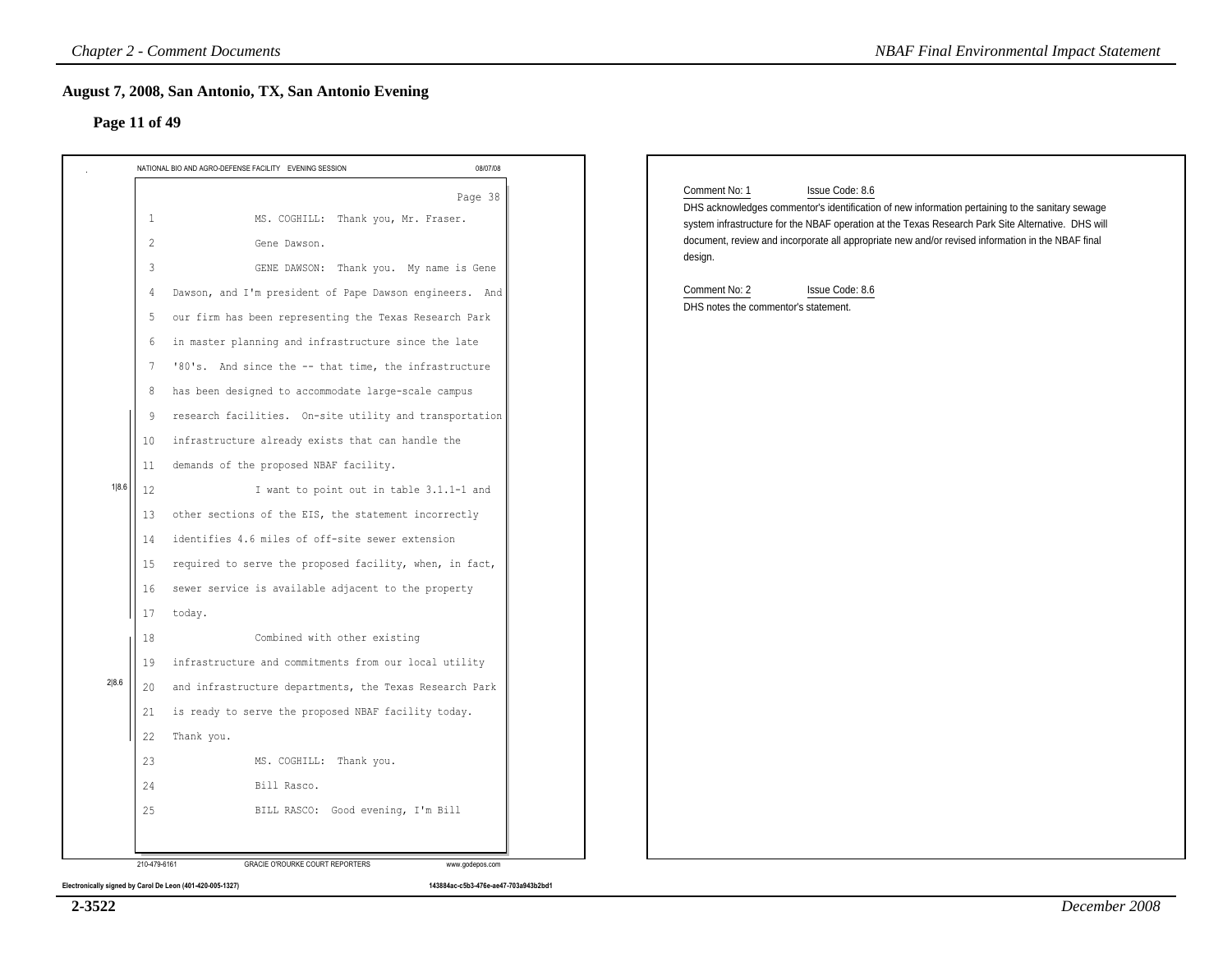| NATIONAL BIO AND AGRO-DEFENSE FACILITY EVENING SESSION                                                                      | 08/07/08 |                                                                                                                                                                                                                                            |
|-----------------------------------------------------------------------------------------------------------------------------|----------|--------------------------------------------------------------------------------------------------------------------------------------------------------------------------------------------------------------------------------------------|
| MS. COGHILL: Thank you, Mr. Fraser.<br>$\mathbf{1}$                                                                         | Page 38  | Comment No: 1<br>Issue Code: 8.6<br>DHS acknowledges commentor's identification of new information pertaining to the sanitary sewage<br>system infrastructure for the NBAF operation at the Texas Research Park Site Alternative. DHS will |
| $\overline{c}$<br>Gene Dawson.<br>GENE DAWSON: Thank you. My name is Gene<br>3                                              |          | document, review and incorporate all appropriate new and/or revised information in the NBAF final<br>design.                                                                                                                               |
| Dawson, and I'm president of Pape Dawson engineers. And<br>4<br>our firm has been representing the Texas Research Park<br>5 |          | Comment No: 2<br>Issue Code: 8.6<br>DHS notes the commentor's statement.                                                                                                                                                                   |
| in master planning and infrastructure since the late<br>6<br>'80's. And since the -- that time, the infrastructure<br>7     |          |                                                                                                                                                                                                                                            |
| has been designed to accommodate large-scale campus<br>8<br>research facilities. On-site utility and transportation<br>9    |          |                                                                                                                                                                                                                                            |
| infrastructure already exists that can handle the<br>10<br>demands of the proposed NBAF facility.<br>11                     |          |                                                                                                                                                                                                                                            |
| 1 8.6 <br>I want to point out in table 3.1.1-1 and<br>12<br>other sections of the EIS, the statement incorrectly<br>13      |          |                                                                                                                                                                                                                                            |
| identifies 4.6 miles of off-site sewer extension<br>14<br>required to serve the proposed facility, when, in fact,<br>15     |          |                                                                                                                                                                                                                                            |
| sewer service is available adjacent to the property<br>16<br>17<br>today.                                                   |          |                                                                                                                                                                                                                                            |
| Combined with other existing<br>18<br>infrastructure and commitments from our local utility<br>19                           |          |                                                                                                                                                                                                                                            |
| and infrastructure departments, the Texas Research Park<br>20<br>is ready to serve the proposed NBAF facility today.<br>21  |          |                                                                                                                                                                                                                                            |
| 22<br>Thank you.<br>23<br>MS. COGHILL: Thank you.                                                                           |          |                                                                                                                                                                                                                                            |
| 24<br>Bill Rasco.<br>25<br>BILL RASCO: Good evening, I'm Bill                                                               |          |                                                                                                                                                                                                                                            |

**2-3522**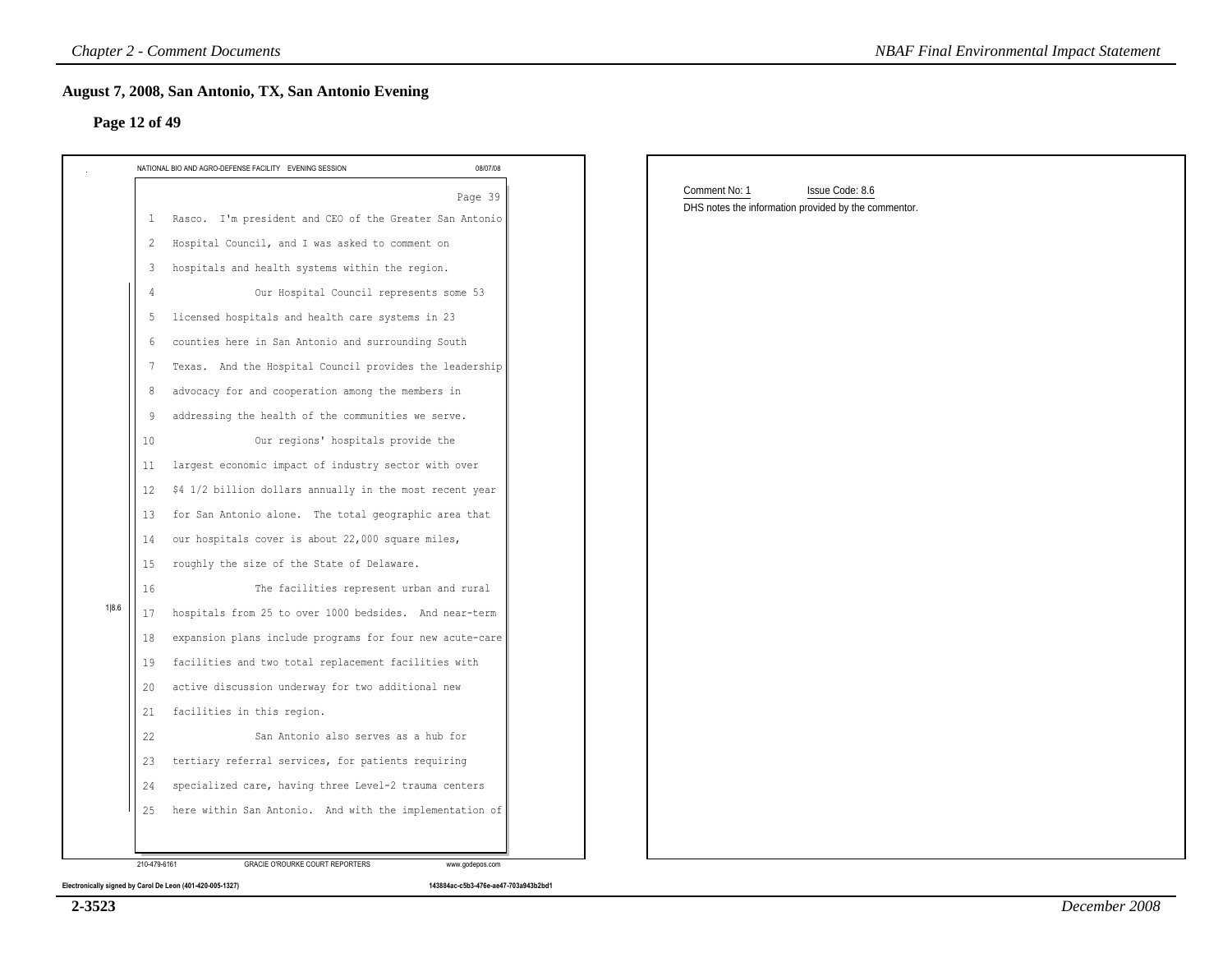### **Page 12 of 49**

| Page 12 of 49                                                  |          |                                                      |  |
|----------------------------------------------------------------|----------|------------------------------------------------------|--|
| NATIONAL BIO AND AGRO-DEFENSE FACILITY EVENING SESSION         | 08/07/08 | Comment No: 1<br>Issue Code: 8.6                     |  |
| Rasco. I'm president and CEO of the Greater San Antonio<br>1   | Page 39  | DHS notes the information provided by the commentor. |  |
| Hospital Council, and I was asked to comment on<br>2           |          |                                                      |  |
| hospitals and health systems within the region.<br>3           |          |                                                      |  |
| Our Hospital Council represents some 53                        |          |                                                      |  |
| licensed hospitals and health care systems in 23<br>5          |          |                                                      |  |
| counties here in San Antonio and surrounding South<br>-6       |          |                                                      |  |
| Texas. And the Hospital Council provides the leadership<br>7   |          |                                                      |  |
| advocacy for and cooperation among the members in<br>8         |          |                                                      |  |
| addressing the health of the communities we serve.<br>-9       |          |                                                      |  |
| Our regions' hospitals provide the<br>10                       |          |                                                      |  |
| largest economic impact of industry sector with over<br>11     |          |                                                      |  |
| \$4 1/2 billion dollars annually in the most recent year<br>12 |          |                                                      |  |
| for San Antonio alone. The total geographic area that<br>13    |          |                                                      |  |
| our hospitals cover is about 22,000 square miles,<br>14        |          |                                                      |  |
| 15<br>roughly the size of the State of Delaware.               |          |                                                      |  |
| 16<br>The facilities represent urban and rural                 |          |                                                      |  |
| hospitals from 25 to over 1000 bedsides. And near-term<br>17   |          |                                                      |  |
| expansion plans include programs for four new acute-care<br>18 |          |                                                      |  |
| facilities and two total replacement facilities with<br>19     |          |                                                      |  |
| active discussion underway for two additional new<br>20        |          |                                                      |  |
| facilities in this region.<br>21                               |          |                                                      |  |
| 22<br>San Antonio also serves as a hub for                     |          |                                                      |  |
| tertiary referral services, for patients requiring<br>23       |          |                                                      |  |
| specialized care, having three Level-2 trauma centers<br>24    |          |                                                      |  |
| here within San Antonio. And with the implementation of<br>25  |          |                                                      |  |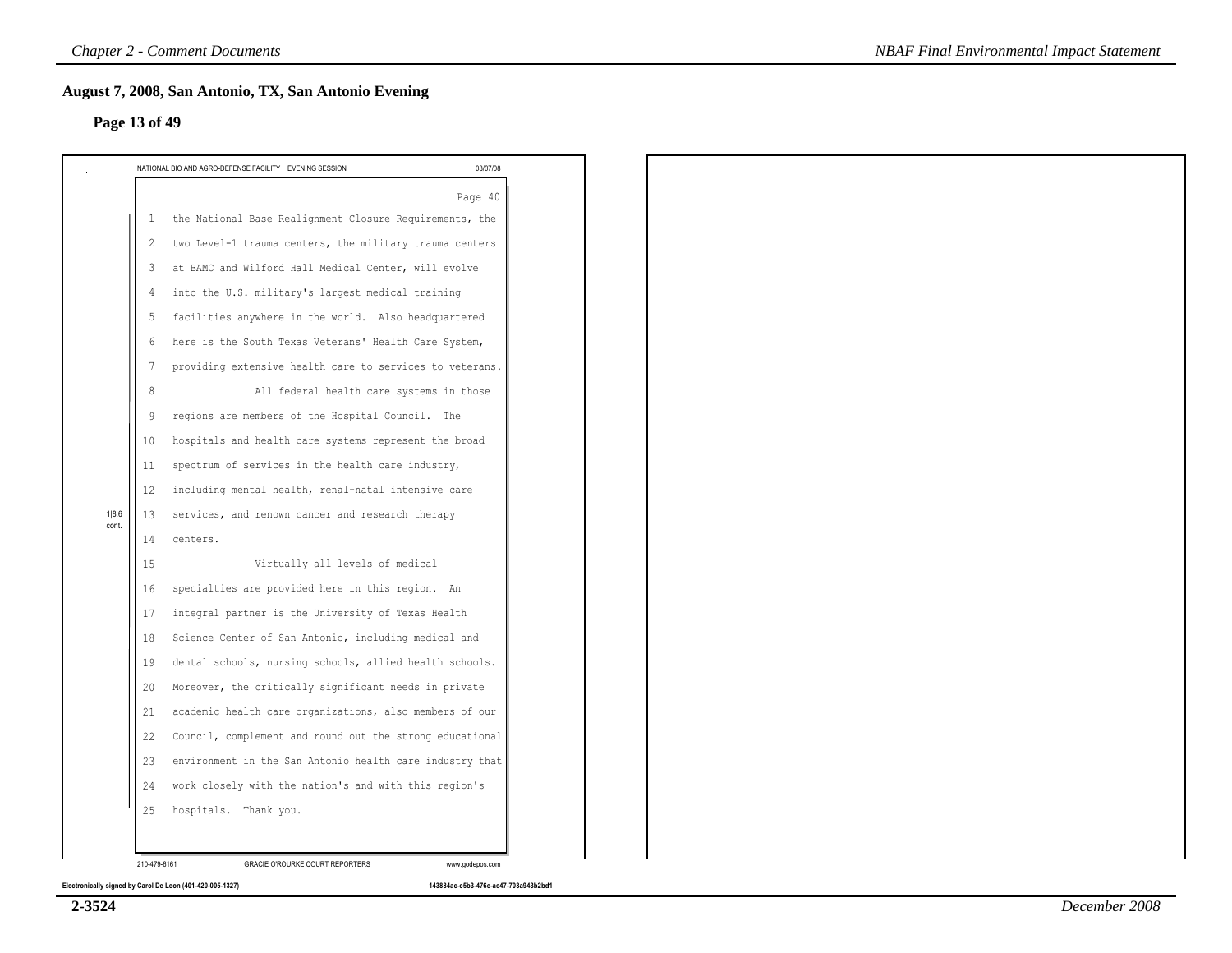### **Page 13 of 49**

|                |                 | NATIONAL BIO AND AGRO-DEFENSE FACILITY EVENING SESSION   | 08/07/08 |
|----------------|-----------------|----------------------------------------------------------|----------|
|                |                 |                                                          | Page 40  |
|                | 1               | the National Base Realignment Closure Requirements, the  |          |
|                | 2               | two Level-1 trauma centers, the military trauma centers  |          |
|                | 3               | at BAMC and Wilford Hall Medical Center, will evolve     |          |
|                | 4               | into the U.S. military's largest medical training        |          |
|                | 5               | facilities anywhere in the world. Also headquartered     |          |
|                | 6               | here is the South Texas Veterans' Health Care System,    |          |
|                | $7\phantom{.0}$ | providing extensive health care to services to veterans. |          |
|                | 8               | All federal health care systems in those                 |          |
|                | 9               | regions are members of the Hospital Council. The         |          |
|                | 10              | hospitals and health care systems represent the broad    |          |
|                | 11              | spectrum of services in the health care industry,        |          |
|                | 12              | including mental health, renal-natal intensive care      |          |
| 1 8.6<br>cont. | 13              | services, and renown cancer and research therapy         |          |
|                | 14              | centers.                                                 |          |
|                | 15              | Virtually all levels of medical                          |          |
|                | 16              | specialties are provided here in this region. An         |          |
|                | 17              | integral partner is the University of Texas Health       |          |
|                | 18              | Science Center of San Antonio, including medical and     |          |
|                | 19              | dental schools, nursing schools, allied health schools.  |          |
|                | 20              | Moreover, the critically significant needs in private    |          |
|                | 21              | academic health care organizations, also members of our  |          |
|                | 22              | Council, complement and round out the strong educational |          |
|                | 23              | environment in the San Antonio health care industry that |          |
|                | 24              | work closely with the nation's and with this region's    |          |
|                | 25              | hospitals. Thank you.                                    |          |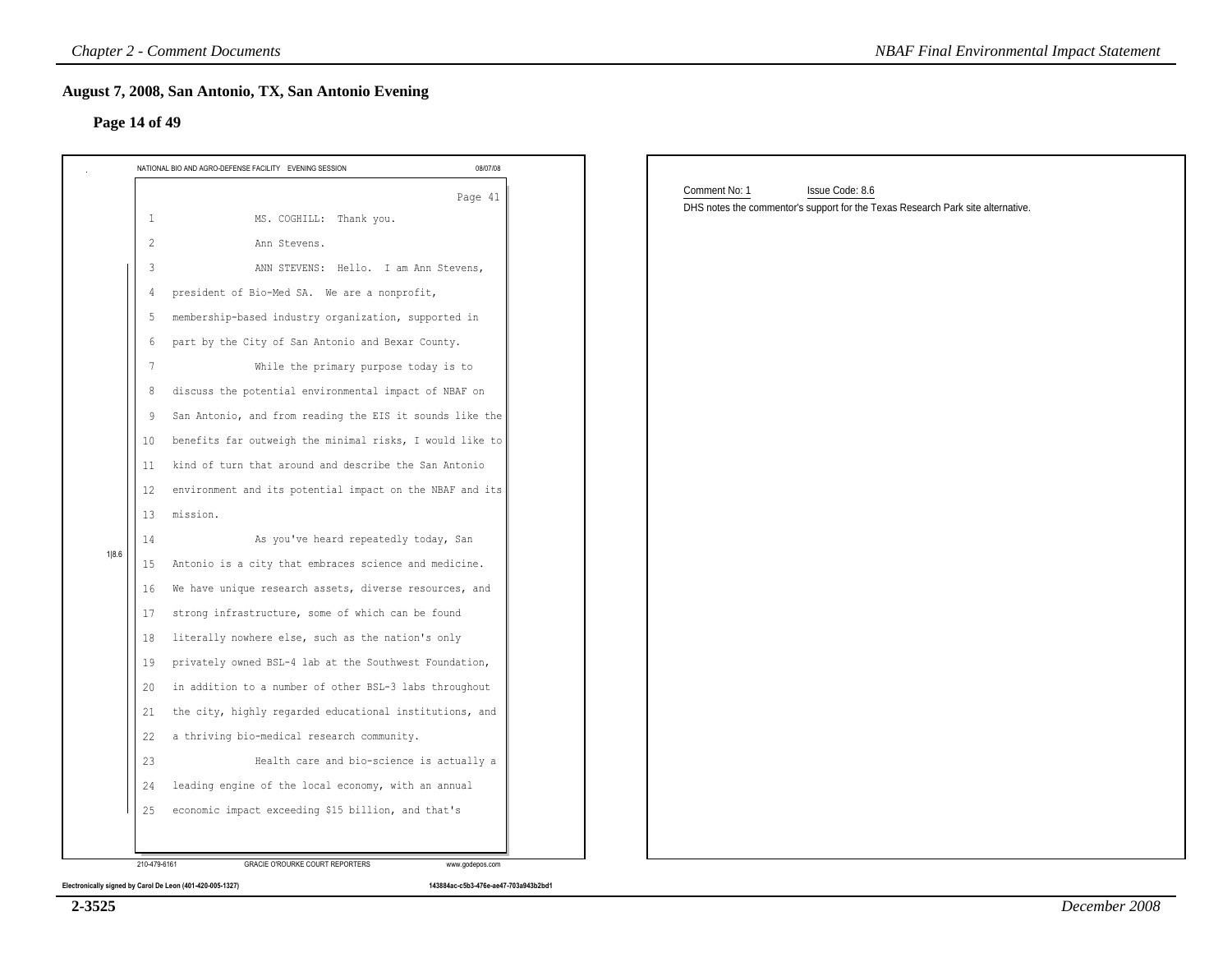### **Page 14 of 49**

| NATIONAL BIO AND AGRO-DEFENSE FACILITY EVENING SESSION<br>08/07/08 |                                                                                                                     |
|--------------------------------------------------------------------|---------------------------------------------------------------------------------------------------------------------|
| Page 41<br>MS. COGHILL: Thank you.<br>$\mathbf{1}$                 | Comment No: 1<br>Issue Code: 8.6<br>DHS notes the commentor's support for the Texas Research Park site alternative. |
| $\overline{2}$<br>Ann Stevens.                                     |                                                                                                                     |
| ANN STEVENS: Hello. I am Ann Stevens,<br>3                         |                                                                                                                     |
| president of Bio-Med SA. We are a nonprofit,<br>4                  |                                                                                                                     |
| membership-based industry organization, supported in<br>5          |                                                                                                                     |
| part by the City of San Antonio and Bexar County.<br>6             |                                                                                                                     |
| While the primary purpose today is to<br>7                         |                                                                                                                     |
| discuss the potential environmental impact of NBAF on<br>8         |                                                                                                                     |
| San Antonio, and from reading the EIS it sounds like the<br>9      |                                                                                                                     |
| benefits far outweigh the minimal risks, I would like to<br>10     |                                                                                                                     |
| kind of turn that around and describe the San Antonio<br>11        |                                                                                                                     |
| environment and its potential impact on the NBAF and its<br>12     |                                                                                                                     |
| 13<br>mission.                                                     |                                                                                                                     |
| As you've heard repeatedly today, San<br>14                        |                                                                                                                     |
| Antonio is a city that embraces science and medicine.<br>15        |                                                                                                                     |
| We have unique research assets, diverse resources, and<br>16       |                                                                                                                     |
| strong infrastructure, some of which can be found<br>17            |                                                                                                                     |
| literally nowhere else, such as the nation's only<br>18            |                                                                                                                     |
| privately owned BSL-4 lab at the Southwest Foundation,<br>19       |                                                                                                                     |
| in addition to a number of other BSL-3 labs throughout<br>20       |                                                                                                                     |
| the city, highly regarded educational institutions, and<br>21      |                                                                                                                     |
| a thriving bio-medical research community.<br>22                   |                                                                                                                     |
| Health care and bio-science is actually a<br>23                    |                                                                                                                     |
| leading engine of the local economy, with an annual<br>24          |                                                                                                                     |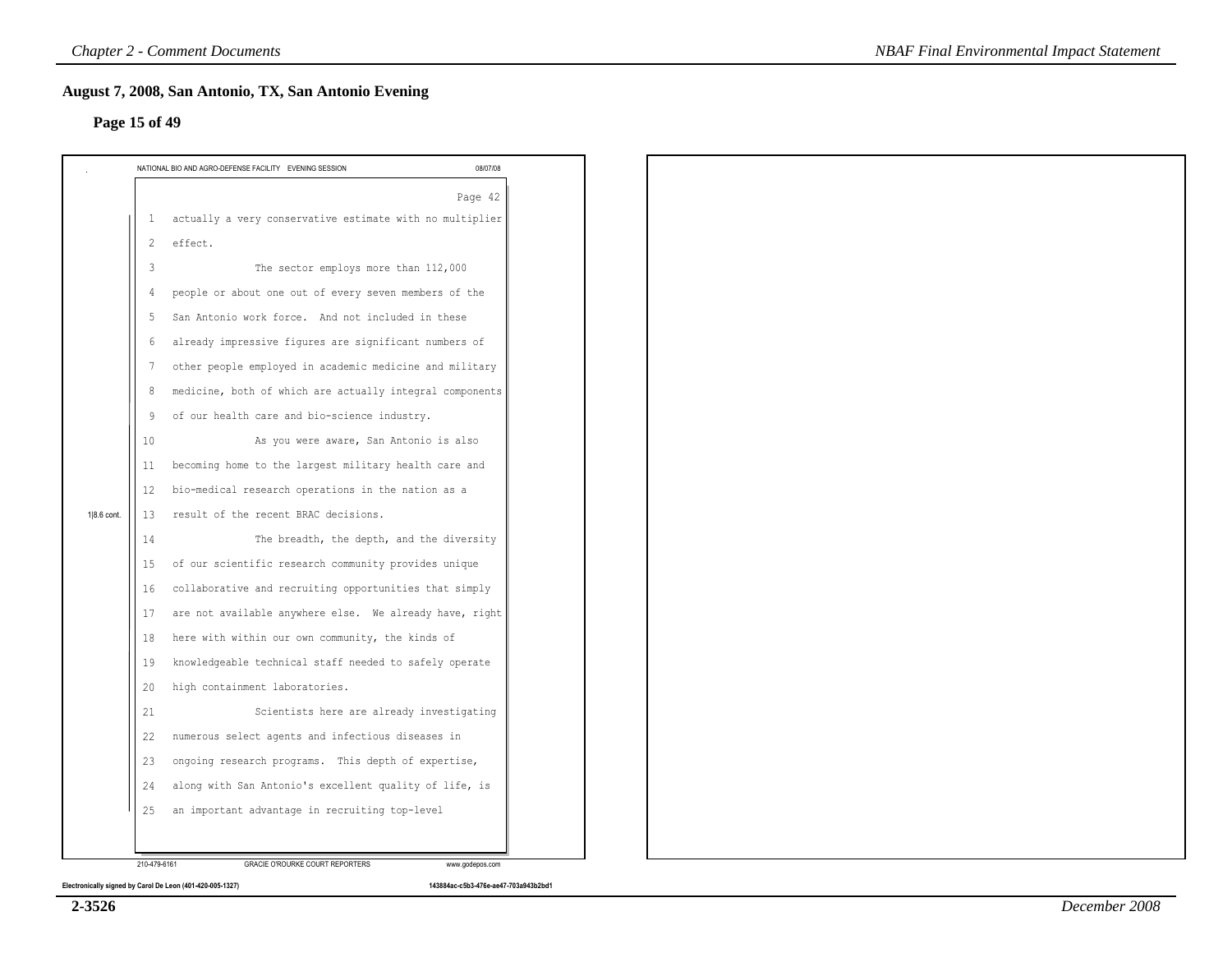# **Page 15 of 49**

|             |                 | NATIONAL BIO AND AGRO-DEFENSE FACILITY EVENING SESSION     | 08/07/08 |
|-------------|-----------------|------------------------------------------------------------|----------|
|             |                 |                                                            | Page 42  |
|             |                 | 1 actually a very conservative estimate with no multiplier |          |
|             | $\mathbf{2}$    | effect.                                                    |          |
|             | 3               | The sector employs more than 112,000                       |          |
|             | 4               | people or about one out of every seven members of the      |          |
|             | 5               | San Antonio work force. And not included in these          |          |
|             | 6               | already impressive figures are significant numbers of      |          |
|             | $7\phantom{.0}$ | other people employed in academic medicine and military    |          |
|             | 8               | medicine, both of which are actually integral components   |          |
|             | -9              | of our health care and bio-science industry.               |          |
|             | 10              | As you were aware, San Antonio is also                     |          |
|             | 11              | becoming home to the largest military health care and      |          |
|             | 12              | bio-medical research operations in the nation as a         |          |
| 1 8.6 cont. | 13              | result of the recent BRAC decisions.                       |          |
|             | 14              | The breadth, the depth, and the diversity                  |          |
|             | 15              | of our scientific research community provides unique       |          |
|             | 16              | collaborative and recruiting opportunities that simply     |          |
|             | 17              | are not available anywhere else. We already have, right    |          |
|             | 18              | here with within our own community, the kinds of           |          |
|             | 19              | knowledgeable technical staff needed to safely operate     |          |
|             | 20              | high containment laboratories.                             |          |
|             | 21              | Scientists here are already investigating                  |          |
|             | 22              | numerous select agents and infectious diseases in          |          |
|             | 23              | ongoing research programs. This depth of expertise,        |          |
|             | 24              | along with San Antonio's excellent quality of life, is     |          |
|             | 25              | an important advantage in recruiting top-level             |          |

**2-3526**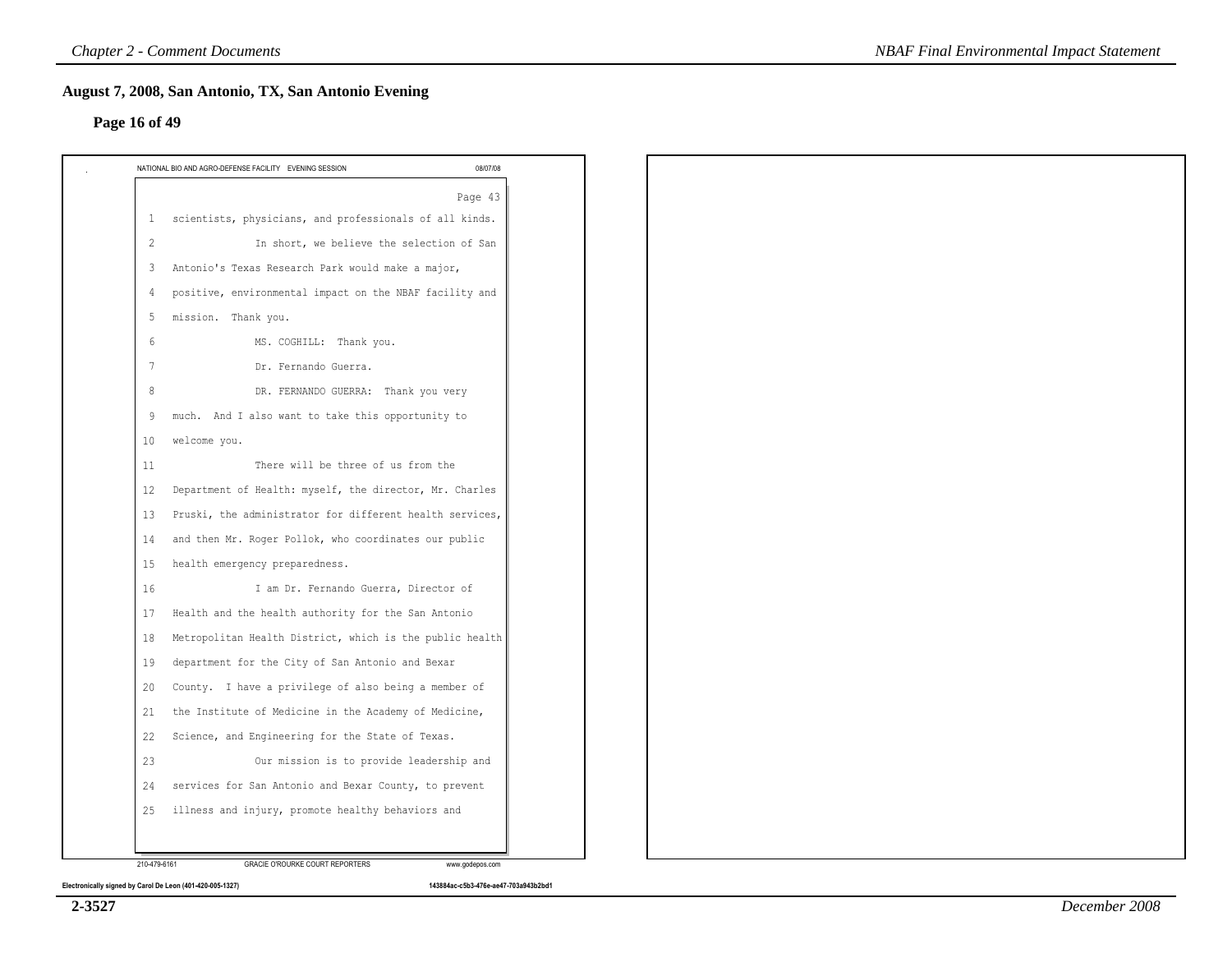# **Page 16 of 49**

| $\mathbf{1}$        | Page 43<br>scientists, physicians, and professionals of all kinds. |
|---------------------|--------------------------------------------------------------------|
| $\overline{c}$<br>3 |                                                                    |
|                     | In short, we believe the selection of San                          |
|                     | Antonio's Texas Research Park would make a major,                  |
| 4                   | positive, environmental impact on the NBAF facility and            |
| 5                   | mission. Thank you.                                                |
| 6                   | MS. COGHILL: Thank you.                                            |
| 7                   | Dr. Fernando Guerra.                                               |
| 8                   | DR. FERNANDO GUERRA: Thank you very                                |
| 9                   | much. And I also want to take this opportunity to                  |
| 10                  | welcome you.                                                       |
| 11                  | There will be three of us from the                                 |
| 12                  | Department of Health: myself, the director, Mr. Charles            |
| 13                  | Pruski, the administrator for different health services,           |
| 14                  | and then Mr. Roger Pollok, who coordinates our public              |
| 15                  | health emergency preparedness.                                     |
| 16                  | I am Dr. Fernando Guerra, Director of                              |
| 17                  | Health and the health authority for the San Antonio                |
| 18                  | Metropolitan Health District, which is the public health           |
| 19                  | department for the City of San Antonio and Bexar                   |
| 20                  | County. I have a privilege of also being a member of               |
| 21                  | the Institute of Medicine in the Academy of Medicine,              |
| 22                  | Science, and Engineering for the State of Texas.                   |
| 23                  | Our mission is to provide leadership and                           |
| 24                  | services for San Antonio and Bexar County, to prevent              |
| 25                  | illness and injury, promote healthy behaviors and                  |
|                     |                                                                    |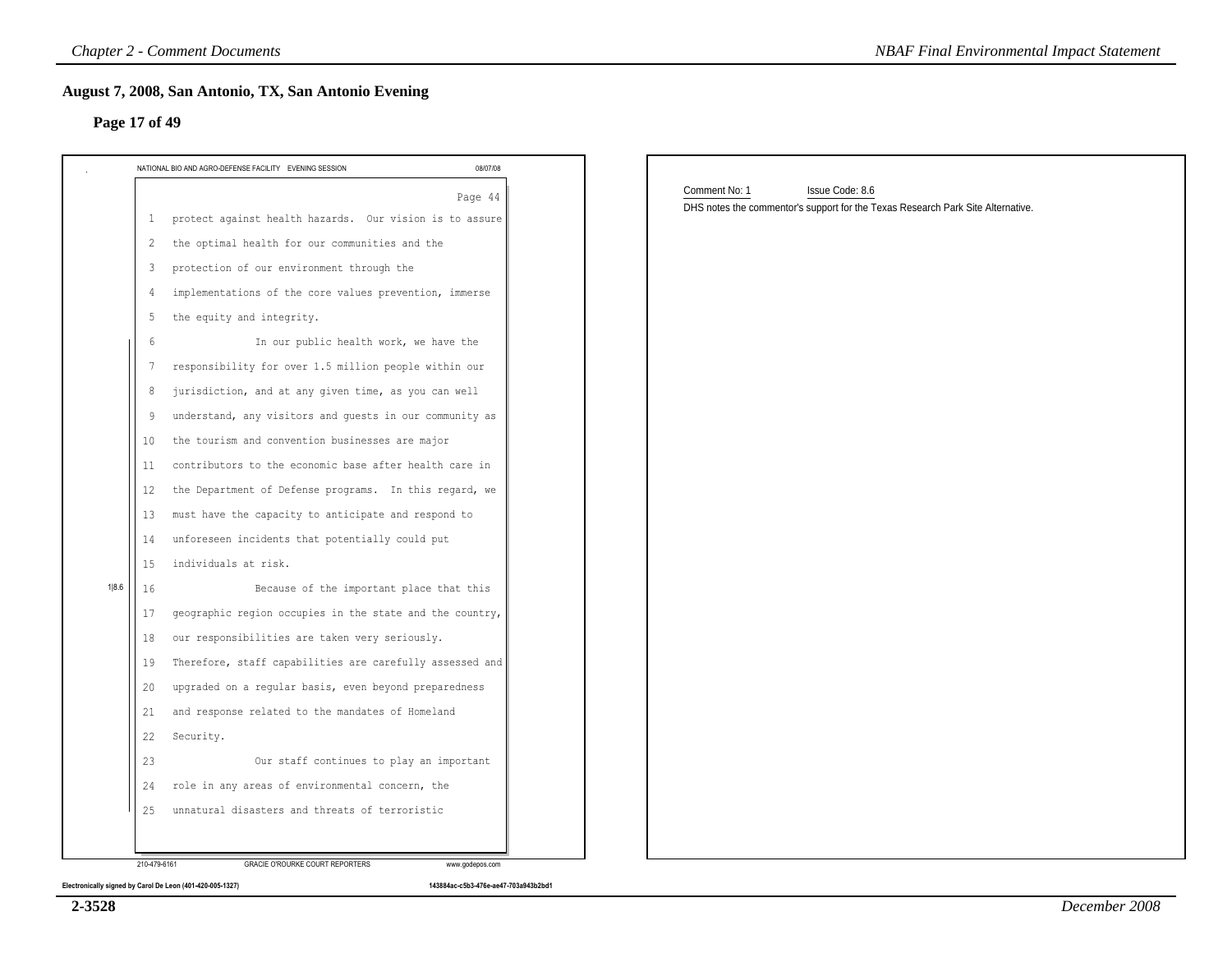| NATIONAL BIO AND AGRO-DEFENSE FACILITY EVENING SESSION                                                                                                                                                                                                                                                                                                                                                                                                                                                                                                                                                                                                                                                                                                                                      | 08/07/08 |                                                                                                                     |
|---------------------------------------------------------------------------------------------------------------------------------------------------------------------------------------------------------------------------------------------------------------------------------------------------------------------------------------------------------------------------------------------------------------------------------------------------------------------------------------------------------------------------------------------------------------------------------------------------------------------------------------------------------------------------------------------------------------------------------------------------------------------------------------------|----------|---------------------------------------------------------------------------------------------------------------------|
| protect against health hazards. Our vision is to assure<br>$\mathbf{1}$<br>the optimal health for our communities and the<br>2<br>protection of our environment through the<br>3<br>implementations of the core values prevention, immerse<br>4<br>the equity and integrity.<br>5<br>In our public health work, we have the<br>-6<br>responsibility for over 1.5 million people within our<br>7<br>jurisdiction, and at any given time, as you can well<br>8<br>understand, any visitors and quests in our community as<br>9<br>the tourism and convention businesses are major                                                                                                                                                                                                             | Page 44  | Comment No: 1<br>Issue Code: 8.6<br>DHS notes the commentor's support for the Texas Research Park Site Alternative. |
| 10<br>contributors to the economic base after health care in<br>11<br>the Department of Defense programs. In this regard, we<br>12<br>must have the capacity to anticipate and respond to<br>13<br>unforeseen incidents that potentially could put<br>14<br>individuals at risk.<br>15<br>Because of the important place that this<br>16<br>geographic region occupies in the state and the country,<br>17<br>our responsibilities are taken very seriously.<br>18<br>Therefore, staff capabilities are carefully assessed and<br>19<br>upgraded on a regular basis, even beyond preparedness<br>20<br>and response related to the mandates of Homeland<br>21<br>22<br>Security.<br>Our staff continues to play an important<br>23<br>role in any areas of environmental concern, the<br>24 |          |                                                                                                                     |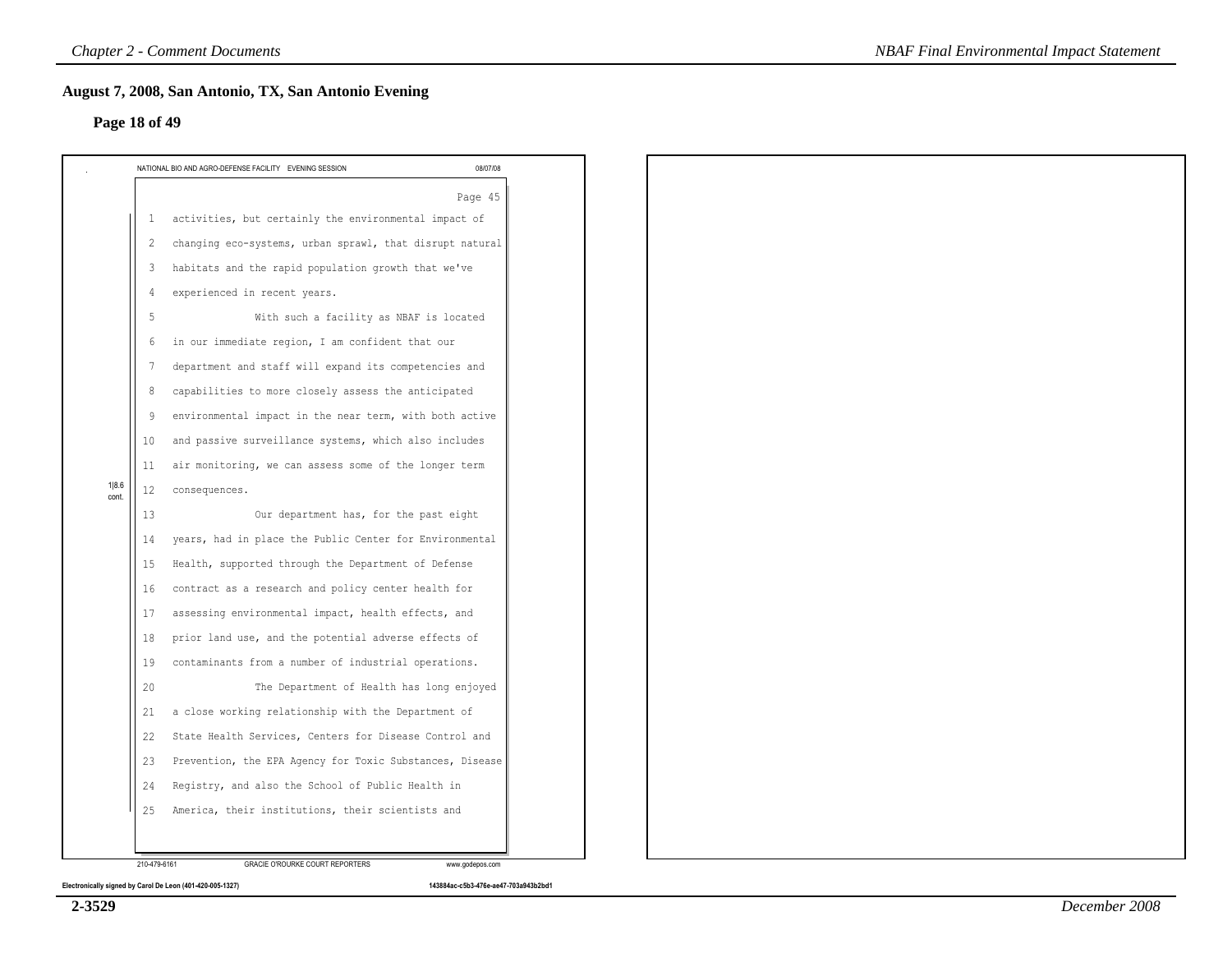|                |              | NATIONAL BIO AND AGRO-DEFENSE FACILITY EVENING SESSION   | 08/07/08 |
|----------------|--------------|----------------------------------------------------------|----------|
|                |              |                                                          | Page 45  |
|                | $\mathbf{1}$ | activities, but certainly the environmental impact of    |          |
|                | 2            | changing eco-systems, urban sprawl, that disrupt natural |          |
|                | 3            | habitats and the rapid population growth that we've      |          |
|                | 4            | experienced in recent years.                             |          |
|                | 5            | With such a facility as NBAF is located                  |          |
|                | 6            | in our immediate region, I am confident that our         |          |
|                | 7            | department and staff will expand its competencies and    |          |
|                | 8            | capabilities to more closely assess the anticipated      |          |
|                | 9            | environmental impact in the near term, with both active  |          |
|                | 10           | and passive surveillance systems, which also includes    |          |
|                | 11           | air monitoring, we can assess some of the longer term    |          |
| 1 8.6<br>cont. | 12           | consequences.                                            |          |
|                | 13           | Our department has, for the past eight                   |          |
|                | 14           | years, had in place the Public Center for Environmental  |          |
|                | 15           | Health, supported through the Department of Defense      |          |
|                | 16           | contract as a research and policy center health for      |          |
|                | 17           | assessing environmental impact, health effects, and      |          |
|                | 18           | prior land use, and the potential adverse effects of     |          |
|                | 19           | contaminants from a number of industrial operations.     |          |
|                | 20           | The Department of Health has long enjoyed                |          |
|                | 21           | a close working relationship with the Department of      |          |
|                | 22           | State Health Services, Centers for Disease Control and   |          |
|                | 23           | Prevention, the EPA Agency for Toxic Substances, Disease |          |
|                | 24           | Registry, and also the School of Public Health in        |          |
|                | 25           | America, their institutions, their scientists and        |          |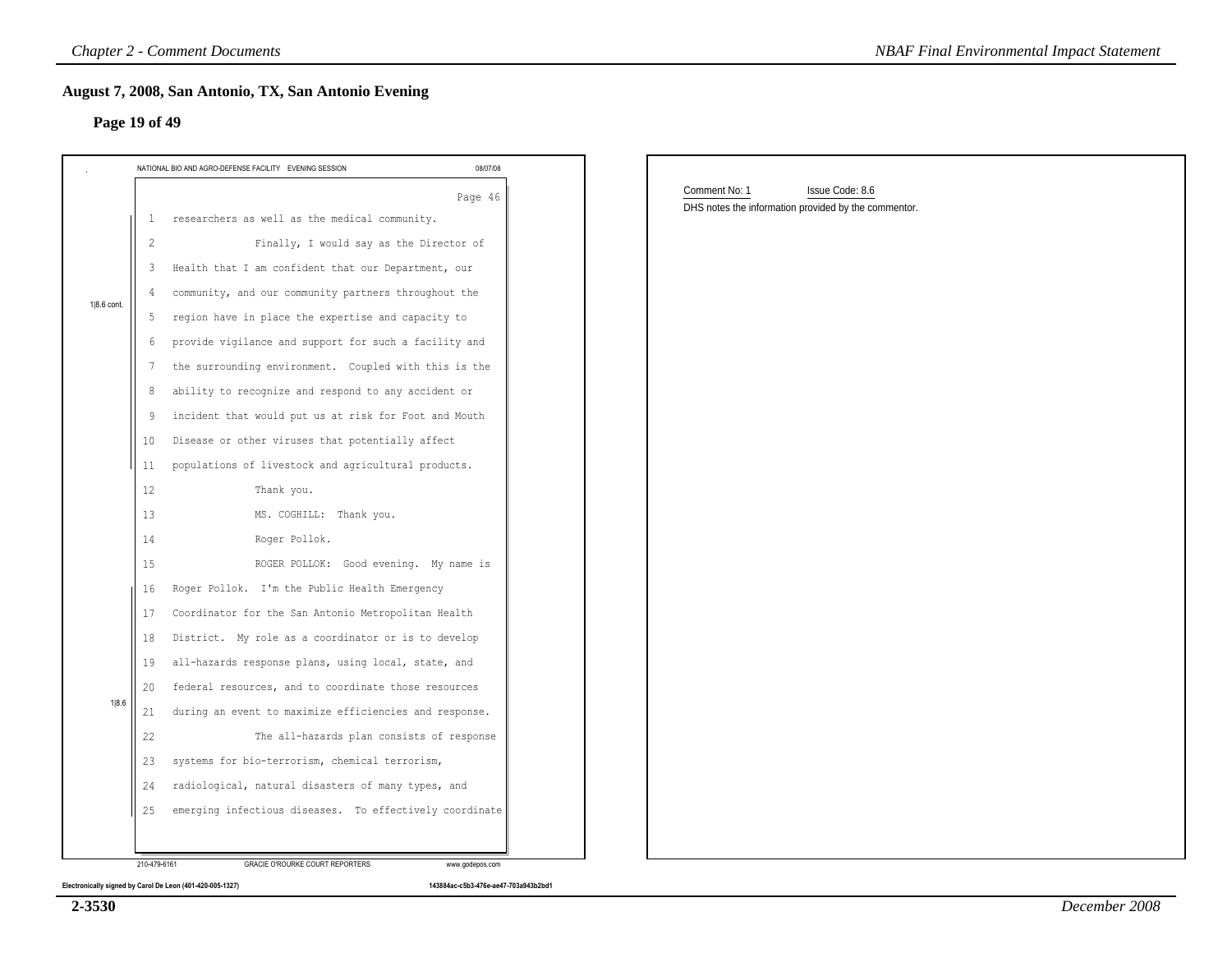|             | 08/07/08<br>NATIONAL BIO AND AGRO-DEFENSE FACILITY EVENING SESSION       |                                                      |
|-------------|--------------------------------------------------------------------------|------------------------------------------------------|
|             |                                                                          | Comment No: 1<br>Issue Code: 8.6                     |
|             | Page 46<br>researchers as well as the medical community.<br>$\mathbf{1}$ | DHS notes the information provided by the commentor. |
|             | Finally, I would say as the Director of<br>$\overline{c}$                |                                                      |
|             | Health that I am confident that our Department, our<br>3                 |                                                      |
|             | community, and our community partners throughout the<br>4                |                                                      |
| 1 8.6 cont. | region have in place the expertise and capacity to<br>5                  |                                                      |
|             | provide vigilance and support for such a facility and<br>6               |                                                      |
|             | the surrounding environment. Coupled with this is the<br>7               |                                                      |
|             | ability to recognize and respond to any accident or<br>8                 |                                                      |
|             | incident that would put us at risk for Foot and Mouth<br>9               |                                                      |
|             | Disease or other viruses that potentially affect<br>10                   |                                                      |
|             | populations of livestock and agricultural products.<br>11                |                                                      |
|             | 12<br>Thank you.                                                         |                                                      |
|             | MS. COGHILL: Thank you.<br>13                                            |                                                      |
|             | Roger Pollok.<br>14                                                      |                                                      |
|             | ROGER POLLOK: Good evening. My name is<br>15                             |                                                      |
|             | Roger Pollok. I'm the Public Health Emergency<br>16                      |                                                      |
|             | Coordinator for the San Antonio Metropolitan Health<br>17                |                                                      |
|             | District. My role as a coordinator or is to develop<br>18                |                                                      |
|             | all-hazards response plans, using local, state, and<br>19                |                                                      |
|             | federal resources, and to coordinate those resources<br>20               |                                                      |
| 1 8.6       | during an event to maximize efficiencies and response.<br>21             |                                                      |
| 22          | The all-hazards plan consists of response                                |                                                      |
|             | systems for bio-terrorism, chemical terrorism,<br>23                     |                                                      |
|             | radiological, natural disasters of many types, and<br>24                 |                                                      |
|             | emerging infectious diseases. To effectively coordinate<br>25            |                                                      |

**Electronically signed by Carol De Leon (401-420-005-1327) 143884ac-c5b3-476e-ae47-703a943b2bd1**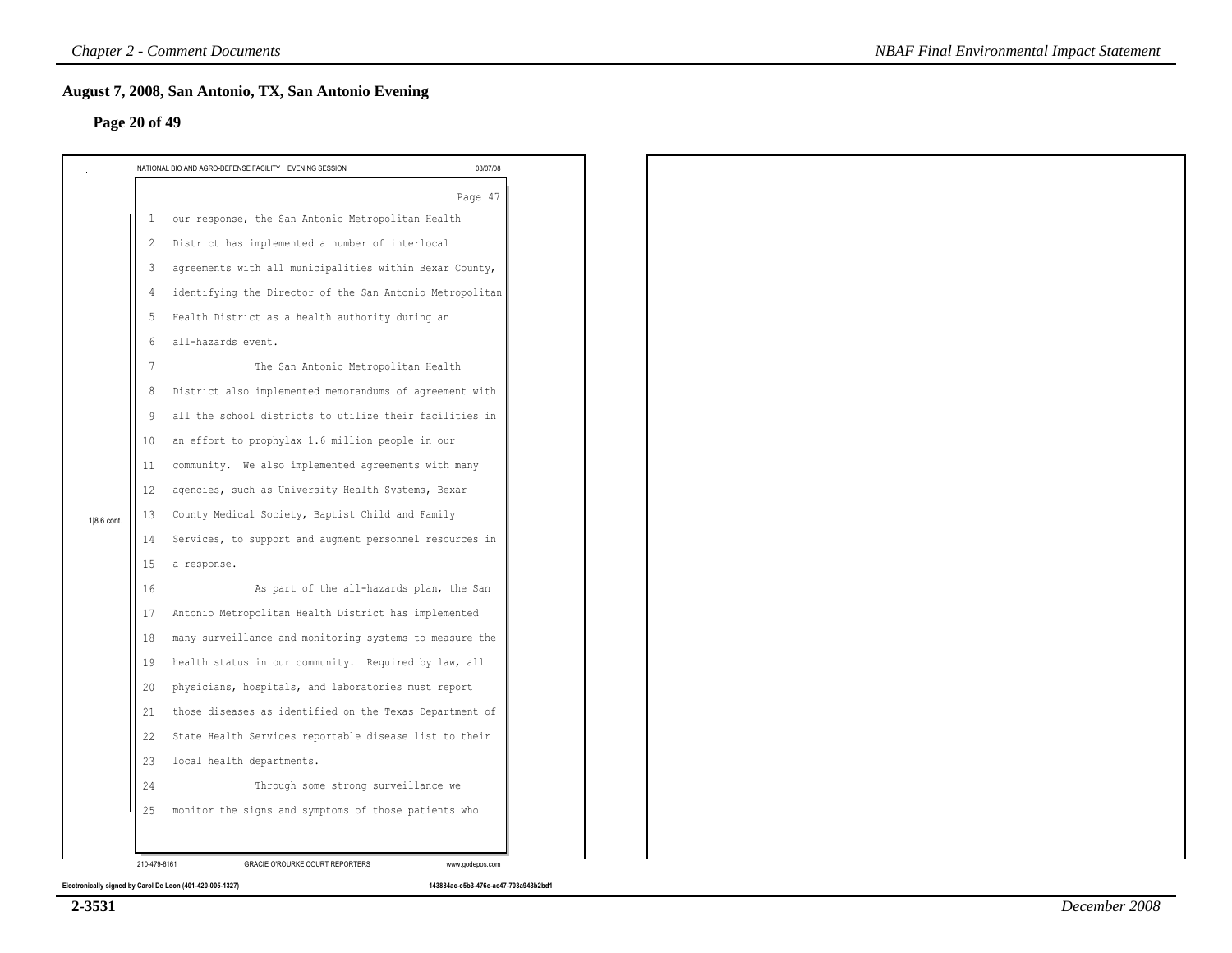### **Page 20 of 49**

|             |                   | NATIONAL BIO AND AGRO-DEFENSE FACILITY EVENING SESSION   | 08/07/08 |
|-------------|-------------------|----------------------------------------------------------|----------|
|             |                   |                                                          | Page 47  |
|             | $\mathbf{1}$      | our response, the San Antonio Metropolitan Health        |          |
|             | $\overline{c}$    | District has implemented a number of interlocal          |          |
|             | 3                 | agreements with all municipalities within Bexar County,  |          |
|             | $\overline{4}$    | identifying the Director of the San Antonio Metropolitan |          |
|             | 5                 | Health District as a health authority during an          |          |
|             | 6                 | all-hazards event.                                       |          |
|             | 7                 | The San Antonio Metropolitan Health                      |          |
|             | 8                 | District also implemented memorandums of agreement with  |          |
|             | 9                 | all the school districts to utilize their facilities in  |          |
|             | 10                | an effort to prophylax 1.6 million people in our         |          |
|             | 11                | community. We also implemented agreements with many      |          |
|             | $12 \overline{ }$ | agencies, such as University Health Systems, Bexar       |          |
| 1 8.6 cont. | 13                | County Medical Society, Baptist Child and Family         |          |
|             | 14                | Services, to support and augment personnel resources in  |          |
|             | 15                | a response.                                              |          |
|             | 16                | As part of the all-hazards plan, the San                 |          |
|             | 17                | Antonio Metropolitan Health District has implemented     |          |
|             | 18                | many surveillance and monitoring systems to measure the  |          |
|             | 19                | health status in our community. Required by law, all     |          |
|             | 20                | physicians, hospitals, and laboratories must report      |          |
|             | 21                | those diseases as identified on the Texas Department of  |          |
|             | 22                | State Health Services reportable disease list to their   |          |
|             | 23                | local health departments.                                |          |
|             | 24                | Through some strong surveillance we                      |          |
|             | 25                | monitor the signs and symptoms of those patients who     |          |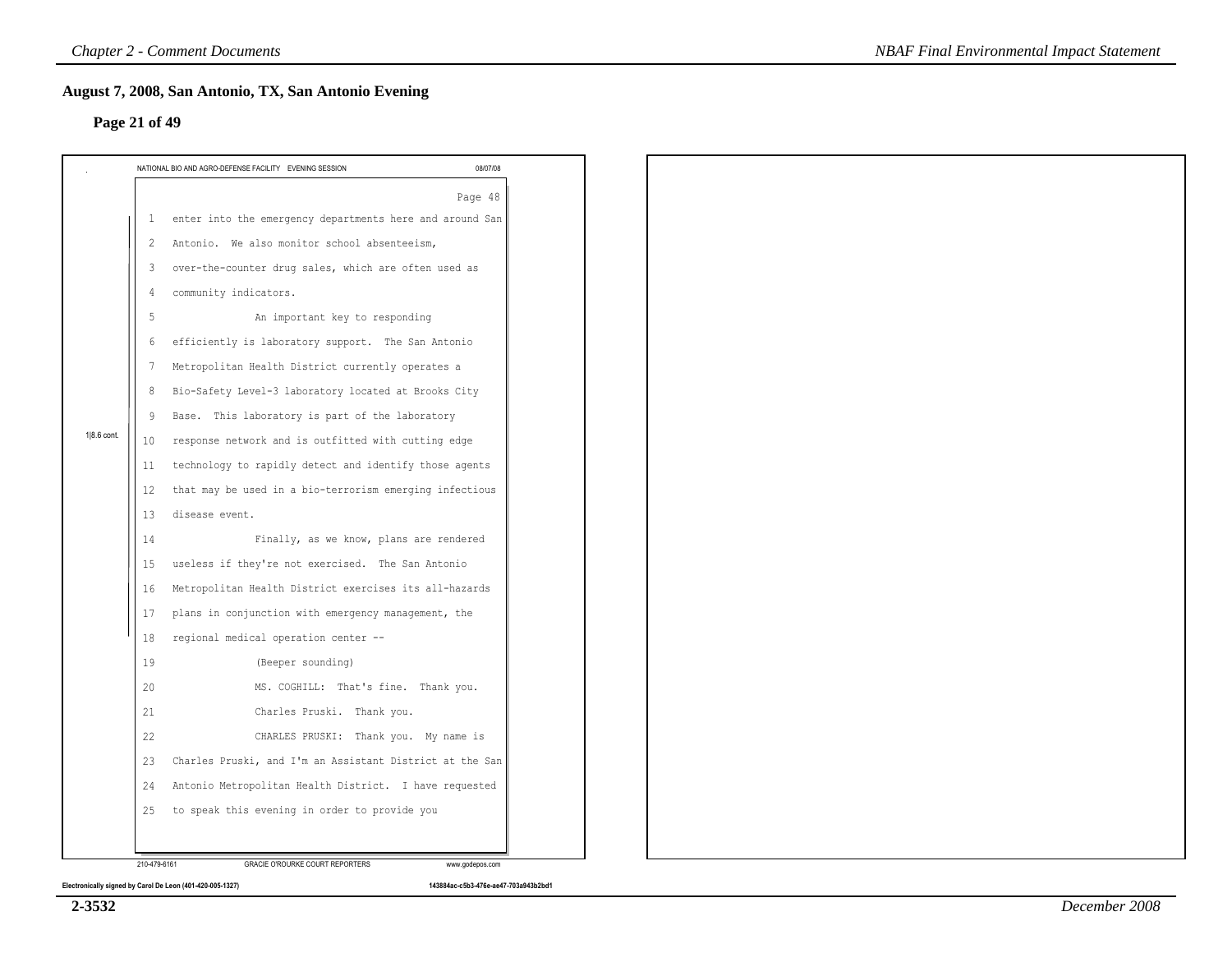### **Page 21 of 49**

|             |                 | NATIONAL BIO AND AGRO-DEFENSE FACILITY EVENING SESSION     | 08/07/08 |
|-------------|-----------------|------------------------------------------------------------|----------|
|             |                 |                                                            | Page 48  |
|             |                 | 1 enter into the emergency departments here and around San |          |
|             | 2               | Antonio. We also monitor school absenteeism,               |          |
|             | 3               | over-the-counter drug sales, which are often used as       |          |
|             | 4               | community indicators.                                      |          |
|             | 5               | An important key to responding                             |          |
|             | 6               | efficiently is laboratory support. The San Antonio         |          |
|             | $7\phantom{.0}$ | Metropolitan Health District currently operates a          |          |
|             | 8               | Bio-Safety Level-3 laboratory located at Brooks City       |          |
|             | 9               | Base. This laboratory is part of the laboratory            |          |
| 1 8.6 cont. | 10              | response network and is outfitted with cutting edge        |          |
|             | 11              | technology to rapidly detect and identify those agents     |          |
|             | 12              | that may be used in a bio-terrorism emerging infectious    |          |
|             | 13              | disease event.                                             |          |
|             | 14              | Finally, as we know, plans are rendered                    |          |
|             | 15              | useless if they're not exercised. The San Antonio          |          |
|             | 16              | Metropolitan Health District exercises its all-hazards     |          |
|             | 17              | plans in conjunction with emergency management, the        |          |
|             | 18              | regional medical operation center --                       |          |
|             | 19              | (Beeper sounding)                                          |          |
|             | 20              | MS. COGHILL: That's fine. Thank you.                       |          |
|             | 21              | Charles Pruski. Thank you.                                 |          |
|             | 22              | CHARLES PRUSKI: Thank you. My name is                      |          |
|             | 23              | Charles Pruski, and I'm an Assistant District at the San   |          |
|             | 24              | Antonio Metropolitan Health District. I have requested     |          |
|             | 25              | to speak this evening in order to provide you              |          |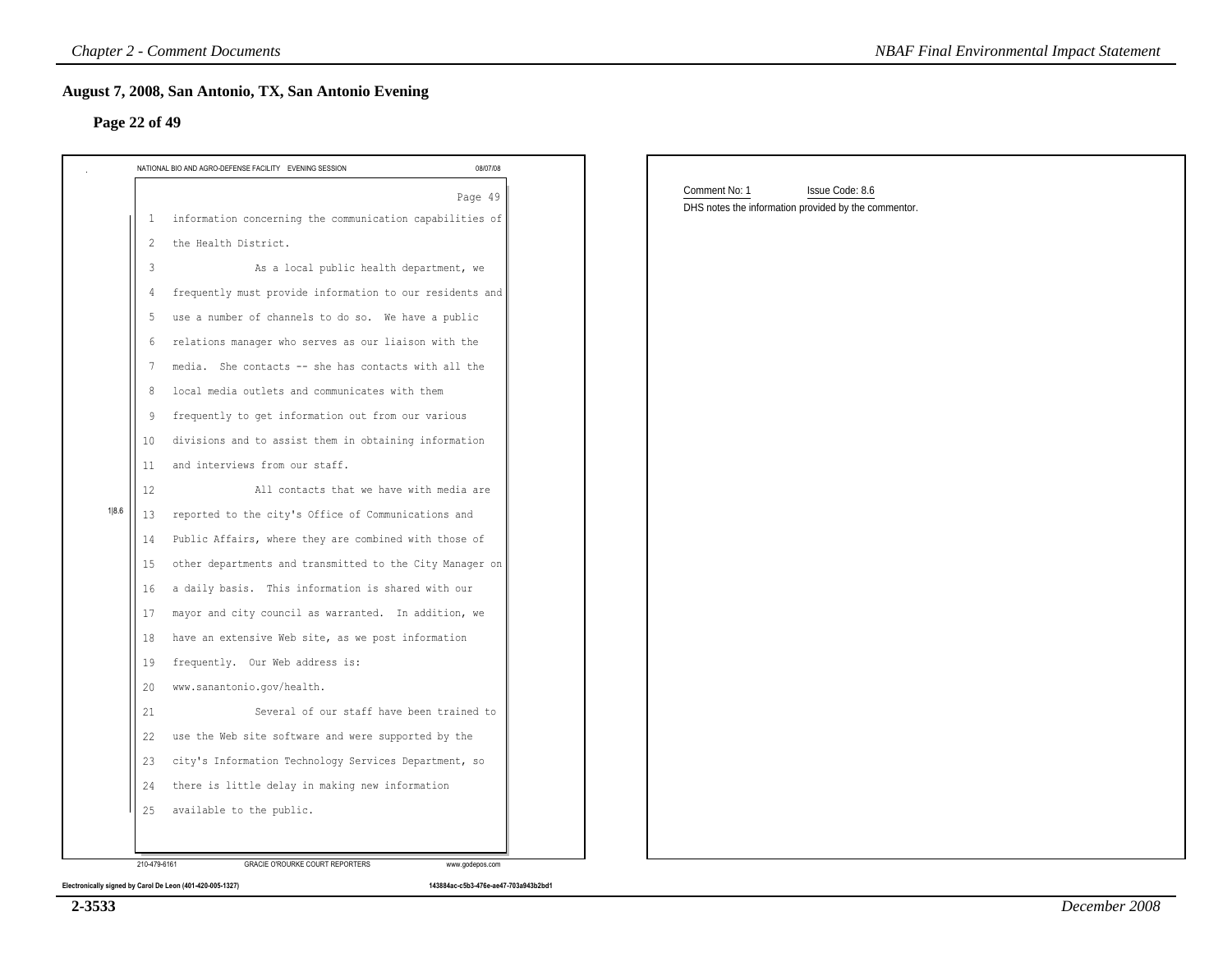| NATIONAL BIO AND AGRO-DEFENSE FACILITY EVENING SESSION         | 08/07/08 |                                                                                          |  |
|----------------------------------------------------------------|----------|------------------------------------------------------------------------------------------|--|
| 1 information concerning the communication capabilities of     | Page 49  | Comment No: 1<br>Issue Code: 8.6<br>DHS notes the information provided by the commentor. |  |
| the Health District.<br>2                                      |          |                                                                                          |  |
| As a local public health department, we<br>3                   |          |                                                                                          |  |
| frequently must provide information to our residents and       |          |                                                                                          |  |
| use a number of channels to do so. We have a public<br>-5      |          |                                                                                          |  |
| relations manager who serves as our liaison with the<br>6      |          |                                                                                          |  |
| media. She contacts -- she has contacts with all the           |          |                                                                                          |  |
| local media outlets and communicates with them<br>8            |          |                                                                                          |  |
| frequently to get information out from our various<br>9        |          |                                                                                          |  |
| divisions and to assist them in obtaining information<br>10    |          |                                                                                          |  |
| and interviews from our staff.<br>11                           |          |                                                                                          |  |
| 12<br>All contacts that we have with media are                 |          |                                                                                          |  |
| reported to the city's Office of Communications and<br>13      |          |                                                                                          |  |
| Public Affairs, where they are combined with those of<br>14    |          |                                                                                          |  |
| other departments and transmitted to the City Manager on<br>15 |          |                                                                                          |  |
| a daily basis. This information is shared with our<br>16       |          |                                                                                          |  |
| mayor and city council as warranted. In addition, we<br>17     |          |                                                                                          |  |
| have an extensive Web site, as we post information<br>18       |          |                                                                                          |  |
| frequently. Our Web address is:<br>19                          |          |                                                                                          |  |
| www.sanantonio.gov/health.<br>20                               |          |                                                                                          |  |
| 21<br>Several of our staff have been trained to                |          |                                                                                          |  |
| 22<br>use the Web site software and were supported by the      |          |                                                                                          |  |
| city's Information Technology Services Department, so<br>23    |          |                                                                                          |  |
| there is little delay in making new information<br>24          |          |                                                                                          |  |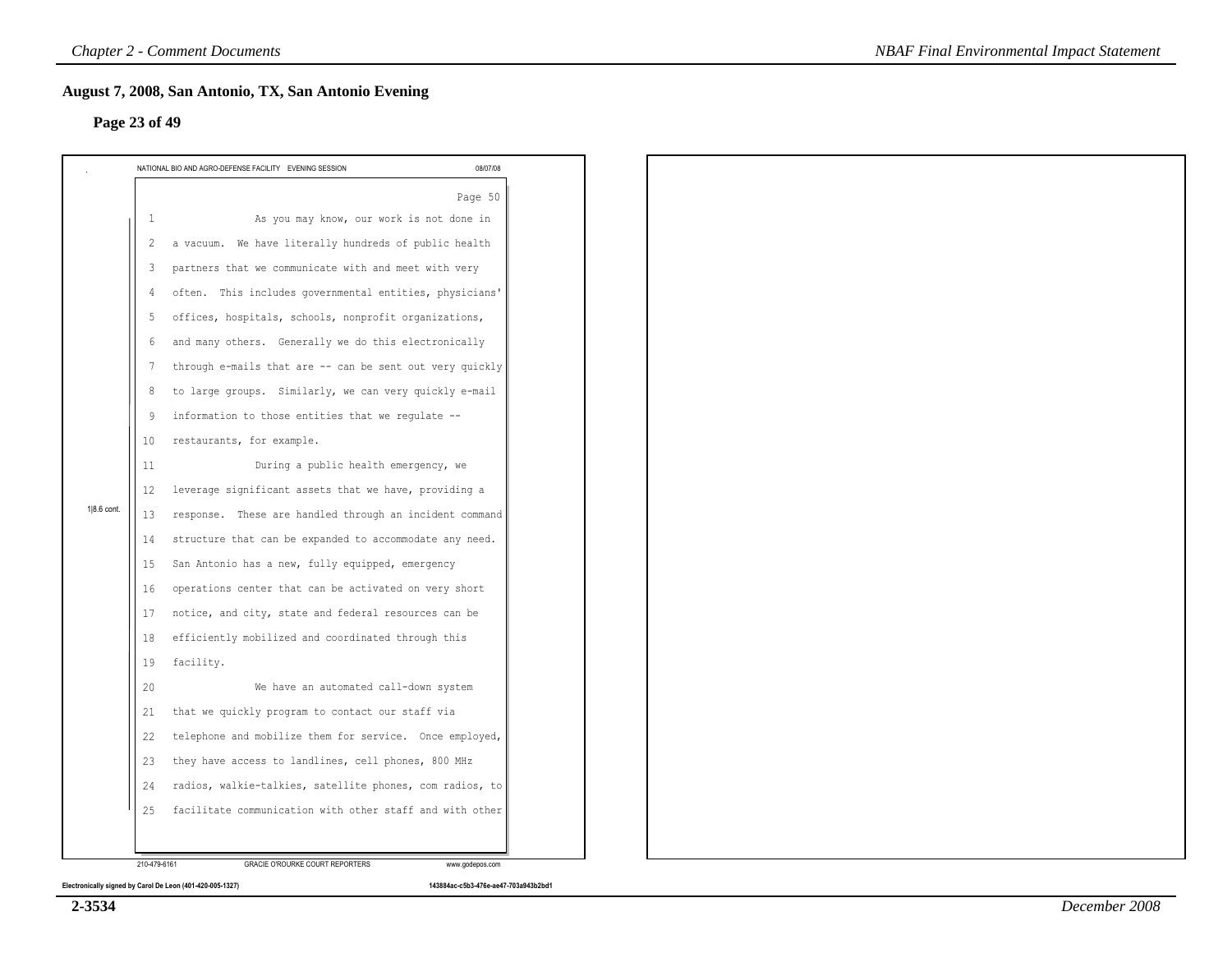### **Page 23 of 49**

|             | NATIONAL BIO AND AGRO-DEFENSE FACILITY EVENING SESSION         | 08/07/08 |
|-------------|----------------------------------------------------------------|----------|
|             |                                                                | Page 50  |
|             | As you may know, our work is not done in<br>$\mathbf{1}$       |          |
|             | a vacuum. We have literally hundreds of public health<br>2     |          |
|             | partners that we communicate with and meet with very<br>3      |          |
|             | often. This includes governmental entities, physicians'<br>4   |          |
|             | offices, hospitals, schools, nonprofit organizations,<br>5     |          |
|             | and many others. Generally we do this electronically<br>6      |          |
|             | through e-mails that are -- can be sent out very quickly<br>7  |          |
|             | to large groups. Similarly, we can very quickly e-mail<br>8    |          |
|             | information to those entities that we regulate --<br>9         |          |
|             | restaurants, for example.<br>10                                |          |
|             | During a public health emergency, we<br>11                     |          |
|             | leverage significant assets that we have, providing a<br>12    |          |
| 1 8.6 cont. | response. These are handled through an incident command<br>13  |          |
|             | structure that can be expanded to accommodate any need.<br>14  |          |
|             | San Antonio has a new, fully equipped, emergency<br>15         |          |
|             | operations center that can be activated on very short<br>16    |          |
|             | notice, and city, state and federal resources can be<br>17     |          |
|             | 18<br>efficiently mobilized and coordinated through this       |          |
|             | facility.<br>19                                                |          |
|             | We have an automated call-down system<br>20                    |          |
|             | that we quickly program to contact our staff via<br>21         |          |
|             | telephone and mobilize them for service. Once employed,<br>22  |          |
|             | they have access to landlines, cell phones, 800 MHz<br>23      |          |
|             | radios, walkie-talkies, satellite phones, com radios, to<br>24 |          |
|             | facilitate communication with other staff and with other<br>25 |          |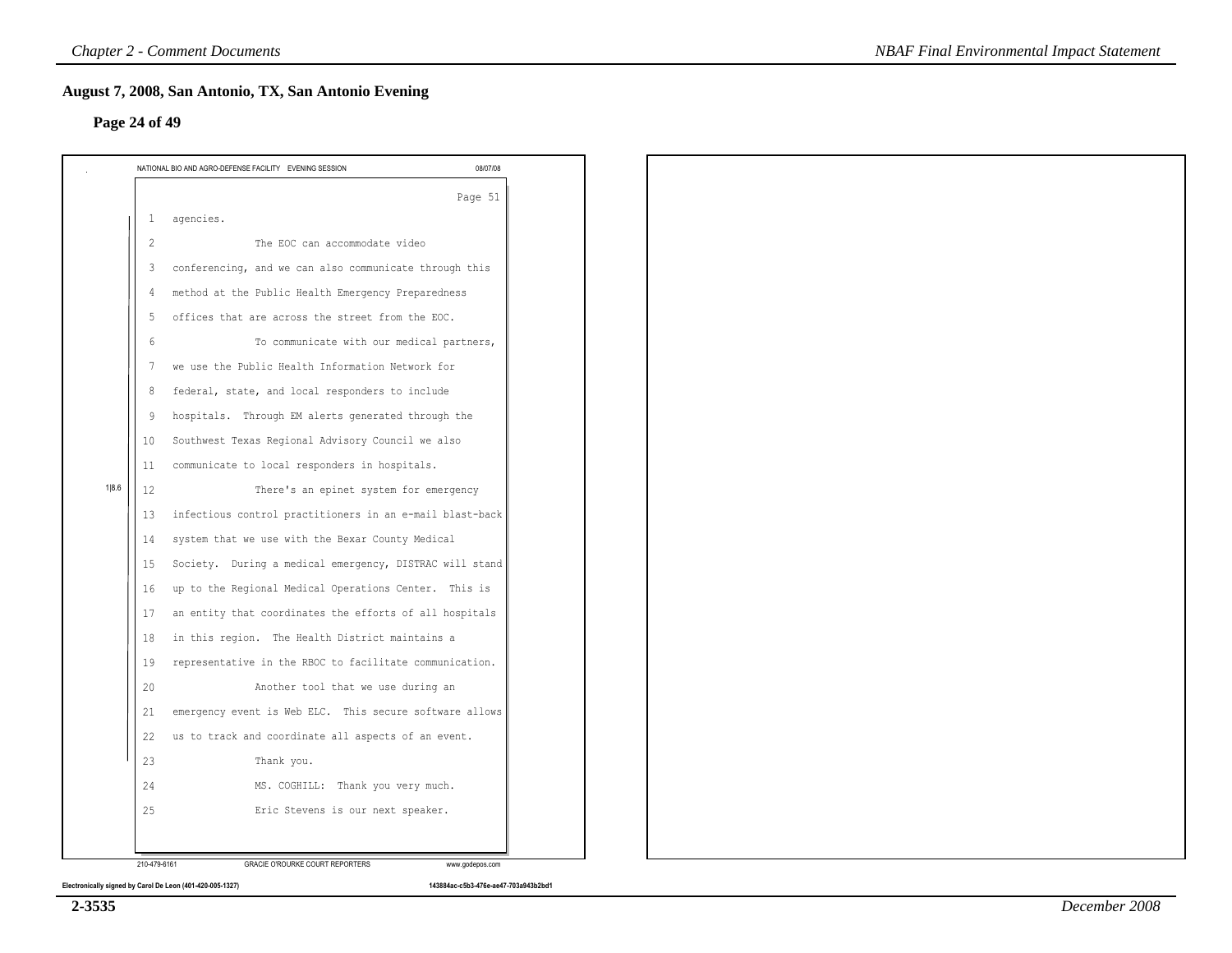### **Page 24 of 49**

|       |                 | NATIONAL BIO AND AGRO-DEFENSE FACILITY EVENING SESSION                                                         | 08/07/08 |
|-------|-----------------|----------------------------------------------------------------------------------------------------------------|----------|
|       |                 |                                                                                                                | Page 51  |
|       | $\mathbf{1}$    | agencies.                                                                                                      |          |
|       | $\overline{2}$  | The EOC can accommodate video                                                                                  |          |
|       | 3               | conferencing, and we can also communicate through this                                                         |          |
|       | 4               | method at the Public Health Emergency Preparedness                                                             |          |
|       | 5               | offices that are across the street from the EOC.                                                               |          |
|       | 6               | To communicate with our medical partners,                                                                      |          |
|       | $7\phantom{.0}$ | we use the Public Health Information Network for                                                               |          |
|       | 8               | federal, state, and local responders to include                                                                |          |
|       | 9               | hospitals. Through EM alerts generated through the                                                             |          |
|       | 10              | Southwest Texas Regional Advisory Council we also                                                              |          |
|       | 11              | communicate to local responders in hospitals.                                                                  |          |
| 1 8.6 | 12              | There's an epinet system for emergency                                                                         |          |
|       | 13              | infectious control practitioners in an e-mail blast-back                                                       |          |
|       | 14              | system that we use with the Bexar County Medical                                                               |          |
|       | 15              | Society. During a medical emergency, DISTRAC will stand                                                        |          |
|       | 16              | up to the Regional Medical Operations Center. This is                                                          |          |
|       | 17              | an entity that coordinates the efforts of all hospitals                                                        |          |
|       | 18              | in this region. The Health District maintains a                                                                |          |
|       | 19              | representative in the RBOC to facilitate communication.                                                        |          |
|       | 20              | Another tool that we use during an                                                                             |          |
|       | 21<br>22        | emergency event is Web ELC. This secure software allows<br>us to track and coordinate all aspects of an event. |          |
|       | 23              | Thank you.                                                                                                     |          |
|       | 24              | MS. COGHILL: Thank you very much.                                                                              |          |
|       | 25              | Eric Stevens is our next speaker.                                                                              |          |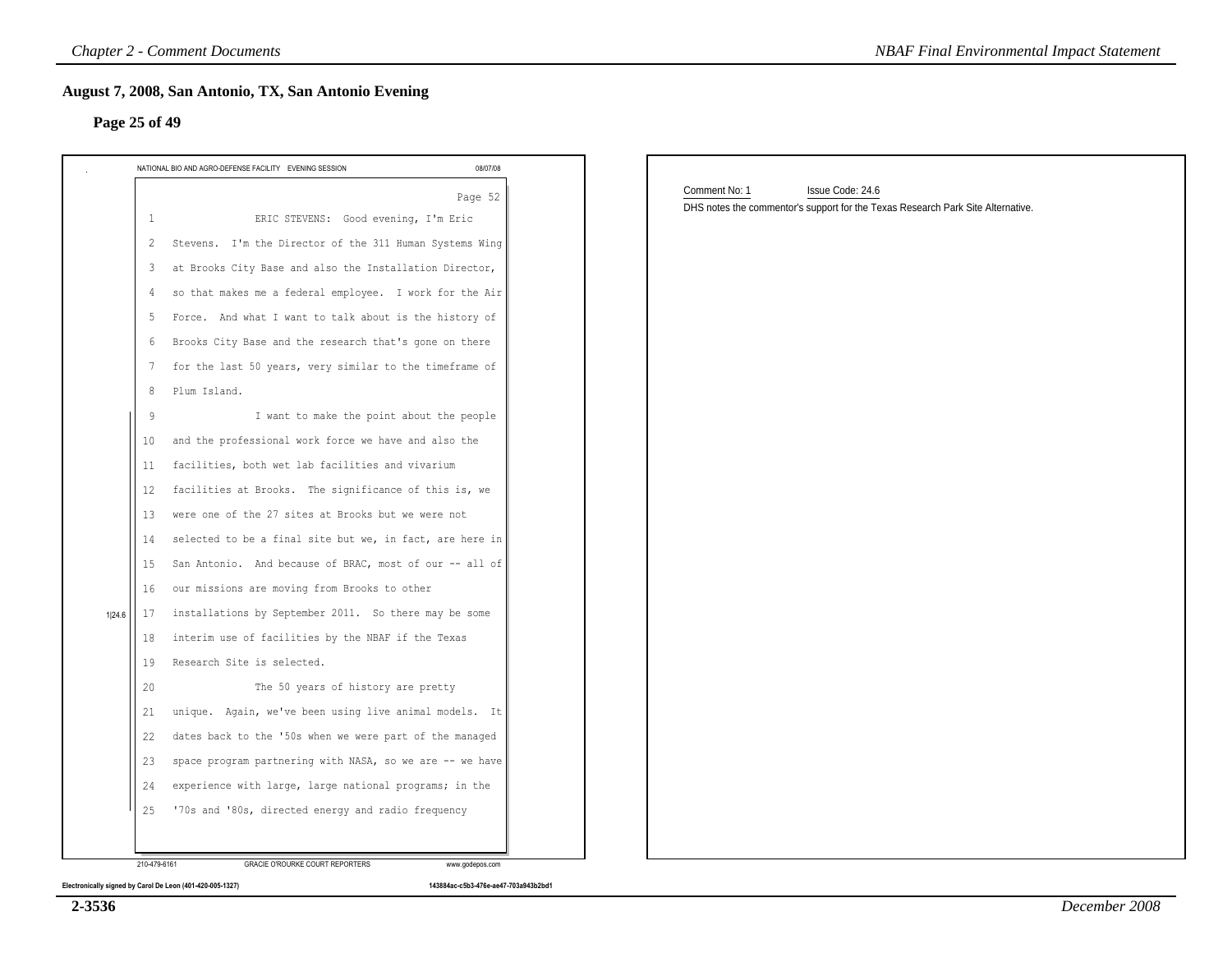| NATIONAL BIO AND AGRO-DEFENSE FACILITY EVENING SESSION         | 08/07/08 |                                                                                 |
|----------------------------------------------------------------|----------|---------------------------------------------------------------------------------|
|                                                                | Page 52  | Comment No: 1<br>Issue Code: 24.6                                               |
| ERIC STEVENS: Good evening, I'm Eric<br>$\mathbf{1}$           |          | DHS notes the commentor's support for the Texas Research Park Site Alternative. |
| Stevens. I'm the Director of the 311 Human Systems Wing<br>2   |          |                                                                                 |
| at Brooks City Base and also the Installation Director,<br>3   |          |                                                                                 |
| so that makes me a federal employee. I work for the Air<br>4   |          |                                                                                 |
| Force. And what I want to talk about is the history of<br>5    |          |                                                                                 |
| Brooks City Base and the research that's gone on there<br>-6   |          |                                                                                 |
| for the last 50 years, very similar to the timeframe of<br>7   |          |                                                                                 |
| Plum Island.<br>8                                              |          |                                                                                 |
| I want to make the point about the people<br>-9                |          |                                                                                 |
| and the professional work force we have and also the<br>10     |          |                                                                                 |
| facilities, both wet lab facilities and vivarium<br>11         |          |                                                                                 |
| facilities at Brooks. The significance of this is, we<br>12    |          |                                                                                 |
| were one of the 27 sites at Brooks but we were not<br>13       |          |                                                                                 |
| selected to be a final site but we, in fact, are here in<br>14 |          |                                                                                 |
| San Antonio. And because of BRAC, most of our -- all of<br>15  |          |                                                                                 |
| our missions are moving from Brooks to other<br>16             |          |                                                                                 |
| installations by September 2011. So there may be some<br>17    |          |                                                                                 |
| interim use of facilities by the NBAF if the Texas<br>18       |          |                                                                                 |
| Research Site is selected.<br>19                               |          |                                                                                 |
| The 50 years of history are pretty<br>20                       |          |                                                                                 |
| unique. Again, we've been using live animal models. It<br>21   |          |                                                                                 |
| dates back to the '50s when we were part of the managed<br>22  |          |                                                                                 |
| space program partnering with NASA, so we are -- we have<br>23 |          |                                                                                 |
| experience with large, large national programs; in the<br>24   |          |                                                                                 |
| '70s and '80s, directed energy and radio frequency<br>25       |          |                                                                                 |

**2-3536**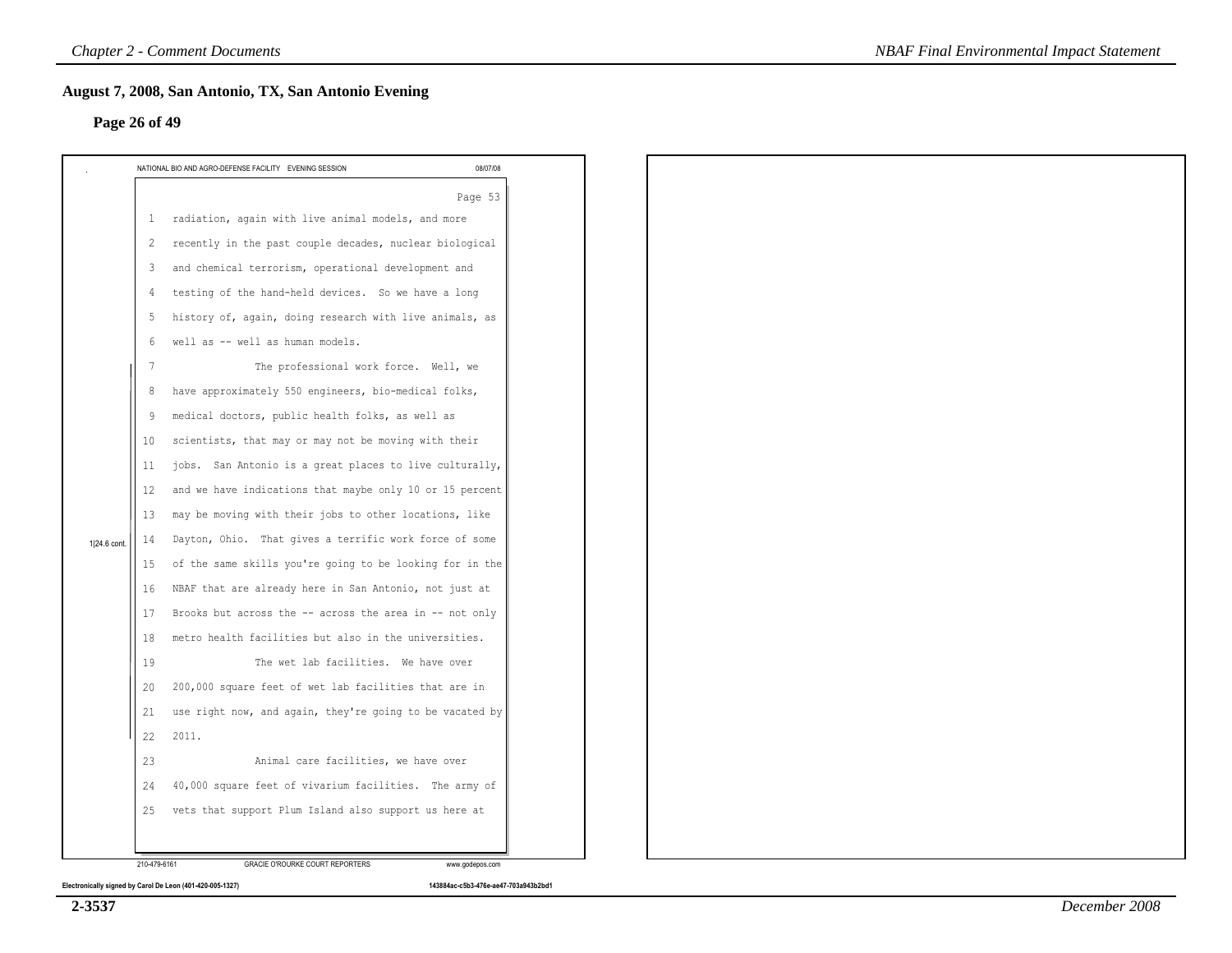|              | <b>Chapter 2 - Comment Documents</b>                                                                                                                                                                                                                                                                                                                                                                                                                                                                                                                                                                                                                                                                                                                                                                                                                                                                                                                                                                                                                                                                                                                                                                                                                                                                                                                 | <b>NBAF Final Environmental Impact Statement</b> |
|--------------|------------------------------------------------------------------------------------------------------------------------------------------------------------------------------------------------------------------------------------------------------------------------------------------------------------------------------------------------------------------------------------------------------------------------------------------------------------------------------------------------------------------------------------------------------------------------------------------------------------------------------------------------------------------------------------------------------------------------------------------------------------------------------------------------------------------------------------------------------------------------------------------------------------------------------------------------------------------------------------------------------------------------------------------------------------------------------------------------------------------------------------------------------------------------------------------------------------------------------------------------------------------------------------------------------------------------------------------------------|--------------------------------------------------|
|              | August 7, 2008, San Antonio, TX, San Antonio Evening<br>Page 26 of 49                                                                                                                                                                                                                                                                                                                                                                                                                                                                                                                                                                                                                                                                                                                                                                                                                                                                                                                                                                                                                                                                                                                                                                                                                                                                                |                                                  |
|              | NATIONAL BIO AND AGRO-DEFENSE FACILITY EVENING SESSION<br>08/07/08                                                                                                                                                                                                                                                                                                                                                                                                                                                                                                                                                                                                                                                                                                                                                                                                                                                                                                                                                                                                                                                                                                                                                                                                                                                                                   |                                                  |
| 1 24.6 cont. | Page 53<br>radiation, again with live animal models, and more<br>$\mathbf{1}$<br>recently in the past couple decades, nuclear biological<br>2<br>and chemical terrorism, operational development and<br>3<br>testing of the hand-held devices. So we have a long<br>4<br>history of, again, doing research with live animals, as<br>5<br>well as -- well as human models.<br>-6<br>The professional work force. Well, we<br>7<br>have approximately 550 engineers, bio-medical folks,<br>8<br>medical doctors, public health folks, as well as<br>9<br>scientists, that may or may not be moving with their<br>10<br>jobs. San Antonio is a great places to live culturally,<br>11<br>and we have indications that maybe only 10 or 15 percent<br>12<br>may be moving with their jobs to other locations, like<br>13<br>Dayton, Ohio. That gives a terrific work force of some<br>14<br>of the same skills you're going to be looking for in the<br>15<br>NBAF that are already here in San Antonio, not just at<br>16<br>Brooks but across the -- across the area in -- not only<br>17<br>metro health facilities but also in the universities.<br>18<br>The wet lab facilities. We have over<br>19<br>200,000 square feet of wet lab facilities that are in<br>20<br>use right now, and again, they're going to be vacated by<br>21<br>22<br>2011. |                                                  |
|              | Animal care facilities, we have over<br>23                                                                                                                                                                                                                                                                                                                                                                                                                                                                                                                                                                                                                                                                                                                                                                                                                                                                                                                                                                                                                                                                                                                                                                                                                                                                                                           |                                                  |
|              | 40,000 square feet of vivarium facilities. The army of<br>24                                                                                                                                                                                                                                                                                                                                                                                                                                                                                                                                                                                                                                                                                                                                                                                                                                                                                                                                                                                                                                                                                                                                                                                                                                                                                         |                                                  |
|              | vets that support Plum Island also support us here at<br>25                                                                                                                                                                                                                                                                                                                                                                                                                                                                                                                                                                                                                                                                                                                                                                                                                                                                                                                                                                                                                                                                                                                                                                                                                                                                                          |                                                  |
|              |                                                                                                                                                                                                                                                                                                                                                                                                                                                                                                                                                                                                                                                                                                                                                                                                                                                                                                                                                                                                                                                                                                                                                                                                                                                                                                                                                      |                                                  |
|              | 210-479-6161<br>GRACIE O'ROURKE COURT REPORTERS<br>www.godepos.com                                                                                                                                                                                                                                                                                                                                                                                                                                                                                                                                                                                                                                                                                                                                                                                                                                                                                                                                                                                                                                                                                                                                                                                                                                                                                   |                                                  |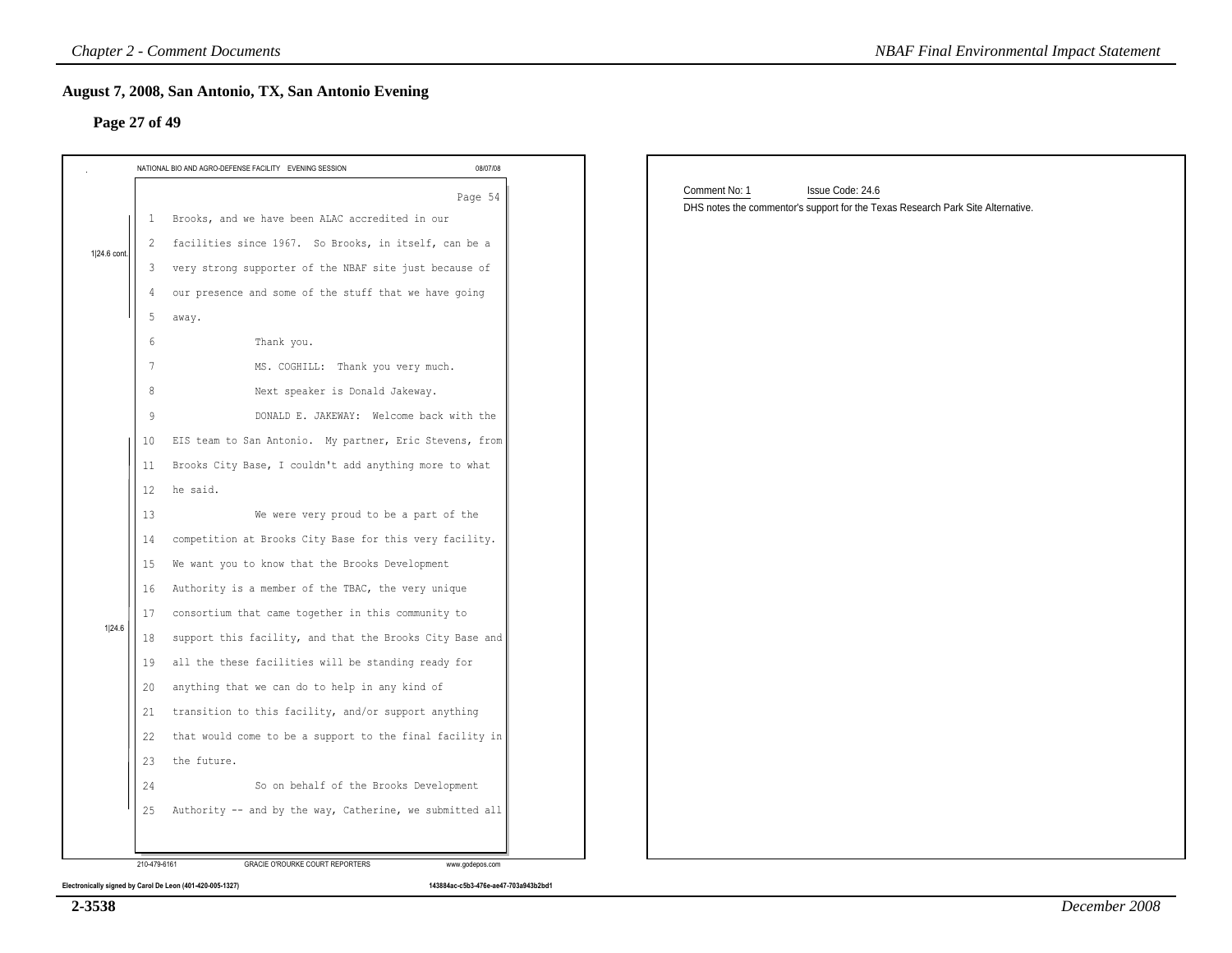|              | 08/07/08<br>NATIONAL BIO AND AGRO-DEFENSE FACILITY EVENING SESSION |                                                                                 |
|--------------|--------------------------------------------------------------------|---------------------------------------------------------------------------------|
|              | Page 54                                                            | Comment No: 1<br>Issue Code: 24.6                                               |
|              | Brooks, and we have been ALAC accredited in our<br>1               | DHS notes the commentor's support for the Texas Research Park Site Alternative. |
|              | facilities since 1967. So Brooks, in itself, can be a              |                                                                                 |
| 1 24.6 cont. | very strong supporter of the NBAF site just because of<br>3        |                                                                                 |
|              | our presence and some of the stuff that we have going              |                                                                                 |
|              | 5<br>away.                                                         |                                                                                 |
|              | Thank you.<br>-6                                                   |                                                                                 |
|              | MS. COGHILL: Thank you very much.<br>7                             |                                                                                 |
|              | Next speaker is Donald Jakeway.<br>8                               |                                                                                 |
|              | DONALD E. JAKEWAY: Welcome back with the<br>-9                     |                                                                                 |
|              | EIS team to San Antonio. My partner, Eric Stevens, from<br>10      |                                                                                 |
|              | Brooks City Base, I couldn't add anything more to what<br>11       |                                                                                 |
|              | 12<br>he said.                                                     |                                                                                 |
|              | We were very proud to be a part of the<br>13                       |                                                                                 |
|              | competition at Brooks City Base for this very facility.<br>14      |                                                                                 |
|              | We want you to know that the Brooks Development<br>15              |                                                                                 |
|              | Authority is a member of the TBAC, the very unique<br>16           |                                                                                 |
|              | consortium that came together in this community to<br>17           |                                                                                 |
|              | support this facility, and that the Brooks City Base and<br>18     |                                                                                 |
|              | all the these facilities will be standing ready for<br>19          |                                                                                 |
|              | anything that we can do to help in any kind of<br>20               |                                                                                 |
|              | transition to this facility, and/or support anything<br>21         |                                                                                 |
|              | that would come to be a support to the final facility in<br>22     |                                                                                 |
|              | the future.<br>23                                                  |                                                                                 |
|              | So on behalf of the Brooks Development<br>24                       |                                                                                 |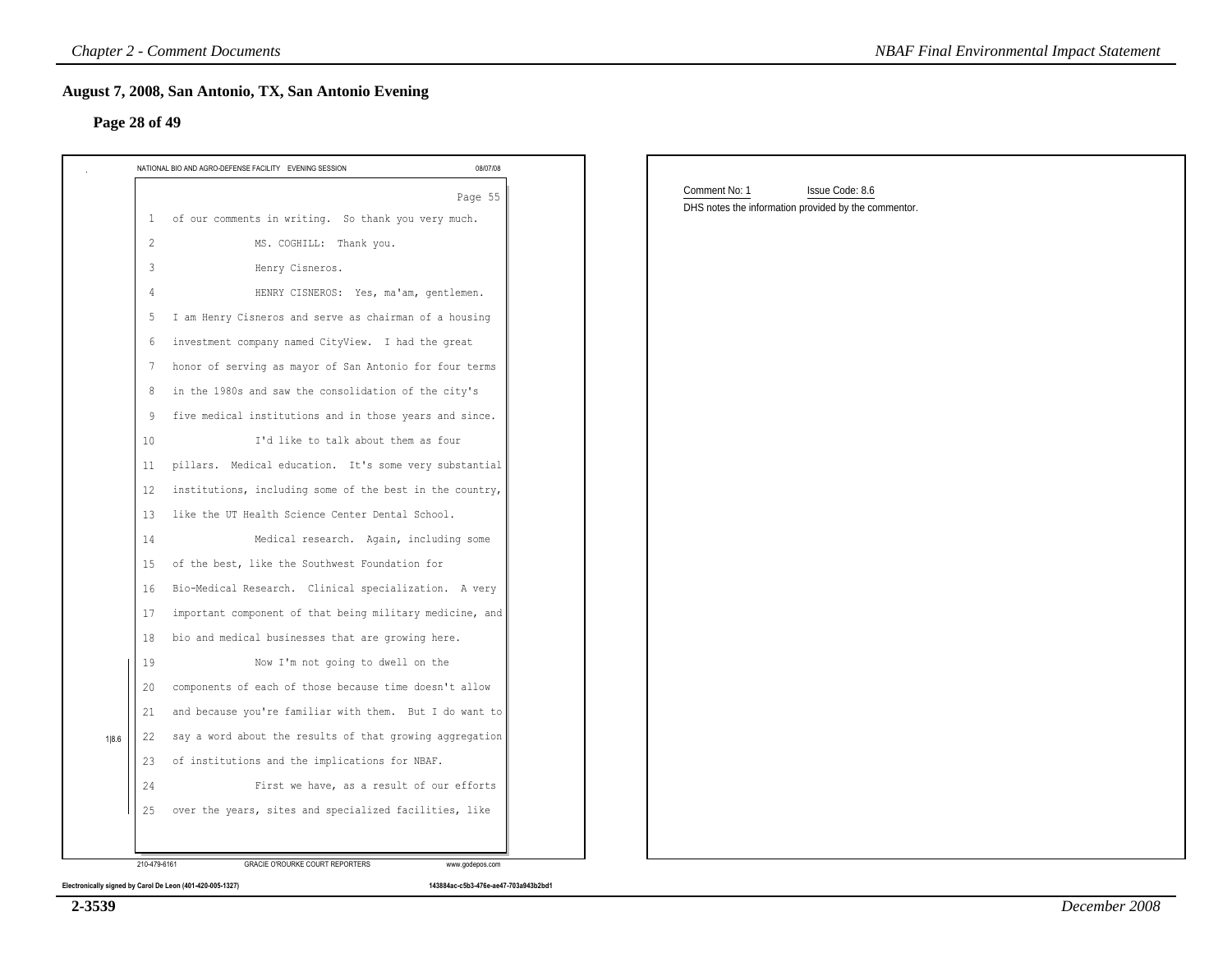### **Page 28 of 49**

| Comment No: 1<br>Issue Code: 8.6<br>Page 55<br>DHS notes the information provided by the commentor.<br>1 of our comments in writing. So thank you very much.<br>2<br>MS. COGHILL: Thank you.<br>Henry Cisneros.<br>3<br>HENRY CISNEROS: Yes, ma'am, gentlemen.<br>4<br>I am Henry Cisneros and serve as chairman of a housing<br>5<br>investment company named CityView. I had the great<br>6<br>honor of serving as mayor of San Antonio for four terms<br>7<br>in the 1980s and saw the consolidation of the city's<br>8<br>five medical institutions and in those years and since.<br>9<br>I'd like to talk about them as four<br>10<br>pillars. Medical education. It's some very substantial<br>11<br>institutions, including some of the best in the country,<br>12<br>like the UT Health Science Center Dental School.<br>13<br>Medical research. Again, including some<br>14<br>of the best, like the Southwest Foundation for<br>15<br>Bio-Medical Research. Clinical specialization. A very<br>16<br>important component of that being military medicine, and<br>17<br>bio and medical businesses that are growing here.<br>18<br>Now I'm not going to dwell on the<br>19<br>components of each of those because time doesn't allow<br>20<br>and because you're familiar with them. But I do want to<br>21<br>say a word about the results of that growing aggregation<br>22<br>of institutions and the implications for NBAF.<br>23 | NATIONAL BIO AND AGRO-DEFENSE FACILITY EVENING SESSION | 08/07/08 |  |
|------------------------------------------------------------------------------------------------------------------------------------------------------------------------------------------------------------------------------------------------------------------------------------------------------------------------------------------------------------------------------------------------------------------------------------------------------------------------------------------------------------------------------------------------------------------------------------------------------------------------------------------------------------------------------------------------------------------------------------------------------------------------------------------------------------------------------------------------------------------------------------------------------------------------------------------------------------------------------------------------------------------------------------------------------------------------------------------------------------------------------------------------------------------------------------------------------------------------------------------------------------------------------------------------------------------------------------------------------------------------------------------------------------------------------------------------|--------------------------------------------------------|----------|--|
|                                                                                                                                                                                                                                                                                                                                                                                                                                                                                                                                                                                                                                                                                                                                                                                                                                                                                                                                                                                                                                                                                                                                                                                                                                                                                                                                                                                                                                                |                                                        |          |  |
|                                                                                                                                                                                                                                                                                                                                                                                                                                                                                                                                                                                                                                                                                                                                                                                                                                                                                                                                                                                                                                                                                                                                                                                                                                                                                                                                                                                                                                                |                                                        |          |  |
|                                                                                                                                                                                                                                                                                                                                                                                                                                                                                                                                                                                                                                                                                                                                                                                                                                                                                                                                                                                                                                                                                                                                                                                                                                                                                                                                                                                                                                                |                                                        |          |  |
|                                                                                                                                                                                                                                                                                                                                                                                                                                                                                                                                                                                                                                                                                                                                                                                                                                                                                                                                                                                                                                                                                                                                                                                                                                                                                                                                                                                                                                                |                                                        |          |  |
|                                                                                                                                                                                                                                                                                                                                                                                                                                                                                                                                                                                                                                                                                                                                                                                                                                                                                                                                                                                                                                                                                                                                                                                                                                                                                                                                                                                                                                                |                                                        |          |  |
|                                                                                                                                                                                                                                                                                                                                                                                                                                                                                                                                                                                                                                                                                                                                                                                                                                                                                                                                                                                                                                                                                                                                                                                                                                                                                                                                                                                                                                                |                                                        |          |  |
|                                                                                                                                                                                                                                                                                                                                                                                                                                                                                                                                                                                                                                                                                                                                                                                                                                                                                                                                                                                                                                                                                                                                                                                                                                                                                                                                                                                                                                                |                                                        |          |  |
|                                                                                                                                                                                                                                                                                                                                                                                                                                                                                                                                                                                                                                                                                                                                                                                                                                                                                                                                                                                                                                                                                                                                                                                                                                                                                                                                                                                                                                                |                                                        |          |  |
|                                                                                                                                                                                                                                                                                                                                                                                                                                                                                                                                                                                                                                                                                                                                                                                                                                                                                                                                                                                                                                                                                                                                                                                                                                                                                                                                                                                                                                                |                                                        |          |  |
|                                                                                                                                                                                                                                                                                                                                                                                                                                                                                                                                                                                                                                                                                                                                                                                                                                                                                                                                                                                                                                                                                                                                                                                                                                                                                                                                                                                                                                                |                                                        |          |  |
|                                                                                                                                                                                                                                                                                                                                                                                                                                                                                                                                                                                                                                                                                                                                                                                                                                                                                                                                                                                                                                                                                                                                                                                                                                                                                                                                                                                                                                                |                                                        |          |  |
|                                                                                                                                                                                                                                                                                                                                                                                                                                                                                                                                                                                                                                                                                                                                                                                                                                                                                                                                                                                                                                                                                                                                                                                                                                                                                                                                                                                                                                                |                                                        |          |  |
|                                                                                                                                                                                                                                                                                                                                                                                                                                                                                                                                                                                                                                                                                                                                                                                                                                                                                                                                                                                                                                                                                                                                                                                                                                                                                                                                                                                                                                                |                                                        |          |  |
|                                                                                                                                                                                                                                                                                                                                                                                                                                                                                                                                                                                                                                                                                                                                                                                                                                                                                                                                                                                                                                                                                                                                                                                                                                                                                                                                                                                                                                                |                                                        |          |  |
|                                                                                                                                                                                                                                                                                                                                                                                                                                                                                                                                                                                                                                                                                                                                                                                                                                                                                                                                                                                                                                                                                                                                                                                                                                                                                                                                                                                                                                                |                                                        |          |  |
|                                                                                                                                                                                                                                                                                                                                                                                                                                                                                                                                                                                                                                                                                                                                                                                                                                                                                                                                                                                                                                                                                                                                                                                                                                                                                                                                                                                                                                                |                                                        |          |  |
|                                                                                                                                                                                                                                                                                                                                                                                                                                                                                                                                                                                                                                                                                                                                                                                                                                                                                                                                                                                                                                                                                                                                                                                                                                                                                                                                                                                                                                                |                                                        |          |  |
|                                                                                                                                                                                                                                                                                                                                                                                                                                                                                                                                                                                                                                                                                                                                                                                                                                                                                                                                                                                                                                                                                                                                                                                                                                                                                                                                                                                                                                                |                                                        |          |  |
|                                                                                                                                                                                                                                                                                                                                                                                                                                                                                                                                                                                                                                                                                                                                                                                                                                                                                                                                                                                                                                                                                                                                                                                                                                                                                                                                                                                                                                                |                                                        |          |  |
|                                                                                                                                                                                                                                                                                                                                                                                                                                                                                                                                                                                                                                                                                                                                                                                                                                                                                                                                                                                                                                                                                                                                                                                                                                                                                                                                                                                                                                                |                                                        |          |  |
|                                                                                                                                                                                                                                                                                                                                                                                                                                                                                                                                                                                                                                                                                                                                                                                                                                                                                                                                                                                                                                                                                                                                                                                                                                                                                                                                                                                                                                                |                                                        |          |  |
|                                                                                                                                                                                                                                                                                                                                                                                                                                                                                                                                                                                                                                                                                                                                                                                                                                                                                                                                                                                                                                                                                                                                                                                                                                                                                                                                                                                                                                                |                                                        |          |  |
|                                                                                                                                                                                                                                                                                                                                                                                                                                                                                                                                                                                                                                                                                                                                                                                                                                                                                                                                                                                                                                                                                                                                                                                                                                                                                                                                                                                                                                                |                                                        |          |  |
|                                                                                                                                                                                                                                                                                                                                                                                                                                                                                                                                                                                                                                                                                                                                                                                                                                                                                                                                                                                                                                                                                                                                                                                                                                                                                                                                                                                                                                                |                                                        |          |  |
| First we have, as a result of our efforts<br>24                                                                                                                                                                                                                                                                                                                                                                                                                                                                                                                                                                                                                                                                                                                                                                                                                                                                                                                                                                                                                                                                                                                                                                                                                                                                                                                                                                                                |                                                        |          |  |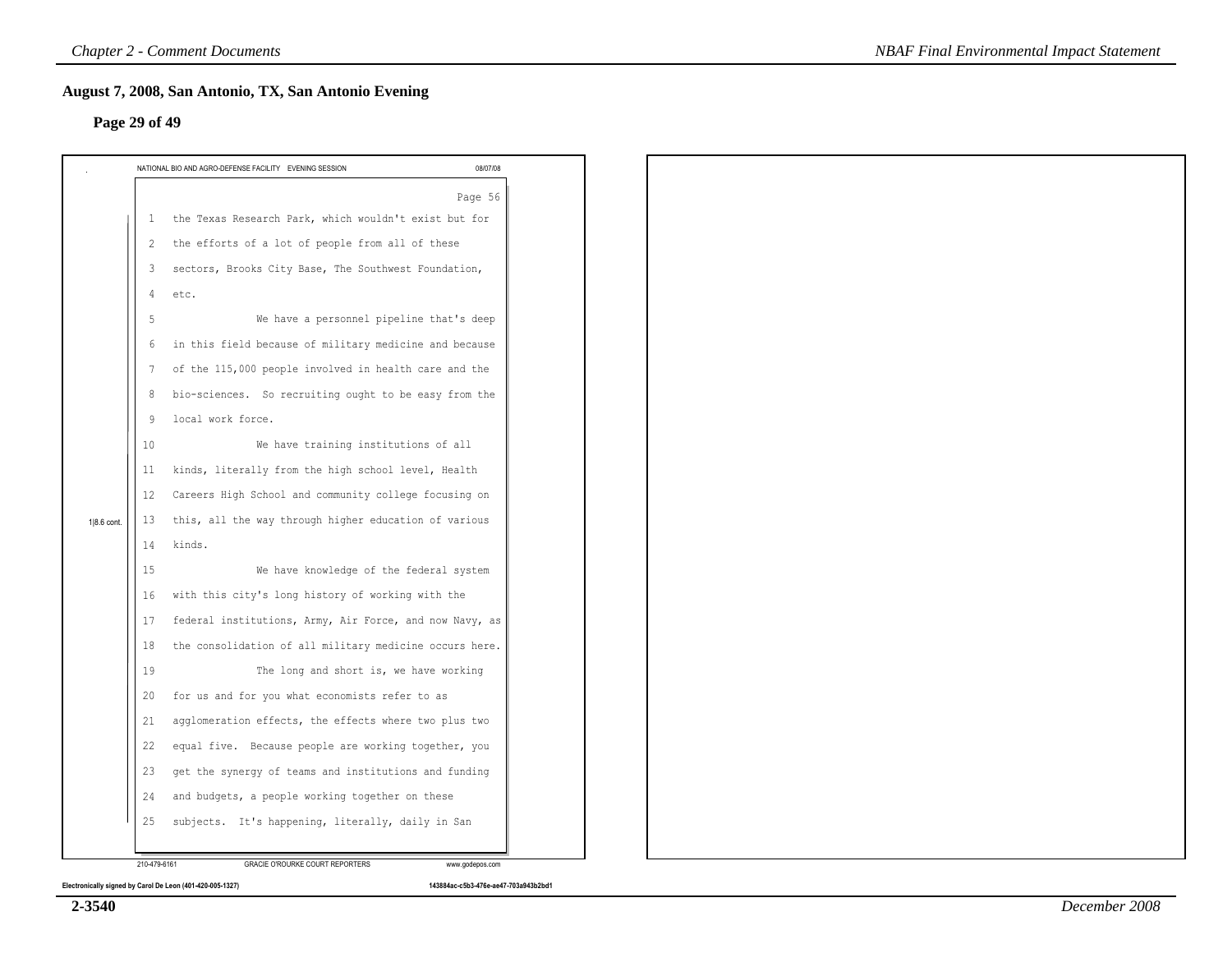# **Page 29 of 49**

|             |    |                                                         | 08/07/08 |
|-------------|----|---------------------------------------------------------|----------|
|             |    |                                                         | Page 56  |
|             | 1  | the Texas Research Park, which wouldn't exist but for   |          |
|             | 2  | the efforts of a lot of people from all of these        |          |
|             | 3  | sectors, Brooks City Base, The Southwest Foundation,    |          |
|             | 4  | etc.                                                    |          |
|             | 5  | We have a personnel pipeline that's deep                |          |
|             | 6  | in this field because of military medicine and because  |          |
|             | 7  | of the 115,000 people involved in health care and the   |          |
|             | 8  | bio-sciences. So recruiting ought to be easy from the   |          |
|             | 9  | local work force.                                       |          |
|             | 10 | We have training institutions of all                    |          |
|             | 11 | kinds, literally from the high school level, Health     |          |
|             | 12 | Careers High School and community college focusing on   |          |
| 1 8.6 cont. | 13 | this, all the way through higher education of various   |          |
|             | 14 | kinds.                                                  |          |
|             | 15 | We have knowledge of the federal system                 |          |
|             | 16 | with this city's long history of working with the       |          |
|             | 17 | federal institutions, Army, Air Force, and now Navy, as |          |
|             | 18 | the consolidation of all military medicine occurs here. |          |
|             | 19 | The long and short is, we have working                  |          |
|             | 20 | for us and for you what economists refer to as          |          |
|             | 21 | agglomeration effects, the effects where two plus two   |          |
|             | 22 | equal five. Because people are working together, you    |          |
|             | 23 | get the synergy of teams and institutions and funding   |          |
|             | 24 | and budgets, a people working together on these         |          |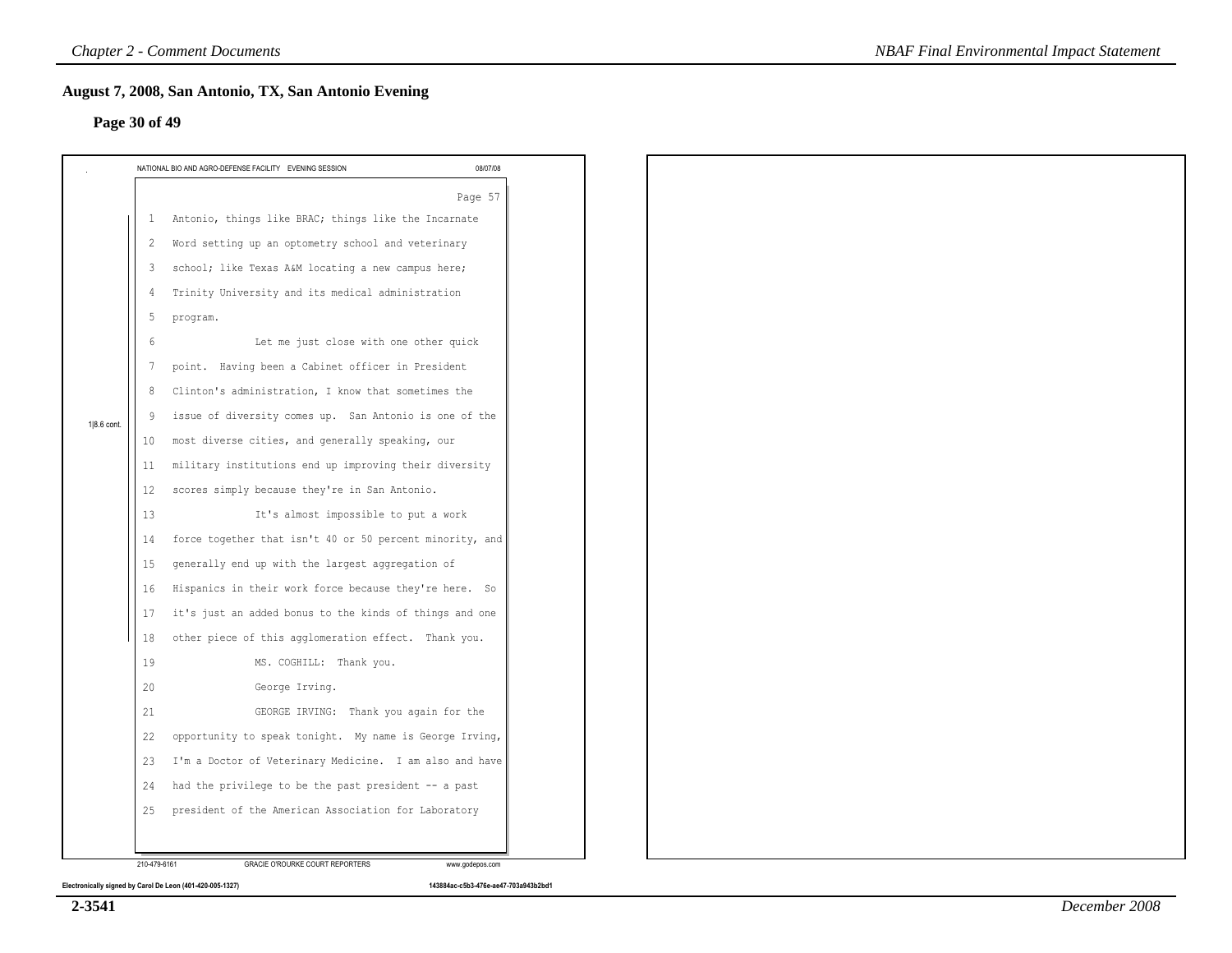### **Page 30 of 49**

|             |                 | NATIONAL BIO AND AGRO-DEFENSE FACILITY EVENING SESSION   | 08/07/08 |
|-------------|-----------------|----------------------------------------------------------|----------|
|             |                 |                                                          | Page 57  |
|             | $\mathbf{1}$    | Antonio, things like BRAC; things like the Incarnate     |          |
|             | 2               | Word setting up an optometry school and veterinary       |          |
|             | 3               | school; like Texas A&M locating a new campus here;       |          |
|             | -4              | Trinity University and its medical administration        |          |
|             | 5               | program.                                                 |          |
|             | 6               | Let me just close with one other quick                   |          |
|             | $7\phantom{.0}$ | point. Having been a Cabinet officer in President        |          |
|             | 8               | Clinton's administration, I know that sometimes the      |          |
| 1 8.6 cont. | 9               | issue of diversity comes up. San Antonio is one of the   |          |
|             | 10              | most diverse cities, and generally speaking, our         |          |
|             | 11              | military institutions end up improving their diversity   |          |
|             | 12              | scores simply because they're in San Antonio.            |          |
|             | 13              | It's almost impossible to put a work                     |          |
|             | 14              | force together that isn't 40 or 50 percent minority, and |          |
|             | 15              | generally end up with the largest aggregation of         |          |
|             | 16              | Hispanics in their work force because they're here. So   |          |
|             | 17              | it's just an added bonus to the kinds of things and one  |          |
|             | 18              | other piece of this agglomeration effect. Thank you.     |          |
|             | 19              | MS. COGHILL: Thank you.                                  |          |
|             | 20              | George Irving.                                           |          |
|             | 21              | GEORGE IRVING: Thank you again for the                   |          |
|             | 22              | opportunity to speak tonight. My name is George Irving,  |          |
|             | 23              | I'm a Doctor of Veterinary Medicine. I am also and have  |          |
|             | 24              | had the privilege to be the past president -- a past     |          |
|             | 25              | president of the American Association for Laboratory     |          |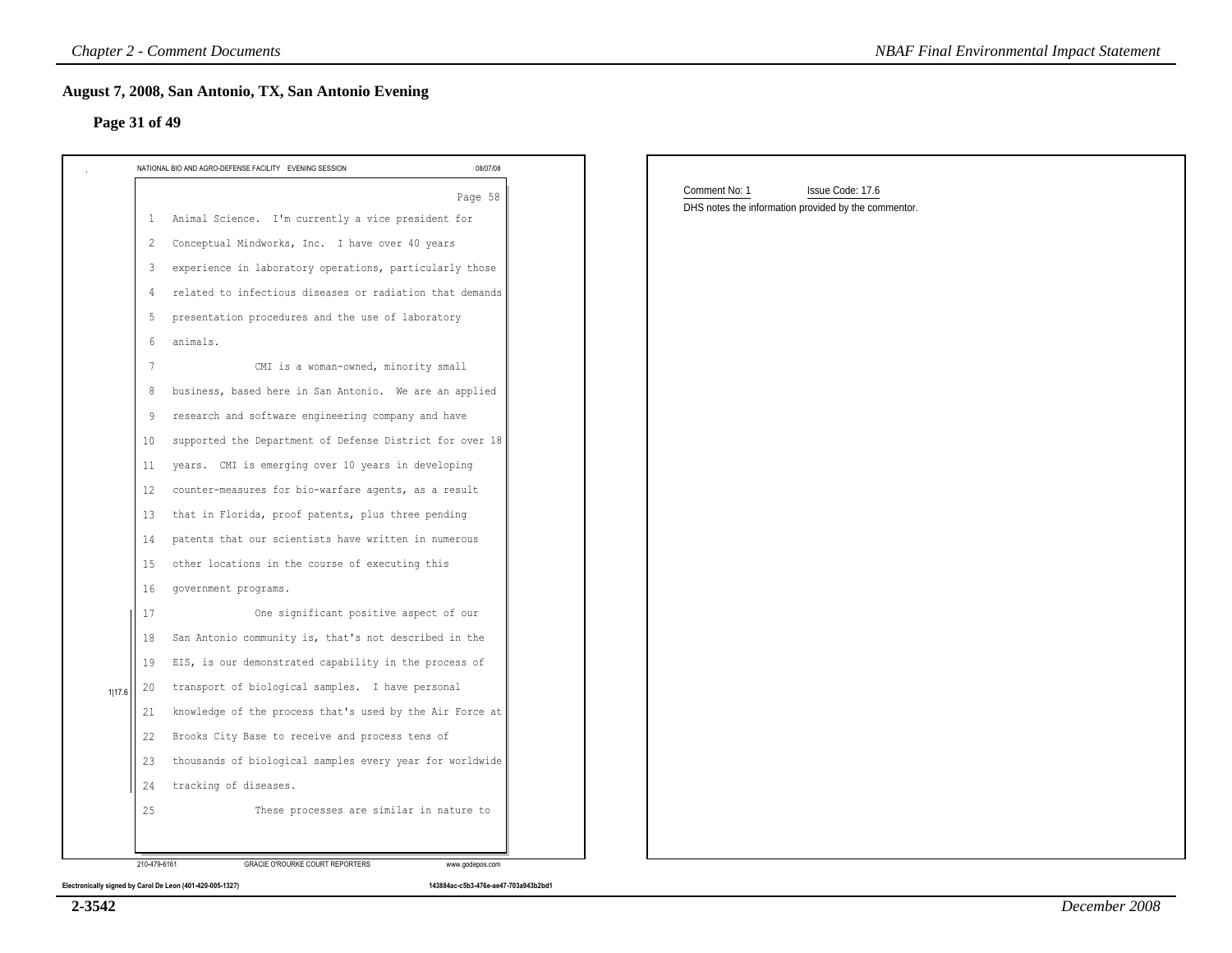| NATIONAL BIO AND AGRO-DEFENSE FACILITY EVENING SESSION         | 08/07/08 |                                                      |  |
|----------------------------------------------------------------|----------|------------------------------------------------------|--|
|                                                                | Page 58  | Comment No: 1<br>Issue Code: 17.6                    |  |
| 1 Animal Science. I'm currently a vice president for           |          | DHS notes the information provided by the commentor. |  |
| Conceptual Mindworks, Inc. I have over 40 years<br>2           |          |                                                      |  |
| experience in laboratory operations, particularly those<br>3   |          |                                                      |  |
| related to infectious diseases or radiation that demands<br>4  |          |                                                      |  |
| presentation procedures and the use of laboratory<br>5         |          |                                                      |  |
| animals.<br>6                                                  |          |                                                      |  |
| CMI is a woman-owned, minority small<br>7                      |          |                                                      |  |
| business, based here in San Antonio. We are an applied<br>8    |          |                                                      |  |
| research and software engineering company and have<br>9        |          |                                                      |  |
| supported the Department of Defense District for over 18<br>10 |          |                                                      |  |
| years. CMI is emerging over 10 years in developing<br>11       |          |                                                      |  |
| counter-measures for bio-warfare agents, as a result<br>12     |          |                                                      |  |
| that in Florida, proof patents, plus three pending<br>13       |          |                                                      |  |
| patents that our scientists have written in numerous<br>14     |          |                                                      |  |
| other locations in the course of executing this<br>15          |          |                                                      |  |
| 16<br>government programs.                                     |          |                                                      |  |
| One significant positive aspect of our<br>17                   |          |                                                      |  |
| San Antonio community is, that's not described in the<br>18    |          |                                                      |  |
| EIS, is our demonstrated capability in the process of<br>19    |          |                                                      |  |
| transport of biological samples. I have personal<br>20         |          |                                                      |  |
| knowledge of the process that's used by the Air Force at<br>21 |          |                                                      |  |
| Brooks City Base to receive and process tens of<br>22          |          |                                                      |  |
| thousands of biological samples every year for worldwide<br>23 |          |                                                      |  |
| 24 tracking of diseases.                                       |          |                                                      |  |

**2-3542**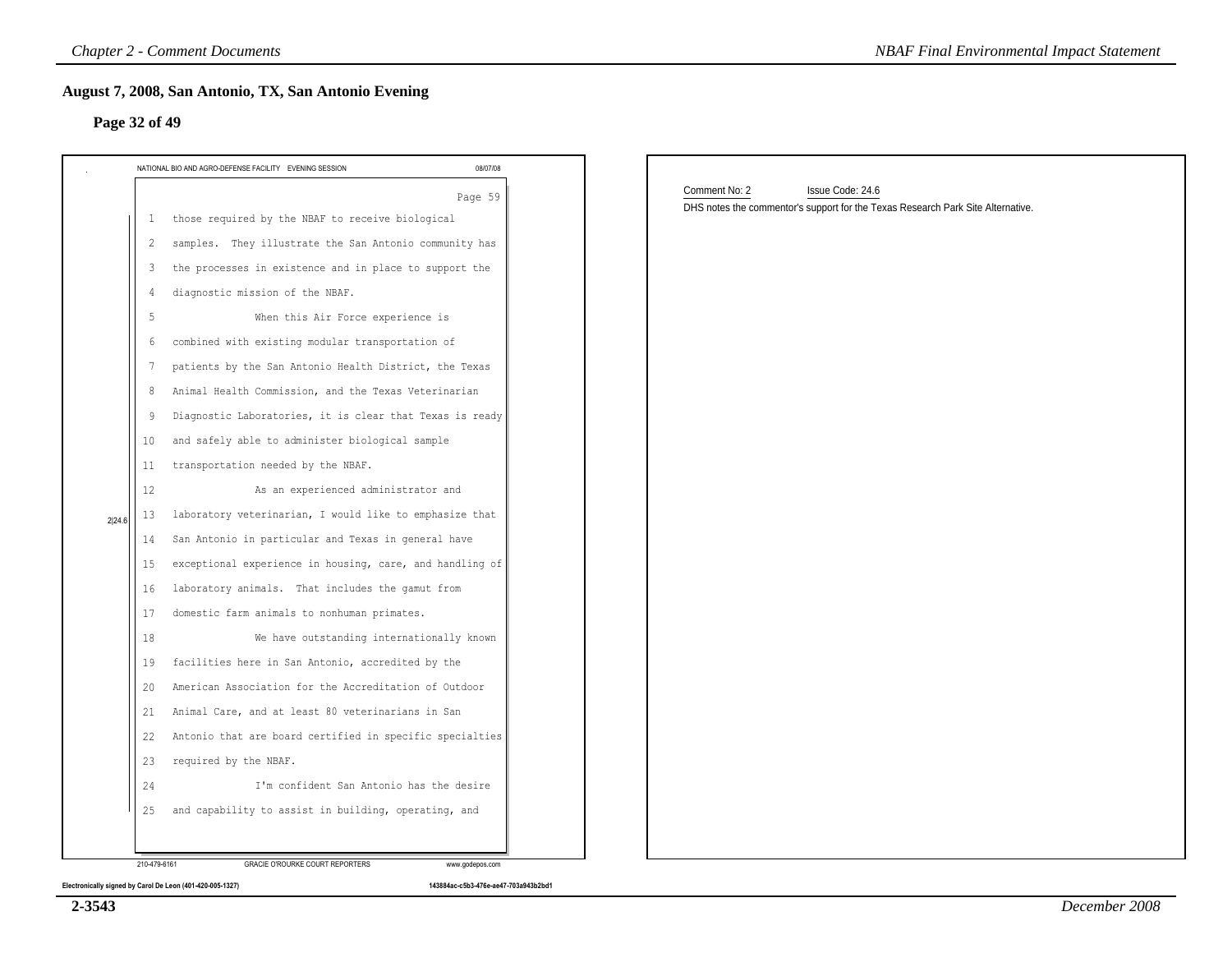| Comment No: 2<br>Issue Code: 24.6<br>Page 59<br>DHS notes the commentor's support for the Texas Research Park Site Alternative.<br>those required by the NBAF to receive biological<br>samples. They illustrate the San Antonio community has<br>the processes in existence and in place to support the<br>diagnostic mission of the NBAF.<br>When this Air Force experience is<br>combined with existing modular transportation of<br>patients by the San Antonio Health District, the Texas<br>Animal Health Commission, and the Texas Veterinarian<br>Diagnostic Laboratories, it is clear that Texas is ready<br>and safely able to administer biological sample<br>transportation needed by the NBAF.<br>As an experienced administrator and<br>laboratory veterinarian, I would like to emphasize that<br>San Antonio in particular and Texas in general have<br>exceptional experience in housing, care, and handling of<br>laboratory animals. That includes the gamut from<br>domestic farm animals to nonhuman primates.<br>We have outstanding internationally known<br>facilities here in San Antonio, accredited by the<br>American Association for the Accreditation of Outdoor<br>Animal Care, and at least 80 veterinarians in San<br>Antonio that are board certified in specific specialties<br>required by the NBAF. |     | 08/07/08 |  |
|-----------------------------------------------------------------------------------------------------------------------------------------------------------------------------------------------------------------------------------------------------------------------------------------------------------------------------------------------------------------------------------------------------------------------------------------------------------------------------------------------------------------------------------------------------------------------------------------------------------------------------------------------------------------------------------------------------------------------------------------------------------------------------------------------------------------------------------------------------------------------------------------------------------------------------------------------------------------------------------------------------------------------------------------------------------------------------------------------------------------------------------------------------------------------------------------------------------------------------------------------------------------------------------------------------------------------------------------|-----|----------|--|
|                                                                                                                                                                                                                                                                                                                                                                                                                                                                                                                                                                                                                                                                                                                                                                                                                                                                                                                                                                                                                                                                                                                                                                                                                                                                                                                                         |     |          |  |
|                                                                                                                                                                                                                                                                                                                                                                                                                                                                                                                                                                                                                                                                                                                                                                                                                                                                                                                                                                                                                                                                                                                                                                                                                                                                                                                                         | -1. |          |  |
|                                                                                                                                                                                                                                                                                                                                                                                                                                                                                                                                                                                                                                                                                                                                                                                                                                                                                                                                                                                                                                                                                                                                                                                                                                                                                                                                         | 2   |          |  |
|                                                                                                                                                                                                                                                                                                                                                                                                                                                                                                                                                                                                                                                                                                                                                                                                                                                                                                                                                                                                                                                                                                                                                                                                                                                                                                                                         | 3   |          |  |
|                                                                                                                                                                                                                                                                                                                                                                                                                                                                                                                                                                                                                                                                                                                                                                                                                                                                                                                                                                                                                                                                                                                                                                                                                                                                                                                                         |     |          |  |
|                                                                                                                                                                                                                                                                                                                                                                                                                                                                                                                                                                                                                                                                                                                                                                                                                                                                                                                                                                                                                                                                                                                                                                                                                                                                                                                                         | 5   |          |  |
|                                                                                                                                                                                                                                                                                                                                                                                                                                                                                                                                                                                                                                                                                                                                                                                                                                                                                                                                                                                                                                                                                                                                                                                                                                                                                                                                         | 6   |          |  |
|                                                                                                                                                                                                                                                                                                                                                                                                                                                                                                                                                                                                                                                                                                                                                                                                                                                                                                                                                                                                                                                                                                                                                                                                                                                                                                                                         | 7   |          |  |
|                                                                                                                                                                                                                                                                                                                                                                                                                                                                                                                                                                                                                                                                                                                                                                                                                                                                                                                                                                                                                                                                                                                                                                                                                                                                                                                                         | 8   |          |  |
|                                                                                                                                                                                                                                                                                                                                                                                                                                                                                                                                                                                                                                                                                                                                                                                                                                                                                                                                                                                                                                                                                                                                                                                                                                                                                                                                         | -9  |          |  |
|                                                                                                                                                                                                                                                                                                                                                                                                                                                                                                                                                                                                                                                                                                                                                                                                                                                                                                                                                                                                                                                                                                                                                                                                                                                                                                                                         | 10  |          |  |
|                                                                                                                                                                                                                                                                                                                                                                                                                                                                                                                                                                                                                                                                                                                                                                                                                                                                                                                                                                                                                                                                                                                                                                                                                                                                                                                                         | 11  |          |  |
|                                                                                                                                                                                                                                                                                                                                                                                                                                                                                                                                                                                                                                                                                                                                                                                                                                                                                                                                                                                                                                                                                                                                                                                                                                                                                                                                         | 12  |          |  |
|                                                                                                                                                                                                                                                                                                                                                                                                                                                                                                                                                                                                                                                                                                                                                                                                                                                                                                                                                                                                                                                                                                                                                                                                                                                                                                                                         | 13  |          |  |
|                                                                                                                                                                                                                                                                                                                                                                                                                                                                                                                                                                                                                                                                                                                                                                                                                                                                                                                                                                                                                                                                                                                                                                                                                                                                                                                                         | 14  |          |  |
|                                                                                                                                                                                                                                                                                                                                                                                                                                                                                                                                                                                                                                                                                                                                                                                                                                                                                                                                                                                                                                                                                                                                                                                                                                                                                                                                         | 15  |          |  |
|                                                                                                                                                                                                                                                                                                                                                                                                                                                                                                                                                                                                                                                                                                                                                                                                                                                                                                                                                                                                                                                                                                                                                                                                                                                                                                                                         | 16  |          |  |
|                                                                                                                                                                                                                                                                                                                                                                                                                                                                                                                                                                                                                                                                                                                                                                                                                                                                                                                                                                                                                                                                                                                                                                                                                                                                                                                                         | 17  |          |  |
|                                                                                                                                                                                                                                                                                                                                                                                                                                                                                                                                                                                                                                                                                                                                                                                                                                                                                                                                                                                                                                                                                                                                                                                                                                                                                                                                         | 18  |          |  |
|                                                                                                                                                                                                                                                                                                                                                                                                                                                                                                                                                                                                                                                                                                                                                                                                                                                                                                                                                                                                                                                                                                                                                                                                                                                                                                                                         | 19  |          |  |
|                                                                                                                                                                                                                                                                                                                                                                                                                                                                                                                                                                                                                                                                                                                                                                                                                                                                                                                                                                                                                                                                                                                                                                                                                                                                                                                                         | 20  |          |  |
|                                                                                                                                                                                                                                                                                                                                                                                                                                                                                                                                                                                                                                                                                                                                                                                                                                                                                                                                                                                                                                                                                                                                                                                                                                                                                                                                         | 21  |          |  |
|                                                                                                                                                                                                                                                                                                                                                                                                                                                                                                                                                                                                                                                                                                                                                                                                                                                                                                                                                                                                                                                                                                                                                                                                                                                                                                                                         | 22  |          |  |
|                                                                                                                                                                                                                                                                                                                                                                                                                                                                                                                                                                                                                                                                                                                                                                                                                                                                                                                                                                                                                                                                                                                                                                                                                                                                                                                                         | 23  |          |  |
| I'm confident San Antonio has the desire                                                                                                                                                                                                                                                                                                                                                                                                                                                                                                                                                                                                                                                                                                                                                                                                                                                                                                                                                                                                                                                                                                                                                                                                                                                                                                | 24  |          |  |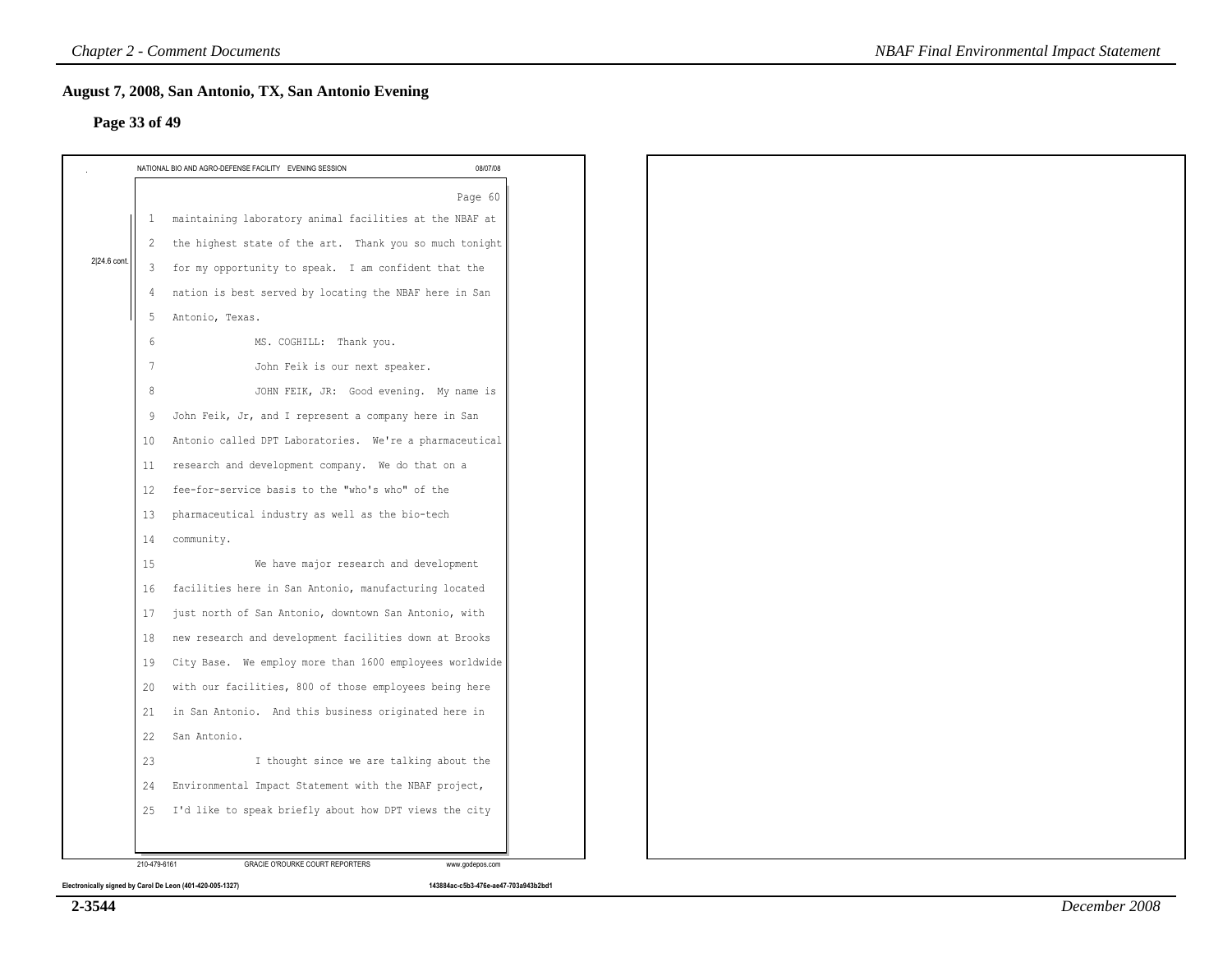|              | Page 33 of 49                                                                                                                                                                                        |          |  |
|--------------|------------------------------------------------------------------------------------------------------------------------------------------------------------------------------------------------------|----------|--|
|              | NATIONAL BIO AND AGRO-DEFENSE FACILITY EVENING SESSION                                                                                                                                               | 08/07/08 |  |
| 2 24.6 cont. | maintaining laboratory animal facilities at the NBAF at<br>$\mathbf{1}$<br>the highest state of the art. Thank you so much tonight<br>2<br>for my opportunity to speak. I am confident that the<br>3 | Page 60  |  |
|              | nation is best served by locating the NBAF here in San<br>4<br>Antonio, Texas.<br>5<br>MS. COGHILL: Thank you.<br>6                                                                                  |          |  |
|              | 7<br>John Feik is our next speaker.<br>JOHN FEIK, JR: Good evening. My name is<br>8                                                                                                                  |          |  |
|              | John Feik, Jr, and I represent a company here in San<br>9<br>Antonio called DPT Laboratories. We're a pharmaceutical<br>10<br>research and development company. We do that on a<br>11                |          |  |
|              | fee-for-service basis to the "who's who" of the<br>12<br>pharmaceutical industry as well as the bio-tech<br>13                                                                                       |          |  |
|              | 14<br>community.<br>We have major research and development<br>15<br>facilities here in San Antonio, manufacturing located<br>16                                                                      |          |  |
|              | just north of San Antonio, downtown San Antonio, with<br>17<br>new research and development facilities down at Brooks<br>18<br>City Base. We employ more than 1600 employees worldwide<br>19         |          |  |
|              | with our facilities, 800 of those employees being here<br>20<br>in San Antonio. And this business originated here in<br>21                                                                           |          |  |
|              | 22<br>San Antonio.<br>23<br>I thought since we are talking about the<br>Environmental Impact Statement with the NBAF project,<br>24                                                                  |          |  |
|              | I'd like to speak briefly about how DPT views the city<br>25                                                                                                                                         |          |  |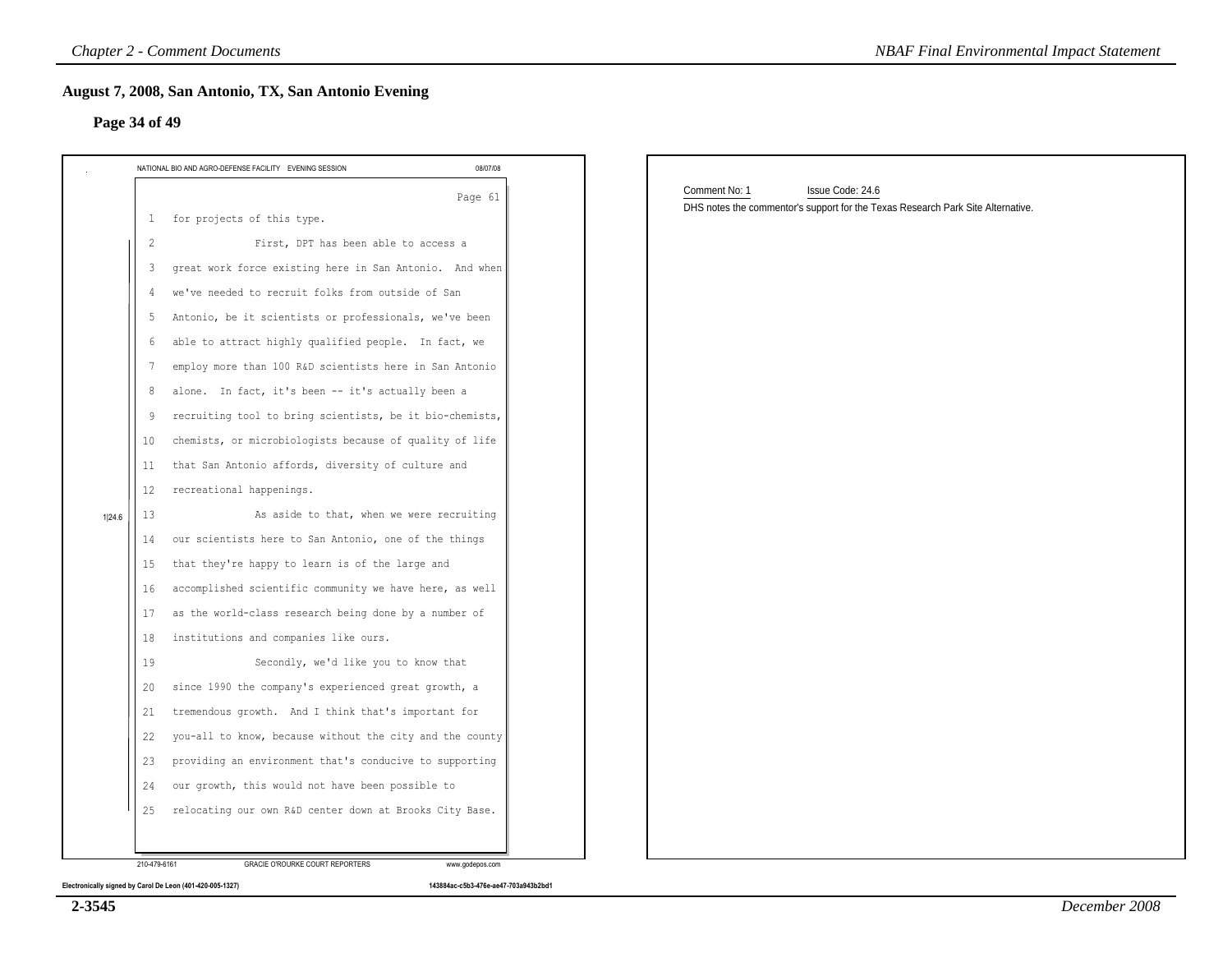# **Page 34 of 49**

| NATIONAL BIO AND AGRO-DEFENSE FACILITY EVENING SESSION        | 08/07/08 |                                                                                                                      |
|---------------------------------------------------------------|----------|----------------------------------------------------------------------------------------------------------------------|
| 1 for projects of this type.                                  | Page 61  | Comment No: 1<br>Issue Code: 24.6<br>DHS notes the commentor's support for the Texas Research Park Site Alternative. |
| $\overline{2}$<br>First, DPT has been able to access a        |          |                                                                                                                      |
| great work force existing here in San Antonio. And when<br>3  |          |                                                                                                                      |
| we've needed to recruit folks from outside of San<br>4        |          |                                                                                                                      |
| Antonio, be it scientists or professionals, we've been<br>-5  |          |                                                                                                                      |
| able to attract highly qualified people. In fact, we<br>6     |          |                                                                                                                      |
| employ more than 100 R&D scientists here in San Antonio<br>7  |          |                                                                                                                      |
| alone. In fact, it's been -- it's actually been a<br>8        |          |                                                                                                                      |
| recruiting tool to bring scientists, be it bio-chemists,<br>9 |          |                                                                                                                      |
| chemists, or microbiologists because of quality of life       |          |                                                                                                                      |
| that San Antonio affords, diversity of culture and            |          |                                                                                                                      |
| 12<br>recreational happenings.                                |          |                                                                                                                      |
| As aside to that, when we were recruiting<br>13               |          |                                                                                                                      |
| our scientists here to San Antonio, one of the things         |          |                                                                                                                      |
| that they're happy to learn is of the large and               |          |                                                                                                                      |
| accomplished scientific community we have here, as well       |          |                                                                                                                      |
| as the world-class research being done by a number of         |          |                                                                                                                      |
| institutions and companies like ours.                         |          |                                                                                                                      |
| Secondly, we'd like you to know that                          |          |                                                                                                                      |
| since 1990 the company's experienced great growth, a          |          |                                                                                                                      |
| tremendous growth. And I think that's important for           |          |                                                                                                                      |
| you-all to know, because without the city and the county      |          |                                                                                                                      |
| providing an environment that's conducive to supporting       |          |                                                                                                                      |
| our growth, this would not have been possible to              |          |                                                                                                                      |
| relocating our own R&D center down at Brooks City Base.       |          |                                                                                                                      |

**2-3545**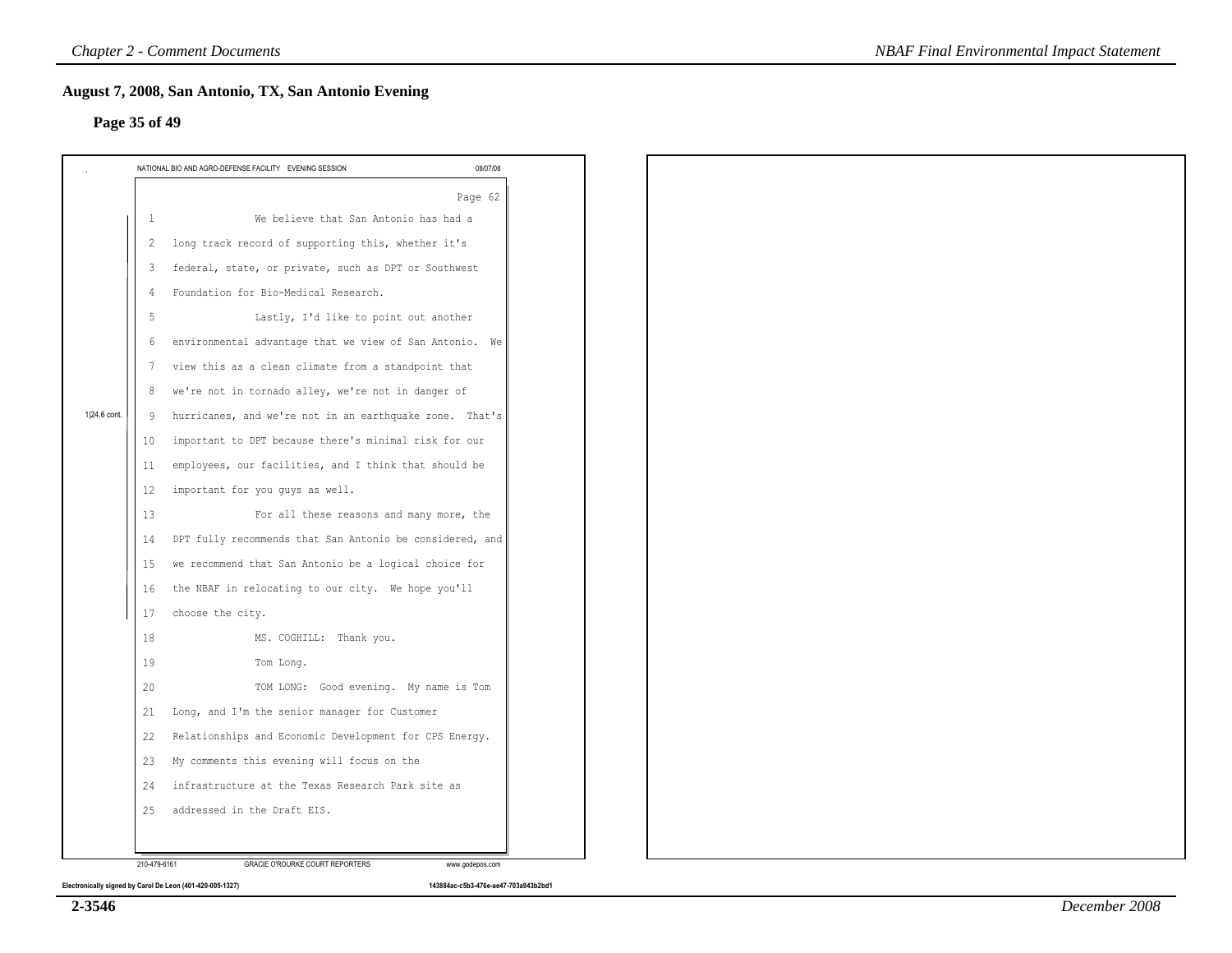# **Page 35 of 49**

|              |                | NATIONAL BIO AND AGRO-DEFENSE FACILITY EVENING SESSION   | 08/07/08 |
|--------------|----------------|----------------------------------------------------------|----------|
|              |                |                                                          | Page 62  |
|              | $\overline{1}$ | We believe that San Antonio has had a                    |          |
|              | 2              | long track record of supporting this, whether it's       |          |
|              | 3              | federal, state, or private, such as DPT or Southwest     |          |
|              | $\overline{4}$ | Foundation for Bio-Medical Research.                     |          |
|              | 5              | Lastly, I'd like to point out another                    |          |
|              | 6              | environmental advantage that we view of San Antonio. We  |          |
|              | 7              | view this as a clean climate from a standpoint that      |          |
|              | 8              | we're not in tornado alley, we're not in danger of       |          |
| 1 24.6 cont. | 9              | hurricanes, and we're not in an earthquake zone. That's  |          |
|              | 10             | important to DPT because there's minimal risk for our    |          |
|              | 11             | employees, our facilities, and I think that should be    |          |
|              | 12             | important for you guys as well.                          |          |
|              | 13             | For all these reasons and many more, the                 |          |
|              | 14             | DPT fully recommends that San Antonio be considered, and |          |
|              | 15             | we recommend that San Antonio be a logical choice for    |          |
|              | 16             | the NBAF in relocating to our city. We hope you'll       |          |
|              | 17             | choose the city.                                         |          |
|              | 18             | MS. COGHILL: Thank you.                                  |          |
|              | 19             | Tom Long.                                                |          |
|              | 20             | TOM LONG: Good evening. My name is Tom                   |          |
|              | 21             | Long, and I'm the senior manager for Customer            |          |
|              | 22             | Relationships and Economic Development for CPS Energy.   |          |
|              | 23             | My comments this evening will focus on the               |          |
|              | 24             | infrastructure at the Texas Research Park site as        |          |
|              | 25             | addressed in the Draft EIS.                              |          |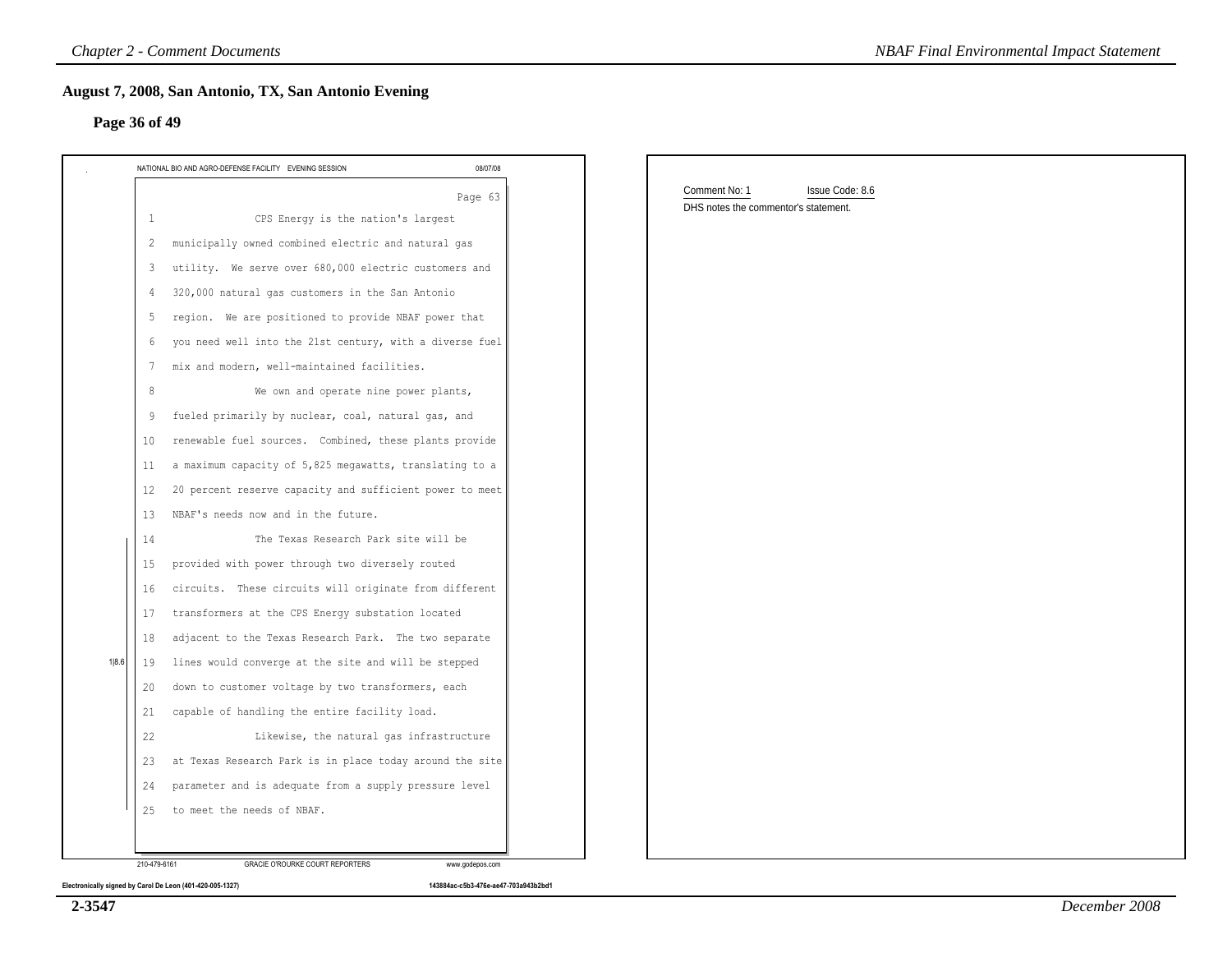| NATIONAL BIO AND AGRO-DEFENSE FACILITY EVENING SESSION         | 08/07/08 | Comment No: 1<br>Issue Code: 8.6     |  |
|----------------------------------------------------------------|----------|--------------------------------------|--|
| CPS Energy is the nation's largest<br>1                        | Page 63  | DHS notes the commentor's statement. |  |
| municipally owned combined electric and natural gas<br>2       |          |                                      |  |
| utility. We serve over 680,000 electric customers and<br>3     |          |                                      |  |
| 320,000 natural gas customers in the San Antonio               |          |                                      |  |
| region. We are positioned to provide NBAF power that<br>5      |          |                                      |  |
| you need well into the 21st century, with a diverse fuel<br>6  |          |                                      |  |
| mix and modern, well-maintained facilities.<br>7               |          |                                      |  |
| We own and operate nine power plants,<br>8                     |          |                                      |  |
| fueled primarily by nuclear, coal, natural gas, and            |          |                                      |  |
| renewable fuel sources. Combined, these plants provide<br>10   |          |                                      |  |
| a maximum capacity of 5,825 megawatts, translating to a<br>-11 |          |                                      |  |
| 20 percent reserve capacity and sufficient power to meet<br>12 |          |                                      |  |
| NBAF's needs now and in the future.<br>-13                     |          |                                      |  |
| The Texas Research Park site will be<br>14                     |          |                                      |  |
| provided with power through two diversely routed<br>15         |          |                                      |  |
| circuits. These circuits will originate from different<br>16   |          |                                      |  |
| transformers at the CPS Energy substation located<br>17        |          |                                      |  |
| adjacent to the Texas Research Park. The two separate<br>18    |          |                                      |  |
| lines would converge at the site and will be stepped<br>19     |          |                                      |  |
| down to customer voltage by two transformers, each<br>20       |          |                                      |  |
| capable of handling the entire facility load.<br>21            |          |                                      |  |
| 22<br>Likewise, the natural gas infrastructure                 |          |                                      |  |
| at Texas Research Park is in place today around the site<br>23 |          |                                      |  |
| parameter and is adequate from a supply pressure level<br>24   |          |                                      |  |

**Electronically signed by Carol De Leon (401-420-005-1327) 143884ac-c5b3-476e-ae47-703a943b2bd1**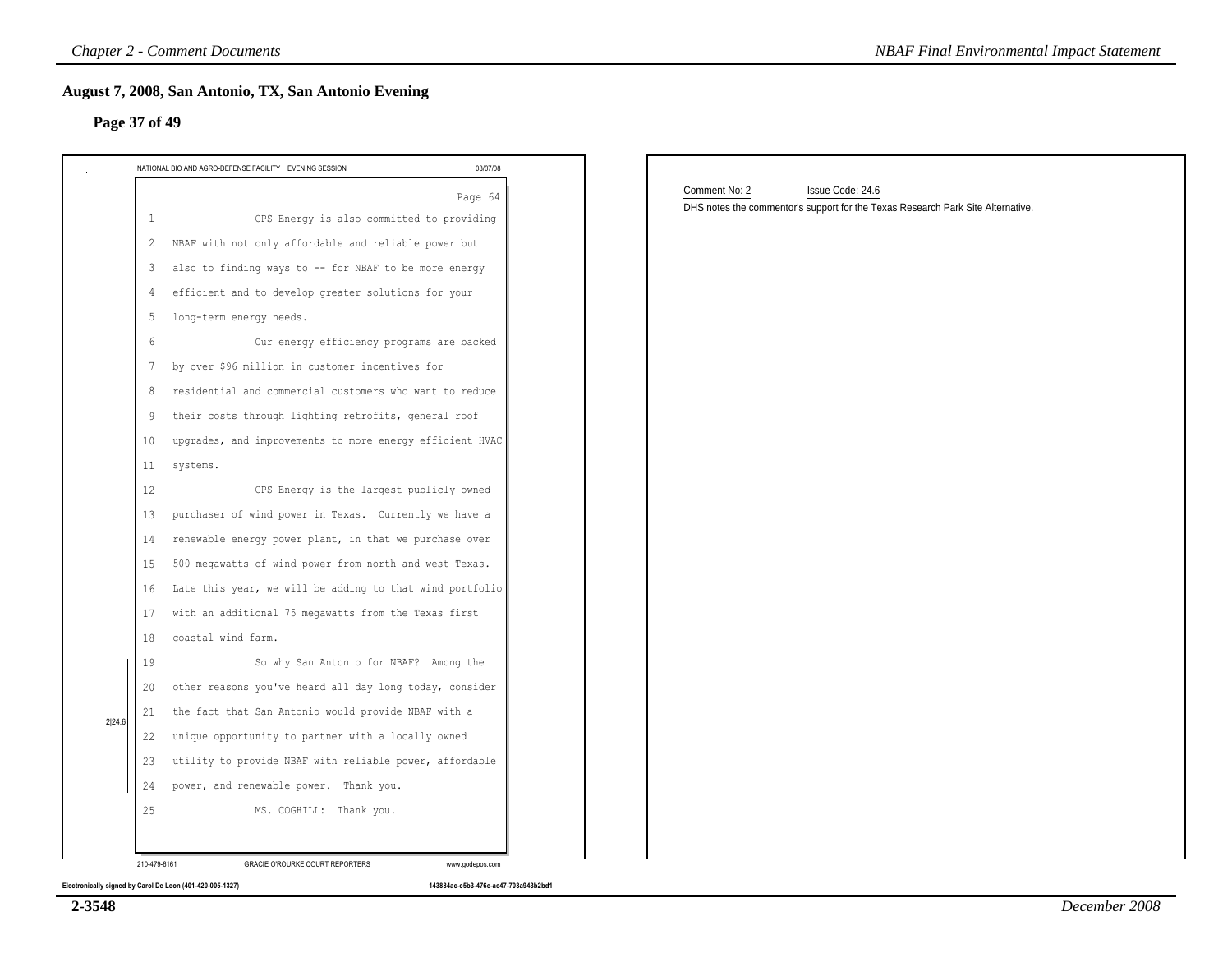| NATIONAL BIO AND AGRO-DEFENSE FACILITY EVENING SESSION   | 08/07/08 |                                                                                                                      |
|----------------------------------------------------------|----------|----------------------------------------------------------------------------------------------------------------------|
|                                                          | Page 64  | Comment No: 2<br>Issue Code: 24.6<br>DHS notes the commentor's support for the Texas Research Park Site Alternative. |
| CPS Energy is also committed to providing                |          |                                                                                                                      |
| NBAF with not only affordable and reliable power but     |          |                                                                                                                      |
| also to finding ways to -- for NBAF to be more energy    |          |                                                                                                                      |
| efficient and to develop greater solutions for your      |          |                                                                                                                      |
| long-term energy needs.                                  |          |                                                                                                                      |
| Our energy efficiency programs are backed                |          |                                                                                                                      |
| by over \$96 million in customer incentives for          |          |                                                                                                                      |
| residential and commercial customers who want to reduce  |          |                                                                                                                      |
| their costs through lighting retrofits, general roof     |          |                                                                                                                      |
| upgrades, and improvements to more energy efficient HVAC |          |                                                                                                                      |
| systems.                                                 |          |                                                                                                                      |
| CPS Energy is the largest publicly owned                 |          |                                                                                                                      |
| purchaser of wind power in Texas. Currently we have a    |          |                                                                                                                      |
| renewable energy power plant, in that we purchase over   |          |                                                                                                                      |
| 500 megawatts of wind power from north and west Texas.   |          |                                                                                                                      |
| Late this year, we will be adding to that wind portfolio |          |                                                                                                                      |
| with an additional 75 megawatts from the Texas first     |          |                                                                                                                      |
| coastal wind farm.                                       |          |                                                                                                                      |
| So why San Antonio for NBAF? Among the                   |          |                                                                                                                      |
| other reasons you've heard all day long today, consider  |          |                                                                                                                      |
| the fact that San Antonio would provide NBAF with a      |          |                                                                                                                      |
| unique opportunity to partner with a locally owned       |          |                                                                                                                      |
| utility to provide NBAF with reliable power, affordable  |          |                                                                                                                      |
| power, and renewable power. Thank you.                   |          |                                                                                                                      |
| MS. COGHILL: Thank you.                                  |          |                                                                                                                      |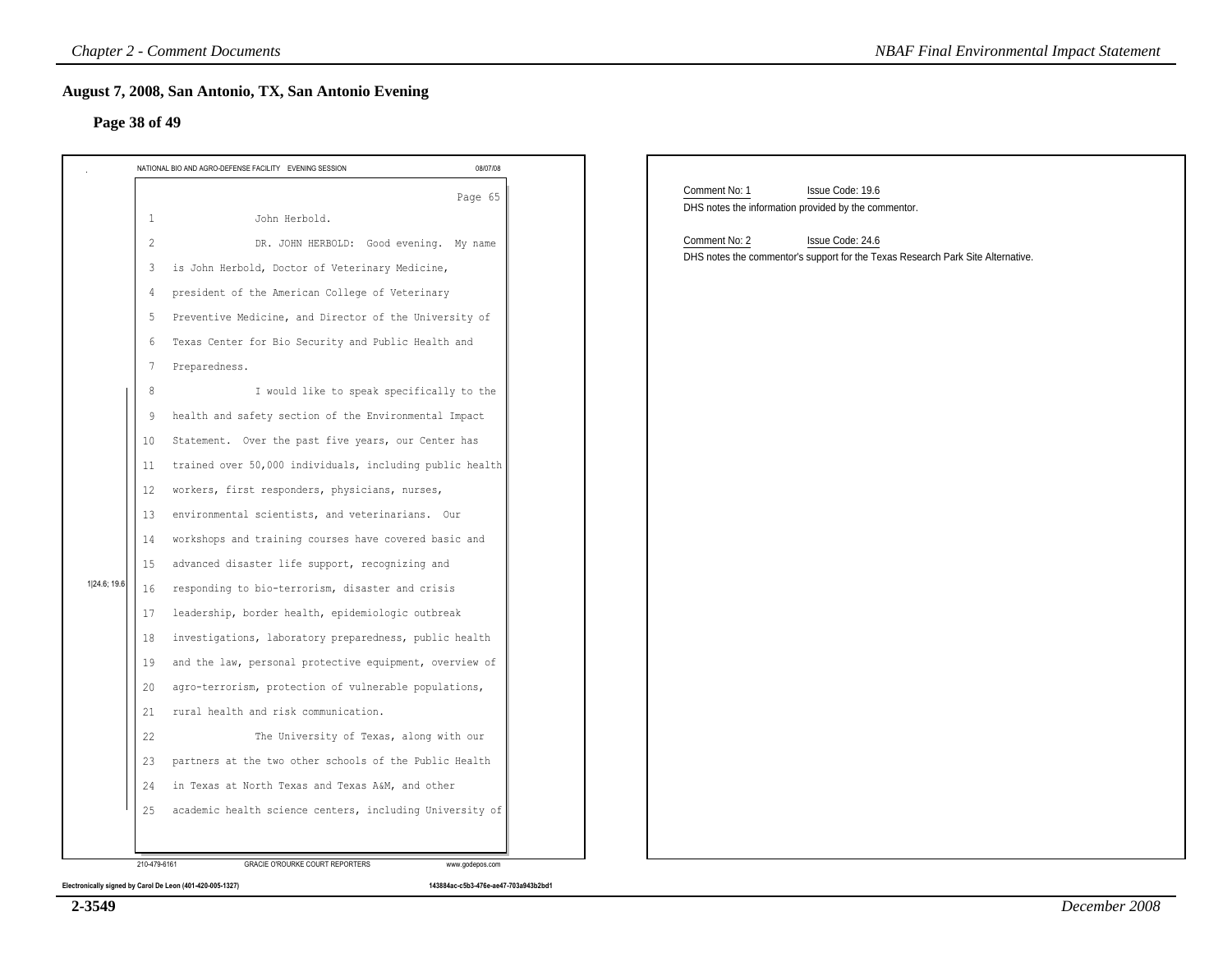|              | NATIONAL BIO AND AGRO-DEFENSE FACILITY EVENING SESSION<br>08/07/08                                                                                                                                                                                                                                                                                                                                                                                                                                                                                                                                                                                                                                                                                                                                                                                                                                                                                                                                                                                           |                                                                                                                      |
|--------------|--------------------------------------------------------------------------------------------------------------------------------------------------------------------------------------------------------------------------------------------------------------------------------------------------------------------------------------------------------------------------------------------------------------------------------------------------------------------------------------------------------------------------------------------------------------------------------------------------------------------------------------------------------------------------------------------------------------------------------------------------------------------------------------------------------------------------------------------------------------------------------------------------------------------------------------------------------------------------------------------------------------------------------------------------------------|----------------------------------------------------------------------------------------------------------------------|
|              | Page 65<br>John Herbold.<br>$\mathbf{1}$                                                                                                                                                                                                                                                                                                                                                                                                                                                                                                                                                                                                                                                                                                                                                                                                                                                                                                                                                                                                                     | Comment No: 1<br>Issue Code: 19.6<br>DHS notes the information provided by the commentor.                            |
| 1 24.6; 19.6 | DR. JOHN HERBOLD: Good evening. My name<br>2<br>is John Herbold, Doctor of Veterinary Medicine,<br>3<br>president of the American College of Veterinary<br>4<br>Preventive Medicine, and Director of the University of<br>5<br>Texas Center for Bio Security and Public Health and<br>6<br>Preparedness.<br>7<br>I would like to speak specifically to the<br>8<br>health and safety section of the Environmental Impact<br>9<br>Statement. Over the past five years, our Center has<br>10<br>trained over 50,000 individuals, including public health<br>11<br>workers, first responders, physicians, nurses,<br>12<br>environmental scientists, and veterinarians. Our<br>13<br>workshops and training courses have covered basic and<br>14<br>advanced disaster life support, recognizing and<br>15<br>responding to bio-terrorism, disaster and crisis<br>16<br>leadership, border health, epidemiologic outbreak<br>17<br>investigations, laboratory preparedness, public health<br>18<br>and the law, personal protective equipment, overview of<br>19 | Comment No: 2<br>Issue Code: 24.6<br>DHS notes the commentor's support for the Texas Research Park Site Alternative. |
|              | agro-terrorism, protection of vulnerable populations,<br>20<br>rural health and risk communication.<br>21<br>22<br>The University of Texas, along with our                                                                                                                                                                                                                                                                                                                                                                                                                                                                                                                                                                                                                                                                                                                                                                                                                                                                                                   |                                                                                                                      |
|              | partners at the two other schools of the Public Health<br>23<br>in Texas at North Texas and Texas A&M, and other<br>24                                                                                                                                                                                                                                                                                                                                                                                                                                                                                                                                                                                                                                                                                                                                                                                                                                                                                                                                       |                                                                                                                      |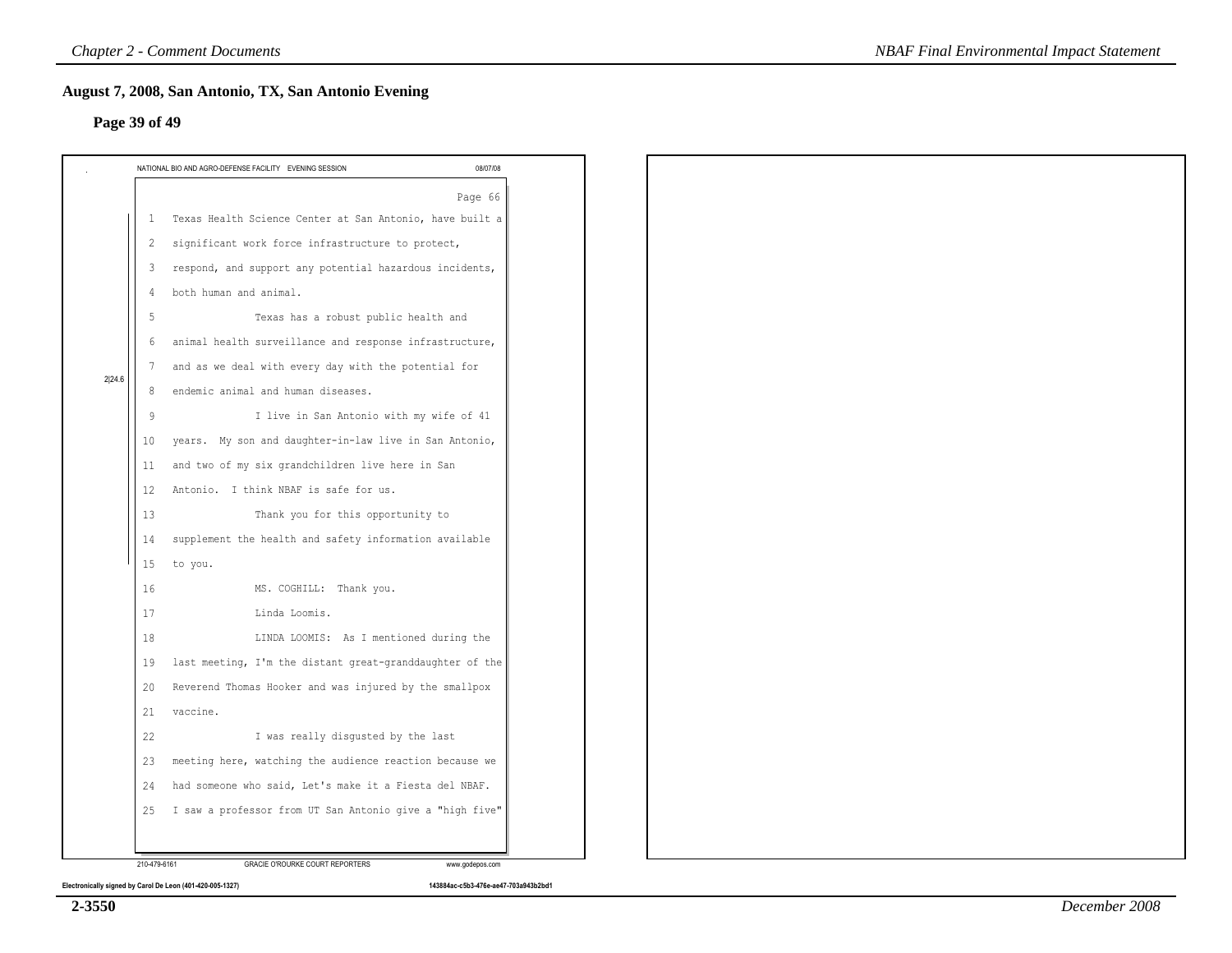|        |                 | NATIONAL BIO AND AGRO-DEFENSE FACILITY EVENING SESSION<br>08/07/08 |
|--------|-----------------|--------------------------------------------------------------------|
|        |                 | Page 66                                                            |
|        | 1               | Texas Health Science Center at San Antonio, have built a           |
|        | 2               | significant work force infrastructure to protect,                  |
|        | 3               | respond, and support any potential hazardous incidents,            |
|        | 4               | both human and animal.                                             |
|        | 5               | Texas has a robust public health and                               |
|        | 6               | animal health surveillance and response infrastructure,            |
| 2 24.6 | $7\phantom{.0}$ | and as we deal with every day with the potential for               |
|        | 8               | endemic animal and human diseases.                                 |
|        | 9               | I live in San Antonio with my wife of 41                           |
|        | 10              | years. My son and daughter-in-law live in San Antonio,             |
|        | 11              | and two of my six grandchildren live here in San                   |
|        | 12              | Antonio. I think NBAF is safe for us.                              |
|        | 13              | Thank you for this opportunity to                                  |
|        | 14              | supplement the health and safety information available             |
|        | 15              | to you.                                                            |
|        | 16              | MS. COGHILL: Thank you.                                            |
|        | 17              | Linda Loomis.                                                      |
|        | 18              | LINDA LOOMIS: As I mentioned during the                            |
|        | 19              | last meeting, I'm the distant great-granddaughter of the           |
|        | 20              | Reverend Thomas Hooker and was injured by the smallpox             |
|        | 21              | vaccine.                                                           |
|        | 22              | I was really disgusted by the last                                 |
|        | 23              | meeting here, watching the audience reaction because we            |
|        | 24              | had someone who said, Let's make it a Fiesta del NBAF.             |
|        | 25              | I saw a professor from UT San Antonio give a "high five"           |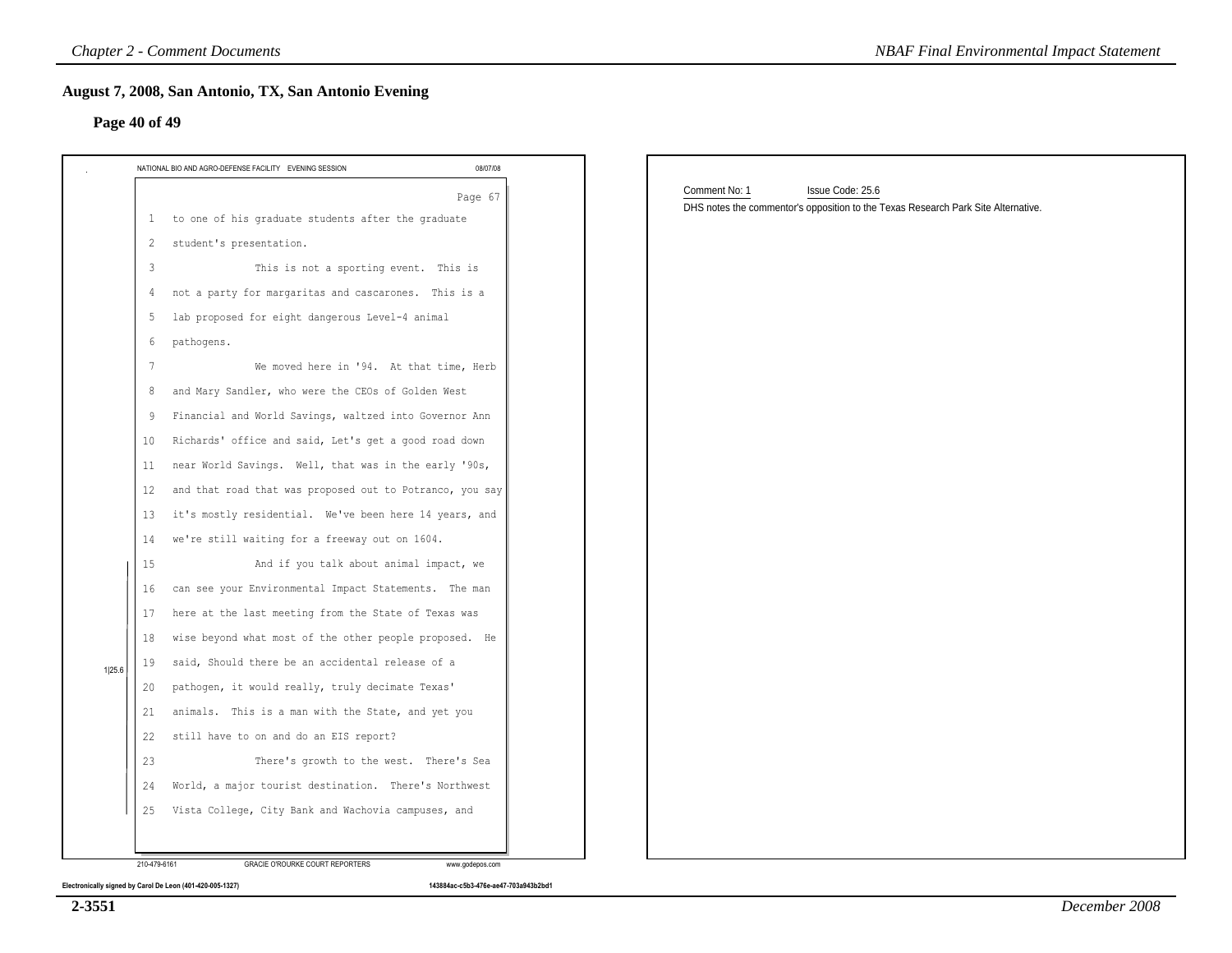|        | 08/07/08<br>NATIONAL BIO AND AGRO-DEFENSE FACILITY EVENING SESSION |                                                                                   |
|--------|--------------------------------------------------------------------|-----------------------------------------------------------------------------------|
|        | Page 67                                                            | Comment No: 1<br>Issue Code: 25.6                                                 |
|        | 1 to one of his graduate students after the graduate               | DHS notes the commentor's opposition to the Texas Research Park Site Alternative. |
|        | student's presentation.<br>2                                       |                                                                                   |
|        | This is not a sporting event. This is<br>3                         |                                                                                   |
|        | not a party for margaritas and cascarones. This is a<br>4          |                                                                                   |
|        | lab proposed for eight dangerous Level-4 animal<br>5               |                                                                                   |
|        | pathogens.<br>6                                                    |                                                                                   |
|        | We moved here in '94. At that time, Herb<br>7                      |                                                                                   |
|        | and Mary Sandler, who were the CEOs of Golden West<br>8            |                                                                                   |
|        | Financial and World Savings, waltzed into Governor Ann<br>9        |                                                                                   |
|        | Richards' office and said, Let's get a good road down<br>10        |                                                                                   |
|        | near World Savings. Well, that was in the early '90s,<br>11        |                                                                                   |
|        | and that road that was proposed out to Potranco, you say<br>12     |                                                                                   |
|        | it's mostly residential. We've been here 14 years, and<br>13       |                                                                                   |
|        | we're still waiting for a freeway out on 1604.<br>14               |                                                                                   |
|        | And if you talk about animal impact, we<br>15                      |                                                                                   |
|        | can see your Environmental Impact Statements. The man<br>16        |                                                                                   |
|        | here at the last meeting from the State of Texas was<br>17         |                                                                                   |
|        | wise beyond what most of the other people proposed. He<br>18       |                                                                                   |
| 1 25.6 | said, Should there be an accidental release of a<br>19             |                                                                                   |
|        | pathogen, it would really, truly decimate Texas'<br>20             |                                                                                   |
|        | animals. This is a man with the State, and yet you<br>21           |                                                                                   |
|        | still have to on and do an EIS report?<br>22                       |                                                                                   |
|        | There's growth to the west. There's Sea<br>23                      |                                                                                   |
|        | World, a major tourist destination. There's Northwest<br>24        |                                                                                   |
|        | Vista College, City Bank and Wachovia campuses, and<br>25          |                                                                                   |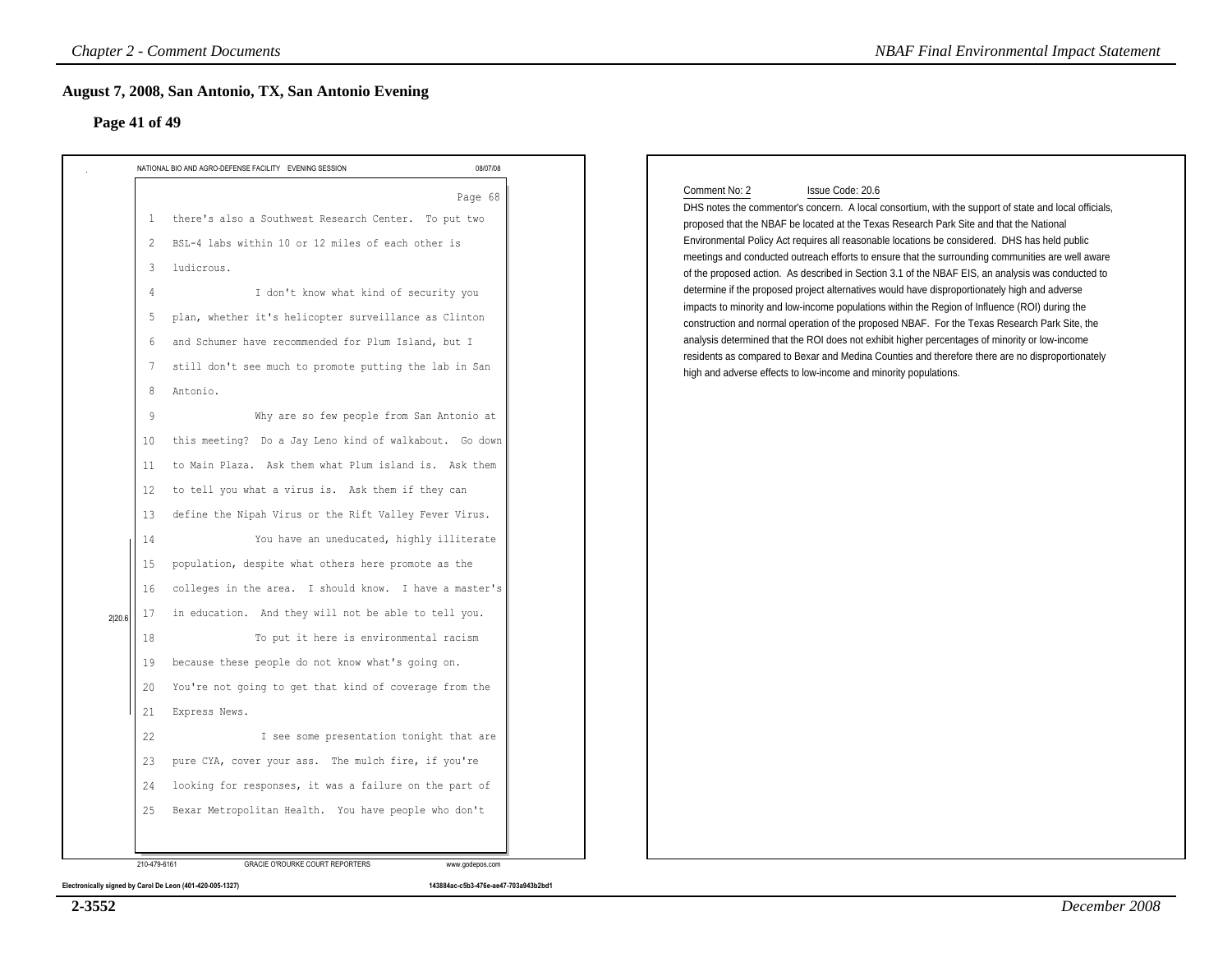|                                                                                                             | NATIONAL BIO AND AGRO-DEFENSE FACILITY EVENING SESSION                                                                                                                                                                                                                                                                                                                                                                                                                                                                                                                                                                                                                                                                                                                                                                                           | 08/07/08 |                                                                                                                                                                                                                                                                                                                                                                                                                                                                                                                                                                                                                                                                                                                                                                                                                                                                                                                                                                                                                                                                                                                                |
|-------------------------------------------------------------------------------------------------------------|--------------------------------------------------------------------------------------------------------------------------------------------------------------------------------------------------------------------------------------------------------------------------------------------------------------------------------------------------------------------------------------------------------------------------------------------------------------------------------------------------------------------------------------------------------------------------------------------------------------------------------------------------------------------------------------------------------------------------------------------------------------------------------------------------------------------------------------------------|----------|--------------------------------------------------------------------------------------------------------------------------------------------------------------------------------------------------------------------------------------------------------------------------------------------------------------------------------------------------------------------------------------------------------------------------------------------------------------------------------------------------------------------------------------------------------------------------------------------------------------------------------------------------------------------------------------------------------------------------------------------------------------------------------------------------------------------------------------------------------------------------------------------------------------------------------------------------------------------------------------------------------------------------------------------------------------------------------------------------------------------------------|
| -1<br>2<br>3<br>4<br>5<br>6<br>7<br>8<br>Antonio.<br>9<br>10<br>11<br>$12 \,$<br>13<br>14<br>15<br>16<br>17 | there's also a Southwest Research Center. To put two<br>BSL-4 labs within 10 or 12 miles of each other is<br>ludicrous.<br>I don't know what kind of security you<br>plan, whether it's helicopter surveillance as Clinton<br>and Schumer have recommended for Plum Island, but I<br>still don't see much to promote putting the lab in San<br>Why are so few people from San Antonio at<br>this meeting? Do a Jay Leno kind of walkabout. Go down<br>to Main Plaza. Ask them what Plum island is. Ask them<br>to tell you what a virus is. Ask them if they can<br>define the Nipah Virus or the Rift Valley Fever Virus.<br>You have an uneducated, highly illiterate<br>population, despite what others here promote as the<br>colleges in the area. I should know. I have a master's<br>in education. And they will not be able to tell you. | Page 68  | Comment No: 2<br>Issue Code: 20.6<br>DHS notes the commentor's concern. A local consortium, with the support of state and local officials,<br>proposed that the NBAF be located at the Texas Research Park Site and that the National<br>Environmental Policy Act requires all reasonable locations be considered. DHS has held public<br>meetings and conducted outreach efforts to ensure that the surrounding communities are well aware<br>of the proposed action. As described in Section 3.1 of the NBAF EIS, an analysis was conducted to<br>determine if the proposed project alternatives would have disproportionately high and adverse<br>impacts to minority and low-income populations within the Region of Influence (ROI) during the<br>construction and normal operation of the proposed NBAF. For the Texas Research Park Site, the<br>analysis determined that the ROI does not exhibit higher percentages of minority or low-income<br>residents as compared to Bexar and Medina Counties and therefore there are no disproportionately<br>high and adverse effects to low-income and minority populations. |
| 18                                                                                                          | To put it here is environmental racism                                                                                                                                                                                                                                                                                                                                                                                                                                                                                                                                                                                                                                                                                                                                                                                                           |          |                                                                                                                                                                                                                                                                                                                                                                                                                                                                                                                                                                                                                                                                                                                                                                                                                                                                                                                                                                                                                                                                                                                                |
| 19                                                                                                          | because these people do not know what's going on.                                                                                                                                                                                                                                                                                                                                                                                                                                                                                                                                                                                                                                                                                                                                                                                                |          |                                                                                                                                                                                                                                                                                                                                                                                                                                                                                                                                                                                                                                                                                                                                                                                                                                                                                                                                                                                                                                                                                                                                |
| 20                                                                                                          | You're not going to get that kind of coverage from the                                                                                                                                                                                                                                                                                                                                                                                                                                                                                                                                                                                                                                                                                                                                                                                           |          |                                                                                                                                                                                                                                                                                                                                                                                                                                                                                                                                                                                                                                                                                                                                                                                                                                                                                                                                                                                                                                                                                                                                |
| 21                                                                                                          | Express News.                                                                                                                                                                                                                                                                                                                                                                                                                                                                                                                                                                                                                                                                                                                                                                                                                                    |          |                                                                                                                                                                                                                                                                                                                                                                                                                                                                                                                                                                                                                                                                                                                                                                                                                                                                                                                                                                                                                                                                                                                                |
| 22                                                                                                          | I see some presentation tonight that are                                                                                                                                                                                                                                                                                                                                                                                                                                                                                                                                                                                                                                                                                                                                                                                                         |          |                                                                                                                                                                                                                                                                                                                                                                                                                                                                                                                                                                                                                                                                                                                                                                                                                                                                                                                                                                                                                                                                                                                                |
| 23                                                                                                          | pure CYA, cover your ass. The mulch fire, if you're                                                                                                                                                                                                                                                                                                                                                                                                                                                                                                                                                                                                                                                                                                                                                                                              |          |                                                                                                                                                                                                                                                                                                                                                                                                                                                                                                                                                                                                                                                                                                                                                                                                                                                                                                                                                                                                                                                                                                                                |
| 24                                                                                                          | looking for responses, it was a failure on the part of                                                                                                                                                                                                                                                                                                                                                                                                                                                                                                                                                                                                                                                                                                                                                                                           |          |                                                                                                                                                                                                                                                                                                                                                                                                                                                                                                                                                                                                                                                                                                                                                                                                                                                                                                                                                                                                                                                                                                                                |
|                                                                                                             | Bexar Metropolitan Health. You have people who don't                                                                                                                                                                                                                                                                                                                                                                                                                                                                                                                                                                                                                                                                                                                                                                                             |          |                                                                                                                                                                                                                                                                                                                                                                                                                                                                                                                                                                                                                                                                                                                                                                                                                                                                                                                                                                                                                                                                                                                                |

**2-3552**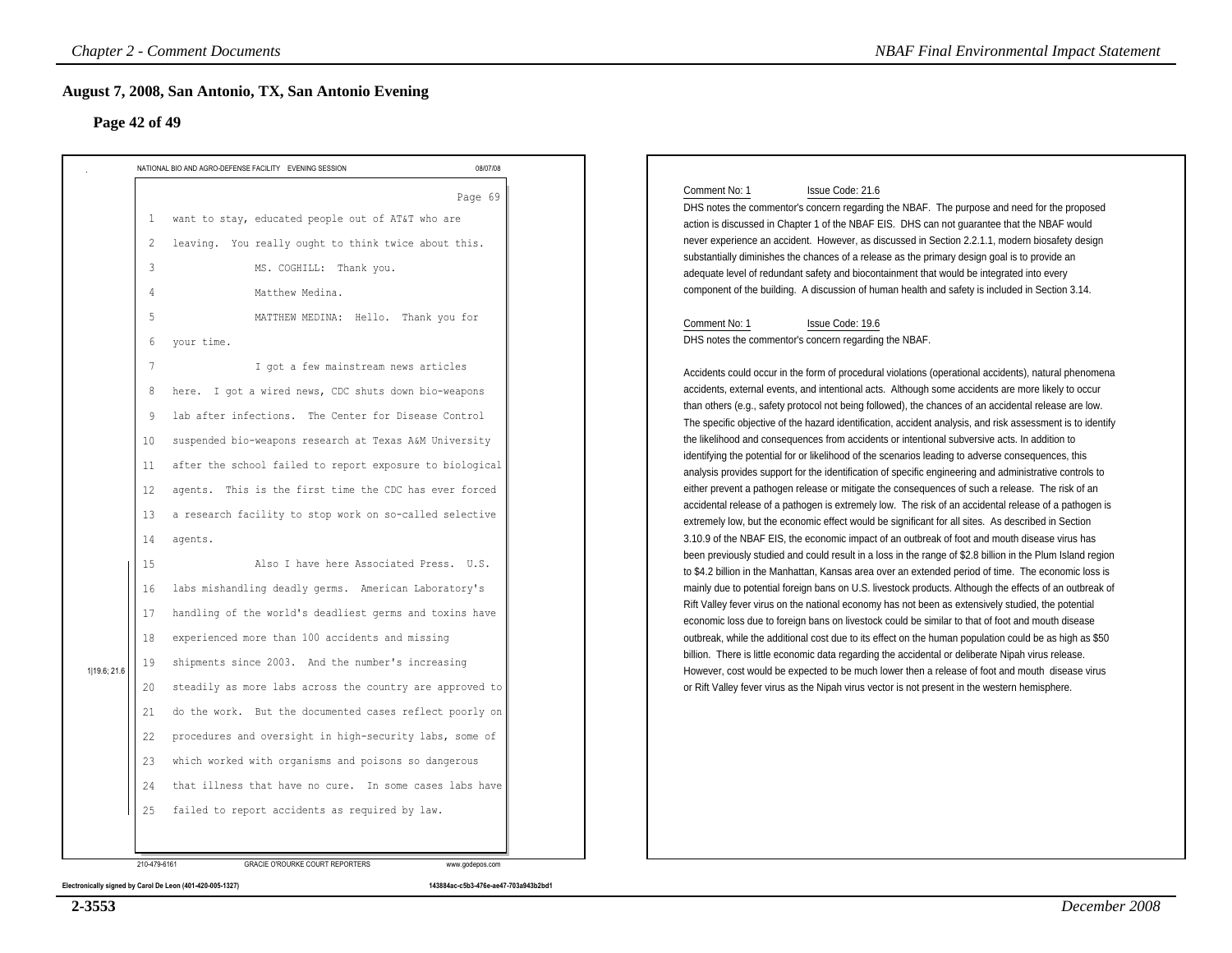| Page 42 of 49                                                                                                                              | August 7, 2008, San Antonio, TX, San Antonio Evening                                                                                                                                                                                                                                                                                                                                                                                                                                                                                                                                                                                                                                                                                                                                                                                                                                                                                                                                                                                                                                                                                                                                                                                                       |          |                                                                                                                                                                                                                                                                                                                                                                                                                                                                                                                                                                                                                                                                                                                                                                                                                                                                                                                                                                                                                                                                                                                                                                                                                                                                                                                                                                                                                                                                                                                                                                                                                                                                                                                                                                                                                                                                                                                                                                                                                                                                                                                                                                                                                                                                                                                                                                                                                                                                                                                                                                                                                                                                                                                                                                                                                                                                                 |
|--------------------------------------------------------------------------------------------------------------------------------------------|------------------------------------------------------------------------------------------------------------------------------------------------------------------------------------------------------------------------------------------------------------------------------------------------------------------------------------------------------------------------------------------------------------------------------------------------------------------------------------------------------------------------------------------------------------------------------------------------------------------------------------------------------------------------------------------------------------------------------------------------------------------------------------------------------------------------------------------------------------------------------------------------------------------------------------------------------------------------------------------------------------------------------------------------------------------------------------------------------------------------------------------------------------------------------------------------------------------------------------------------------------|----------|---------------------------------------------------------------------------------------------------------------------------------------------------------------------------------------------------------------------------------------------------------------------------------------------------------------------------------------------------------------------------------------------------------------------------------------------------------------------------------------------------------------------------------------------------------------------------------------------------------------------------------------------------------------------------------------------------------------------------------------------------------------------------------------------------------------------------------------------------------------------------------------------------------------------------------------------------------------------------------------------------------------------------------------------------------------------------------------------------------------------------------------------------------------------------------------------------------------------------------------------------------------------------------------------------------------------------------------------------------------------------------------------------------------------------------------------------------------------------------------------------------------------------------------------------------------------------------------------------------------------------------------------------------------------------------------------------------------------------------------------------------------------------------------------------------------------------------------------------------------------------------------------------------------------------------------------------------------------------------------------------------------------------------------------------------------------------------------------------------------------------------------------------------------------------------------------------------------------------------------------------------------------------------------------------------------------------------------------------------------------------------------------------------------------------------------------------------------------------------------------------------------------------------------------------------------------------------------------------------------------------------------------------------------------------------------------------------------------------------------------------------------------------------------------------------------------------------------------------------------------------------|
|                                                                                                                                            | NATIONAL BIO AND AGRO-DEFENSE FACILITY EVENING SESSION                                                                                                                                                                                                                                                                                                                                                                                                                                                                                                                                                                                                                                                                                                                                                                                                                                                                                                                                                                                                                                                                                                                                                                                                     | 08/07/08 |                                                                                                                                                                                                                                                                                                                                                                                                                                                                                                                                                                                                                                                                                                                                                                                                                                                                                                                                                                                                                                                                                                                                                                                                                                                                                                                                                                                                                                                                                                                                                                                                                                                                                                                                                                                                                                                                                                                                                                                                                                                                                                                                                                                                                                                                                                                                                                                                                                                                                                                                                                                                                                                                                                                                                                                                                                                                                 |
| 2<br>3<br>4<br>5<br>6<br>8<br>10<br>11<br>12<br>13<br>14<br>15<br>16<br>17<br>18<br>19<br>1 19.6; 21.6<br>20<br>21<br>22<br>23<br>24<br>25 | 1 want to stay, educated people out of AT&T who are<br>leaving. You really ought to think twice about this.<br>MS. COGHILL: Thank you.<br>Matthew Medina.<br>MATTHEW MEDINA: Hello. Thank you for<br>your time.<br>I got a few mainstream news articles<br>here. I got a wired news, CDC shuts down bio-weapons<br>lab after infections. The Center for Disease Control<br>suspended bio-weapons research at Texas A&M University<br>after the school failed to report exposure to biological<br>agents. This is the first time the CDC has ever forced<br>a research facility to stop work on so-called selective<br>agents.<br>Also I have here Associated Press. U.S.<br>labs mishandling deadly germs. American Laboratory's<br>handling of the world's deadliest germs and toxins have<br>experienced more than 100 accidents and missing<br>shipments since 2003. And the number's increasing<br>steadily as more labs across the country are approved to<br>do the work. But the documented cases reflect poorly on<br>procedures and oversight in high-security labs, some of<br>which worked with organisms and poisons so dangerous<br>that illness that have no cure. In some cases labs have<br>failed to report accidents as required by law. | Page 69  | Comment No: 1<br>Issue Code: 21.6<br>DHS notes the commentor's concern regarding the NBAF. The purpose and need for the proposed<br>action is discussed in Chapter 1 of the NBAF EIS. DHS can not guarantee that the NBAF would<br>never experience an accident. However, as discussed in Section 2.2.1.1, modern biosafety design<br>substantially diminishes the chances of a release as the primary design goal is to provide an<br>adequate level of redundant safety and biocontainment that would be integrated into every<br>component of the building. A discussion of human health and safety is included in Section 3.14.<br>Comment No: 1<br>Issue Code: 19.6<br>DHS notes the commentor's concern regarding the NBAF.<br>Accidents could occur in the form of procedural violations (operational accidents), natural phenomena<br>accidents, external events, and intentional acts. Although some accidents are more likely to occur<br>than others (e.g., safety protocol not being followed), the chances of an accidental release are low.<br>The specific objective of the hazard identification, accident analysis, and risk assessment is to identify<br>the likelihood and consequences from accidents or intentional subversive acts. In addition to<br>identifying the potential for or likelihood of the scenarios leading to adverse consequences, this<br>analysis provides support for the identification of specific engineering and administrative controls to<br>either prevent a pathogen release or mitigate the consequences of such a release. The risk of an<br>accidental release of a pathogen is extremely low. The risk of an accidental release of a pathogen is<br>extremely low, but the economic effect would be significant for all sites. As described in Section<br>3.10.9 of the NBAF EIS, the economic impact of an outbreak of foot and mouth disease virus has<br>been previously studied and could result in a loss in the range of \$2.8 billion in the Plum Island region<br>to \$4.2 billion in the Manhattan, Kansas area over an extended period of time. The economic loss is<br>mainly due to potential foreign bans on U.S. livestock products. Although the effects of an outbreak of<br>Rift Valley fever virus on the national economy has not been as extensively studied, the potential<br>economic loss due to foreign bans on livestock could be similar to that of foot and mouth disease<br>outbreak, while the additional cost due to its effect on the human population could be as high as \$50<br>billion. There is little economic data regarding the accidental or deliberate Nipah virus release.<br>However, cost would be expected to be much lower then a release of foot and mouth disease virus<br>or Rift Valley fever virus as the Nipah virus vector is not present in the western hemisphere. |

**Electronically signed by Carol De Leon (401-420-005-1327) 143884ac-c5b3-476e-ae47-703a943b2bd1**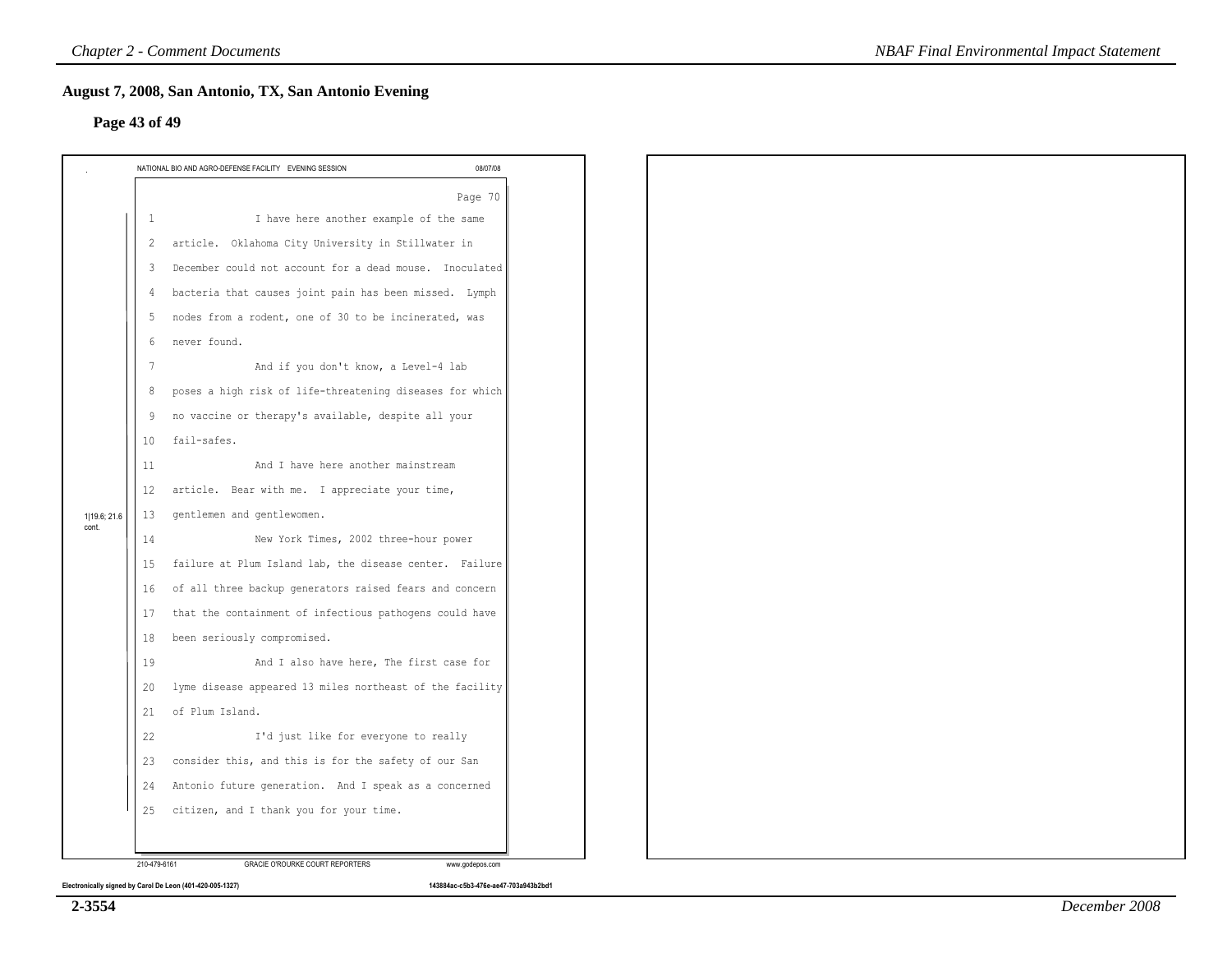### **Page 43 of 49**

|                       |              | NATIONAL BIO AND AGRO-DEFENSE FACILITY EVENING SESSION<br>08/07/08 |
|-----------------------|--------------|--------------------------------------------------------------------|
|                       |              | Page 70                                                            |
|                       | $\mathbf{1}$ | I have here another example of the same                            |
|                       | 2            | article. Oklahoma City University in Stillwater in                 |
|                       | 3            | December could not account for a dead mouse. Inoculated            |
|                       | 4            | bacteria that causes joint pain has been missed. Lymph             |
|                       | -5           | nodes from a rodent, one of 30 to be incinerated, was              |
|                       | 6            | never found.                                                       |
|                       | 7            | And if you don't know, a Level-4 lab                               |
|                       | 8            | poses a high risk of life-threatening diseases for which           |
|                       | 9            | no vaccine or therapy's available, despite all your                |
|                       | 10           | fail-safes.                                                        |
|                       | 11           | And I have here another mainstream                                 |
|                       | 12           | article. Bear with me. I appreciate your time,                     |
| 1 19.6; 21.6<br>cont. | 13           | gentlemen and gentlewomen.                                         |
|                       | 14           | New York Times, 2002 three-hour power                              |
|                       | 15           | failure at Plum Island lab, the disease center. Failure            |
|                       | 16           | of all three backup generators raised fears and concern            |
|                       | 17           | that the containment of infectious pathogens could have            |
|                       | 18           | been seriously compromised.                                        |
|                       | 19           | And I also have here, The first case for                           |
|                       | 20           | lyme disease appeared 13 miles northeast of the facility           |
|                       | 21           | of Plum Island.                                                    |
|                       | 22           | I'd just like for everyone to really                               |
|                       | 23           | consider this, and this is for the safety of our San               |
|                       | 24           | Antonio future generation. And I speak as a concerned              |
|                       | 25           | citizen, and I thank you for your time.                            |
|                       |              |                                                                    |
|                       | 210-479-6161 | GRACIE O'ROURKE COURT REPORTERS<br>www.godepos.com                 |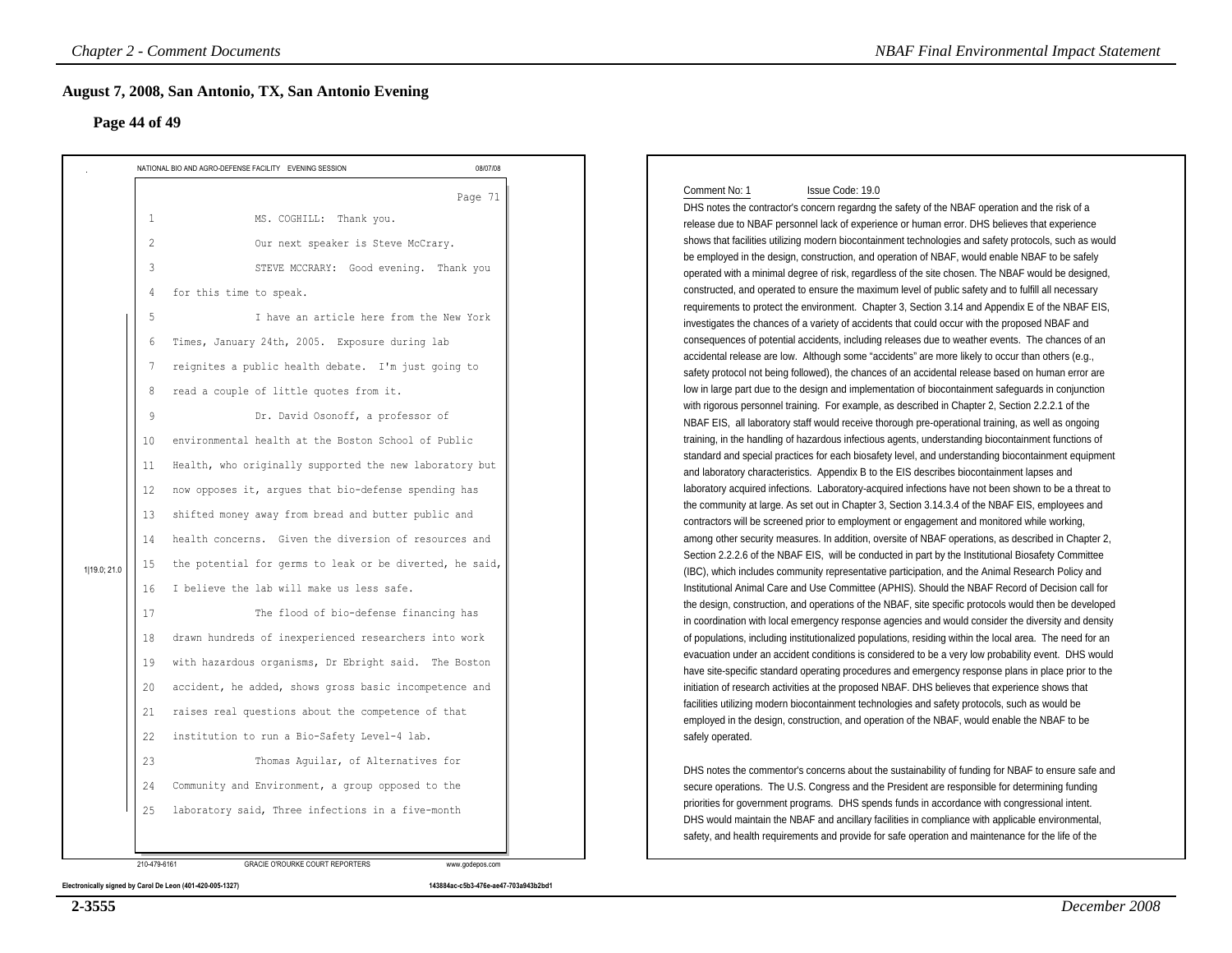### **Page 44 of 49**

| Page 44 of 49                                                                                                                                         | August 7, 2008, San Antonio, TX, San Antonio Evening                                                                                                                                                                                                                                                                                                                                                                                                                                                                                                                                                                                                                                                                                                                                                                                                                                                                                                                                                                                                                                                   |          |                                                                                                                                                                                                                                                                                                                                                                                                                                                                                                                                                                                                                                                                                                                                                                                                                                                                                                                                                                                                                                                                                                                                                                                                                                                                                                                                                                                                                                                                                                                                                                                                                                                                                                                                                                                                                                                                                                                                                                                                                                                                                                                                                                                                                                                                                                                                                                                                                                                                                                                                                                                                                                                                                                                                                                                                                                                                                                                                                                                                                                                                                                                                                                                                                                                                                                                                                                                                                   |
|-------------------------------------------------------------------------------------------------------------------------------------------------------|--------------------------------------------------------------------------------------------------------------------------------------------------------------------------------------------------------------------------------------------------------------------------------------------------------------------------------------------------------------------------------------------------------------------------------------------------------------------------------------------------------------------------------------------------------------------------------------------------------------------------------------------------------------------------------------------------------------------------------------------------------------------------------------------------------------------------------------------------------------------------------------------------------------------------------------------------------------------------------------------------------------------------------------------------------------------------------------------------------|----------|-------------------------------------------------------------------------------------------------------------------------------------------------------------------------------------------------------------------------------------------------------------------------------------------------------------------------------------------------------------------------------------------------------------------------------------------------------------------------------------------------------------------------------------------------------------------------------------------------------------------------------------------------------------------------------------------------------------------------------------------------------------------------------------------------------------------------------------------------------------------------------------------------------------------------------------------------------------------------------------------------------------------------------------------------------------------------------------------------------------------------------------------------------------------------------------------------------------------------------------------------------------------------------------------------------------------------------------------------------------------------------------------------------------------------------------------------------------------------------------------------------------------------------------------------------------------------------------------------------------------------------------------------------------------------------------------------------------------------------------------------------------------------------------------------------------------------------------------------------------------------------------------------------------------------------------------------------------------------------------------------------------------------------------------------------------------------------------------------------------------------------------------------------------------------------------------------------------------------------------------------------------------------------------------------------------------------------------------------------------------------------------------------------------------------------------------------------------------------------------------------------------------------------------------------------------------------------------------------------------------------------------------------------------------------------------------------------------------------------------------------------------------------------------------------------------------------------------------------------------------------------------------------------------------------------------------------------------------------------------------------------------------------------------------------------------------------------------------------------------------------------------------------------------------------------------------------------------------------------------------------------------------------------------------------------------------------------------------------------------------------------------------------------------------|
|                                                                                                                                                       | NATIONAL BIO AND AGRO-DEFENSE FACILITY EVENING SESSION                                                                                                                                                                                                                                                                                                                                                                                                                                                                                                                                                                                                                                                                                                                                                                                                                                                                                                                                                                                                                                                 | 08/07/08 |                                                                                                                                                                                                                                                                                                                                                                                                                                                                                                                                                                                                                                                                                                                                                                                                                                                                                                                                                                                                                                                                                                                                                                                                                                                                                                                                                                                                                                                                                                                                                                                                                                                                                                                                                                                                                                                                                                                                                                                                                                                                                                                                                                                                                                                                                                                                                                                                                                                                                                                                                                                                                                                                                                                                                                                                                                                                                                                                                                                                                                                                                                                                                                                                                                                                                                                                                                                                                   |
| 1<br>$\overline{c}$<br>3<br>4<br>5<br>6<br>7<br>8<br>-9<br>10<br>11<br>12<br>13<br>14<br>15<br>1 19.0; 21.0<br>16<br>17<br>18<br>19<br>20<br>21<br>22 | MS. COGHILL: Thank you.<br>Our next speaker is Steve McCrary.<br>STEVE MCCRARY: Good evening. Thank you<br>for this time to speak.<br>I have an article here from the New York<br>Times, January 24th, 2005. Exposure during lab<br>reignites a public health debate. I'm just going to<br>read a couple of little quotes from it.<br>Dr. David Osonoff, a professor of<br>environmental health at the Boston School of Public<br>Health, who originally supported the new laboratory but<br>now opposes it, argues that bio-defense spending has<br>shifted money away from bread and butter public and<br>health concerns. Given the diversion of resources and<br>the potential for germs to leak or be diverted, he said,<br>I believe the lab will make us less safe.<br>The flood of bio-defense financing has<br>drawn hundreds of inexperienced researchers into work<br>with hazardous organisms, Dr Ebright said. The Boston<br>accident, he added, shows gross basic incompetence and<br>raises real questions about the competence of that<br>institution to run a Bio-Safety Level-4 lab. | Page 71  | Comment No: 1<br>Issue Code: 19.0<br>DHS notes the contractor's concern regardng the safety of the NBAF operation and the risk of a<br>release due to NBAF personnel lack of experience or human error. DHS believes that experience<br>shows that facilities utilizing modern biocontainment technologies and safety protocols, such as would<br>be employed in the design, construction, and operation of NBAF, would enable NBAF to be safely<br>operated with a minimal degree of risk, regardless of the site chosen. The NBAF would be designed,<br>constructed, and operated to ensure the maximum level of public safety and to fulfill all necessary<br>requirements to protect the environment. Chapter 3, Section 3.14 and Appendix E of the NBAF EIS,<br>investigates the chances of a variety of accidents that could occur with the proposed NBAF and<br>consequences of potential accidents, including releases due to weather events. The chances of an<br>accidental release are low. Although some "accidents" are more likely to occur than others (e.g.,<br>safety protocol not being followed), the chances of an accidental release based on human error are<br>low in large part due to the design and implementation of biocontainment safeguards in conjunction<br>with rigorous personnel training. For example, as described in Chapter 2, Section 2.2.2.1 of the<br>NBAF EIS, all laboratory staff would receive thorough pre-operational training, as well as ongoing<br>training, in the handling of hazardous infectious agents, understanding biocontainment functions of<br>standard and special practices for each biosafety level, and understanding biocontainment equipment<br>and laboratory characteristics. Appendix B to the EIS describes biocontainment lapses and<br>laboratory acquired infections. Laboratory-acquired infections have not been shown to be a threat to<br>the community at large. As set out in Chapter 3, Section 3.14.3.4 of the NBAF EIS, employees and<br>contractors will be screened prior to employment or engagement and monitored while working,<br>among other security measures. In addition, oversite of NBAF operations, as described in Chapter 2,<br>Section 2.2.2.6 of the NBAF EIS, will be conducted in part by the Institutional Biosafety Committee<br>(IBC), which includes community representative participation, and the Animal Research Policy and<br>Institutional Animal Care and Use Committee (APHIS). Should the NBAF Record of Decision call for<br>the design, construction, and operations of the NBAF, site specific protocols would then be developed<br>in coordination with local emergency response agencies and would consider the diversity and density<br>of populations, including institutionalized populations, residing within the local area. The need for an<br>evacuation under an accident conditions is considered to be a very low probability event. DHS would<br>have site-specific standard operating procedures and emergency response plans in place prior to the<br>initiation of research activities at the proposed NBAF. DHS believes that experience shows that<br>facilities utilizing modern biocontainment technologies and safety protocols, such as would be<br>employed in the design, construction, and operation of the NBAF, would enable the NBAF to be<br>safely operated. |
| 23<br>24<br>25                                                                                                                                        | Thomas Aquilar, of Alternatives for<br>Community and Environment, a group opposed to the<br>laboratory said, Three infections in a five-month                                                                                                                                                                                                                                                                                                                                                                                                                                                                                                                                                                                                                                                                                                                                                                                                                                                                                                                                                          |          | DHS notes the commentor's concerns about the sustainability of funding for NBAF to ensure safe and<br>secure operations. The U.S. Congress and the President are responsible for determining funding<br>priorities for government programs. DHS spends funds in accordance with congressional intent.<br>DHS would maintain the NBAF and ancillary facilities in compliance with applicable environmental,<br>safety, and health requirements and provide for safe operation and maintenance for the life of the                                                                                                                                                                                                                                                                                                                                                                                                                                                                                                                                                                                                                                                                                                                                                                                                                                                                                                                                                                                                                                                                                                                                                                                                                                                                                                                                                                                                                                                                                                                                                                                                                                                                                                                                                                                                                                                                                                                                                                                                                                                                                                                                                                                                                                                                                                                                                                                                                                                                                                                                                                                                                                                                                                                                                                                                                                                                                                  |



### DHS notes the contractor's concern regardng the safety of the NBAF operation and the risk of a release due to NBAF personnel lack of experience or human error. DHS believes that experience shows that facilities utilizing modern biocontainment technologies and safety protocols, such as wouldred in the design, construction, and operation of NBAF, would enable NBAF to be safely operated with a minimal degree of risk, regardless of the site chosen. The NBAF would be designed,ed, and operated to ensure the maximum level of public safety and to fulfill all necessary requirements to protect the environment. Chapter 3, Section 3.14 and Appendix E of the NBAF EIS,es the chances of a variety of accidents that could occur with the proposed NBAF and consequences of potential accidents, including releases due to weather events. The chances of anrelease are low. Although some "accidents" are more likely to occur than others (e.g., safety protocol not being followed), the chances of an accidental release based on human error are low in large part due to the design and implementation of biocontainment safeguards in conjunctionous personnel training. For example, as described in Chapter 2, Section 2.2.2.1 of the NBAF EIS, all laboratory staff would receive thorough pre-operational training, as well as ongoing training, in the handling of hazardous infectious agents, understanding biocontainment functions of standard and special practices for each biosafety level, and understanding biocontainment equipmentatory characteristics. Appendix B to the EIS describes biocontainment lapses and laboratory acquired infections. Laboratory-acquired infections have not been shown to be a threat tounity at large. As set out in Chapter 3, Section 3.14.3.4 of the NBAF EIS, employees and s will be screened prior to employment or engagement and monitored while working, among other security measures. In addition, oversite of NBAF operations, as described in Chapter 2,2.2.6 of the NBAF EIS, will be conducted in part by the Institutional Biosafety Committee (IBC), which includes community representative participation, and the Animal Research Policy and Institutional Animal Care and Use Committee (APHIS). Should the NBAF Record of Decision call for the design, construction, and operations of the NBAF, site specific protocols would then be developed in coordination with local emergency response agencies and would consider the diversity and density of populations, including institutionalized populations, residing within the local area. The need for an evacuation under an accident conditions is considered to be a very low probability event. DHS would have site-specific standard operating procedures and emergency response plans in place prior to theof research activities at the proposed NBAF. DHS believes that experience shows that tilizing modern biocontainment technologies and safety protocols, such as would be employed in the design, construction, and operation of the NBAF, would enable the NBAF to beerated.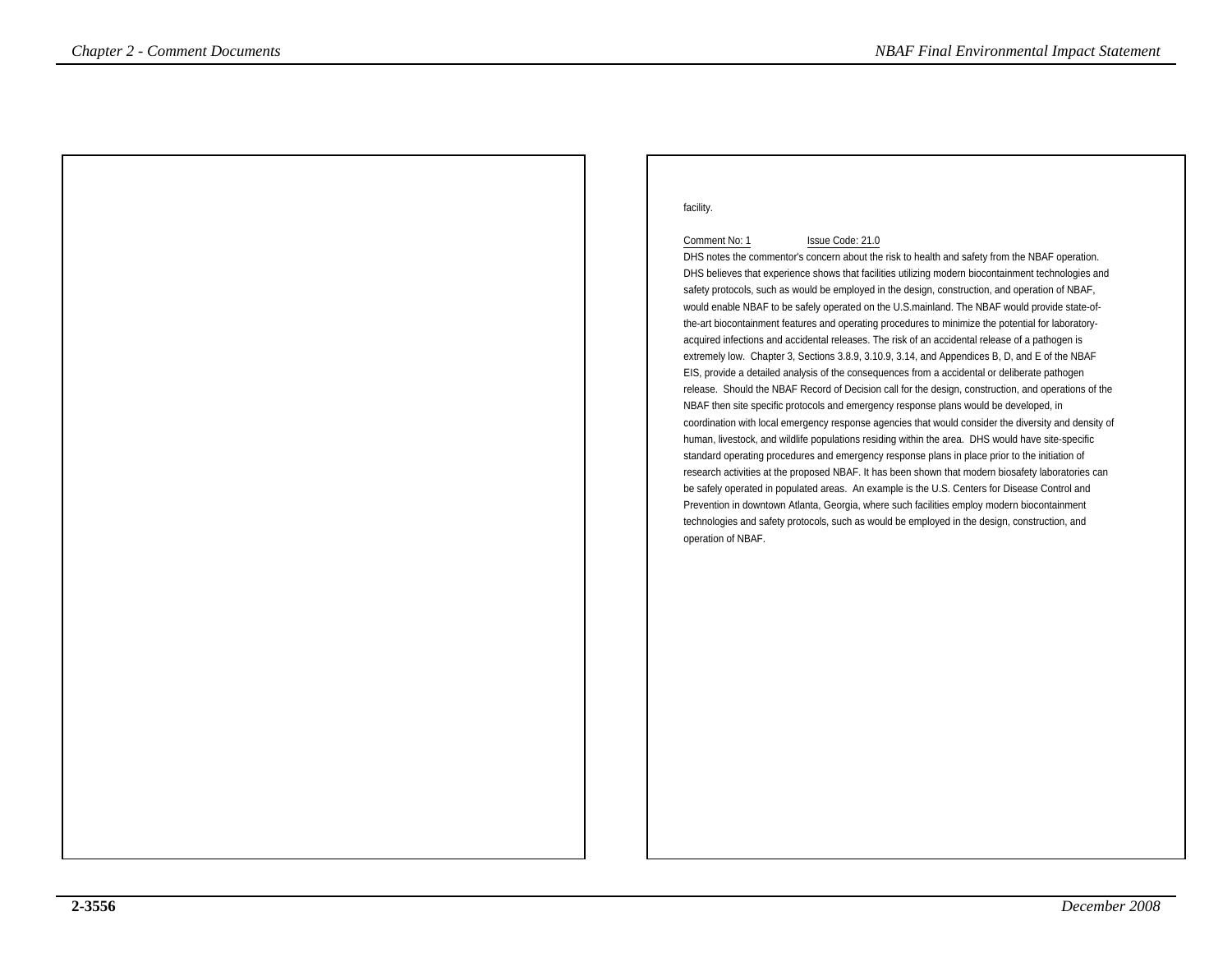### facility.

### Comment No: 1 Issue Code: 21.0

 DHS notes the commentor's concern about the risk to health and safety from the NBAF operation. DHS believes that experience shows that facilities utilizing modern biocontainment technologies andsafety protocols, such as would be employed in the design, construction, and operation of NBAF, would enable NBAF to be safely operated on the U.S.mainland. The NBAF would provide state-ofthe-art biocontainment features and operating procedures to minimize the potential for laboratoryacquired infections and accidental releases. The risk of an accidental release of a pathogen is extremely low. Chapter 3, Sections 3.8.9, 3.10.9, 3.14, and Appendices B, D, and E of the NBAFEIS, provide a detailed analysis of the consequences from a accidental or deliberate pathogen release. Should the NBAF Record of Decision call for the design, construction, and operations of theNBAF then site specific protocols and emergency response plans would be developed, in coordination with local emergency response agencies that would consider the diversity and density ofhuman, livestock, and wildlife populations residing within the area. DHS would have site-specificstandard operating procedures and emergency response plans in place prior to the initiation of research activities at the proposed NBAF. It has been shown that modern biosafety laboratories canbe safely operated in populated areas. An example is the U.S. Centers for Disease Control and Prevention in downtown Atlanta, Georgia, where such facilities employ modern biocontainment technologies and safety protocols, such as would be employed in the design, construction, andoperation of NBAF.*Chapter 2 - Comment Documents*<br> **Comments**  $\frac{1}{2}$ <br> **Comments**  $\frac{1}{2}$ <br> **Comments**  $\frac{1}{2}$ <br> **Comments**  $\frac{1}{2}$ <br>  $\frac{1}{2}$ <br>  $\frac{1}{2}$ <br>  $\frac{1}{2}$ <br>  $\frac{1}{2}$ <br>  $\frac{1}{2}$ <br>  $\frac{1}{2}$ <br>  $\frac{1}{2}$ <br>  $\frac{1}{2}$ <br>  $\frac{1}{2}$ <br>  $\$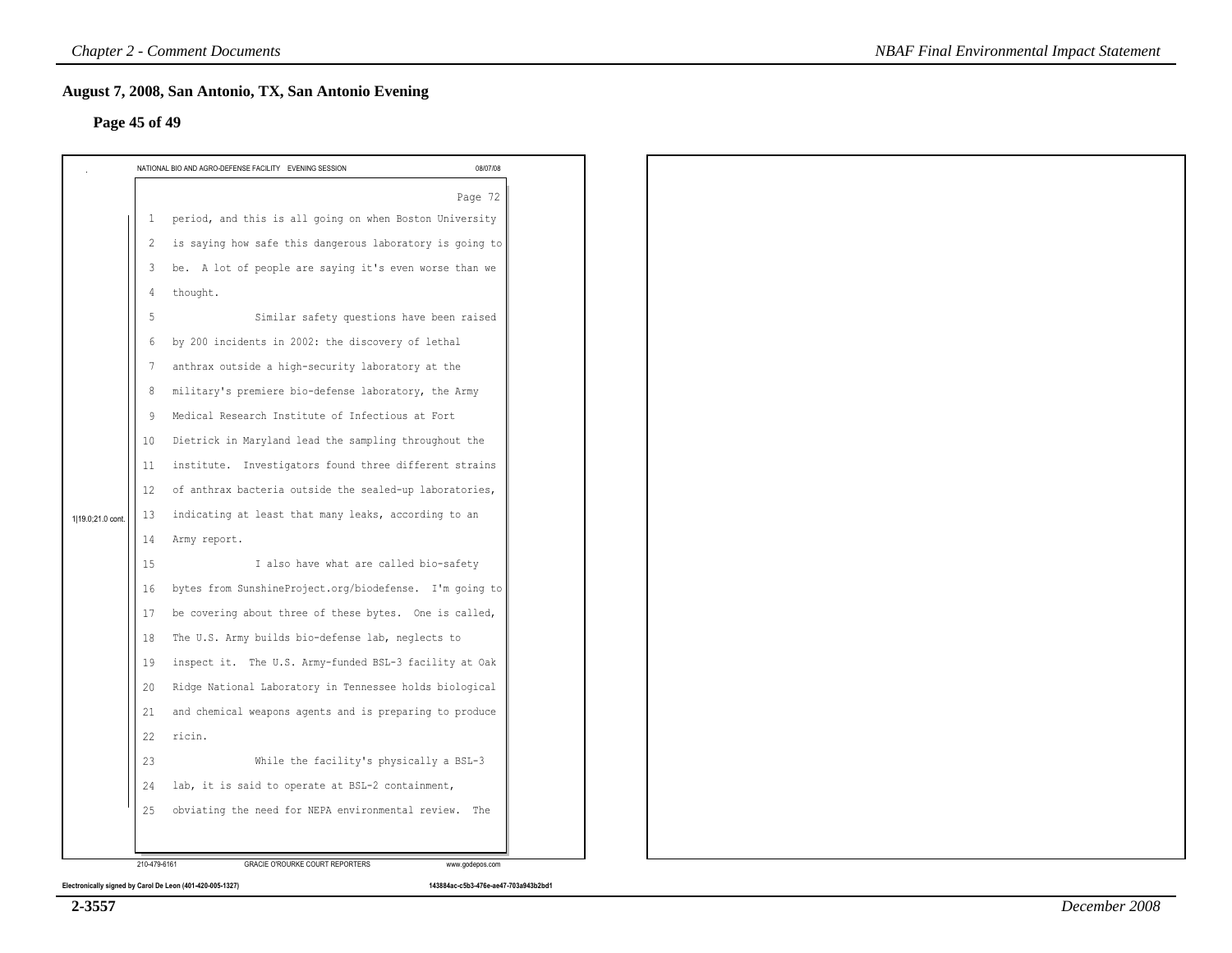|                  | <b>Chapter 2 - Comment Documents</b>                                                                                                                                                                                                                                                                                                                                                                                                                                                                                                                                                                                                                                                                                                                                                                                                                                                                                                                                                                                                                                                                                                                                                                                                         |                 | <b>NBAF Final Environmental Impact Statement</b> |
|------------------|----------------------------------------------------------------------------------------------------------------------------------------------------------------------------------------------------------------------------------------------------------------------------------------------------------------------------------------------------------------------------------------------------------------------------------------------------------------------------------------------------------------------------------------------------------------------------------------------------------------------------------------------------------------------------------------------------------------------------------------------------------------------------------------------------------------------------------------------------------------------------------------------------------------------------------------------------------------------------------------------------------------------------------------------------------------------------------------------------------------------------------------------------------------------------------------------------------------------------------------------|-----------------|--------------------------------------------------|
|                  | August 7, 2008, San Antonio, TX, San Antonio Evening<br>Page 45 of 49                                                                                                                                                                                                                                                                                                                                                                                                                                                                                                                                                                                                                                                                                                                                                                                                                                                                                                                                                                                                                                                                                                                                                                        |                 |                                                  |
|                  | NATIONAL BIO AND AGRO-DEFENSE FACILITY EVENING SESSION                                                                                                                                                                                                                                                                                                                                                                                                                                                                                                                                                                                                                                                                                                                                                                                                                                                                                                                                                                                                                                                                                                                                                                                       | 08/07/08        |                                                  |
| 1 19.0;21.0 cont | period, and this is all going on when Boston University<br>1<br>is saying how safe this dangerous laboratory is going to<br>2<br>be. A lot of people are saying it's even worse than we<br>3<br>thought.<br>4<br>Similar safety questions have been raised<br>5<br>by 200 incidents in 2002: the discovery of lethal<br>6<br>anthrax outside a high-security laboratory at the<br>7<br>military's premiere bio-defense laboratory, the Army<br>8<br>Medical Research Institute of Infectious at Fort<br>-9<br>Dietrick in Maryland lead the sampling throughout the<br>10<br>institute. Investigators found three different strains<br>11<br>of anthrax bacteria outside the sealed-up laboratories,<br>12<br>indicating at least that many leaks, according to an<br>13<br>Army report.<br>14<br>I also have what are called bio-safety<br>15<br>bytes from SunshineProject.org/biodefense. I'm going to<br>16<br>be covering about three of these bytes. One is called,<br>17<br>The U.S. Army builds bio-defense lab, neglects to<br>18<br>inspect it. The U.S. Army-funded BSL-3 facility at Oak<br>19<br>Ridge National Laboratory in Tennessee holds biological<br>20<br>and chemical weapons agents and is preparing to produce<br>21 | Page 72         |                                                  |
|                  | 22<br>ricin.<br>23<br>While the facility's physically a BSL-3                                                                                                                                                                                                                                                                                                                                                                                                                                                                                                                                                                                                                                                                                                                                                                                                                                                                                                                                                                                                                                                                                                                                                                                |                 |                                                  |
|                  | lab, it is said to operate at BSL-2 containment,<br>24<br>obviating the need for NEPA environmental review. The<br>25                                                                                                                                                                                                                                                                                                                                                                                                                                                                                                                                                                                                                                                                                                                                                                                                                                                                                                                                                                                                                                                                                                                        |                 |                                                  |
|                  | 210-479-6161<br>GRACIE O'ROURKE COURT REPORTERS                                                                                                                                                                                                                                                                                                                                                                                                                                                                                                                                                                                                                                                                                                                                                                                                                                                                                                                                                                                                                                                                                                                                                                                              | www.godepos.com |                                                  |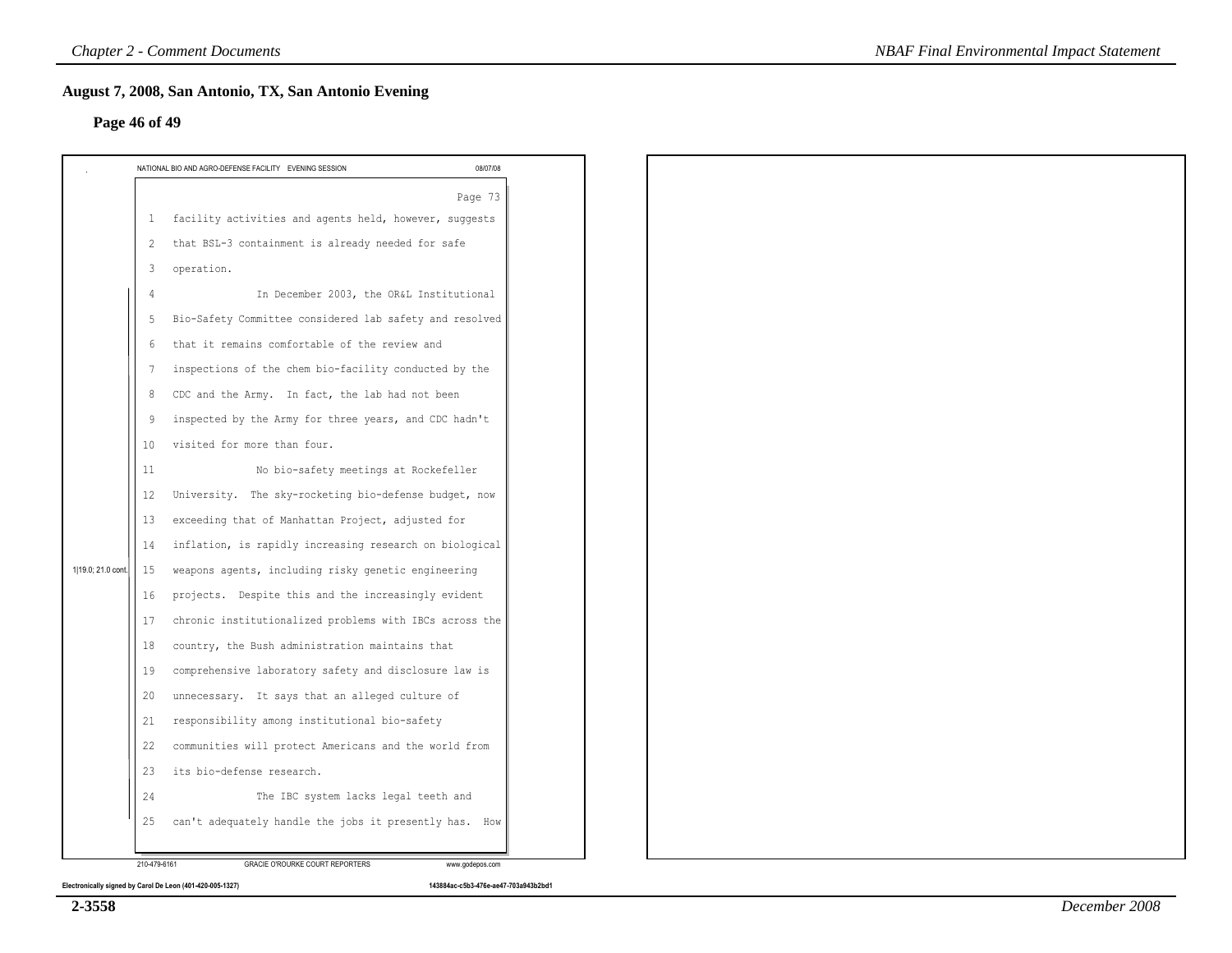|                    | <b>Chapter 2 - Comment Documents</b>                                                                                                                                                                                                                                                                                                                                                                                                                                                                                                                                                                                                                                                                                                                                                                                       | <b>NBAF Final Environmental Impact Statement</b> |
|--------------------|----------------------------------------------------------------------------------------------------------------------------------------------------------------------------------------------------------------------------------------------------------------------------------------------------------------------------------------------------------------------------------------------------------------------------------------------------------------------------------------------------------------------------------------------------------------------------------------------------------------------------------------------------------------------------------------------------------------------------------------------------------------------------------------------------------------------------|--------------------------------------------------|
|                    | August 7, 2008, San Antonio, TX, San Antonio Evening<br>Page 46 of 49                                                                                                                                                                                                                                                                                                                                                                                                                                                                                                                                                                                                                                                                                                                                                      |                                                  |
|                    | 08/07/08<br>NATIONAL BIO AND AGRO-DEFENSE FACILITY EVENING SESSION                                                                                                                                                                                                                                                                                                                                                                                                                                                                                                                                                                                                                                                                                                                                                         |                                                  |
|                    | Page 73<br>facility activities and agents held, however, suggests<br>$\mathbf{1}$                                                                                                                                                                                                                                                                                                                                                                                                                                                                                                                                                                                                                                                                                                                                          |                                                  |
|                    | that BSL-3 containment is already needed for safe<br>2<br>operation.<br>3<br>In December 2003, the OR&L Institutional                                                                                                                                                                                                                                                                                                                                                                                                                                                                                                                                                                                                                                                                                                      |                                                  |
|                    | Bio-Safety Committee considered lab safety and resolved<br>5<br>that it remains comfortable of the review and<br>6<br>inspections of the chem bio-facility conducted by the<br>7<br>CDC and the Army. In fact, the lab had not been<br>8<br>inspected by the Army for three years, and CDC hadn't<br>9<br>visited for more than four.<br>10                                                                                                                                                                                                                                                                                                                                                                                                                                                                                |                                                  |
| 1 19.0; 21.0 cont. | No bio-safety meetings at Rockefeller<br>11<br>University. The sky-rocketing bio-defense budget, now<br>12<br>exceeding that of Manhattan Project, adjusted for<br>13<br>inflation, is rapidly increasing research on biological<br>14<br>weapons agents, including risky genetic engineering<br>15<br>projects. Despite this and the increasingly evident<br>16<br>chronic institutionalized problems with IBCs across the<br>17<br>country, the Bush administration maintains that<br>18<br>comprehensive laboratory safety and disclosure law is<br>19<br>unnecessary. It says that an alleged culture of<br>20<br>responsibility among institutional bio-safety<br>21<br>$22\,$<br>communities will protect Americans and the world from<br>23 its bio-defense research.<br>The IBC system lacks legal teeth and<br>24 |                                                  |
|                    | can't adequately handle the jobs it presently has. How<br>25<br>210-479-6161<br>GRACIE O'ROURKE COURT REPORTERS<br>www.godepos.com                                                                                                                                                                                                                                                                                                                                                                                                                                                                                                                                                                                                                                                                                         |                                                  |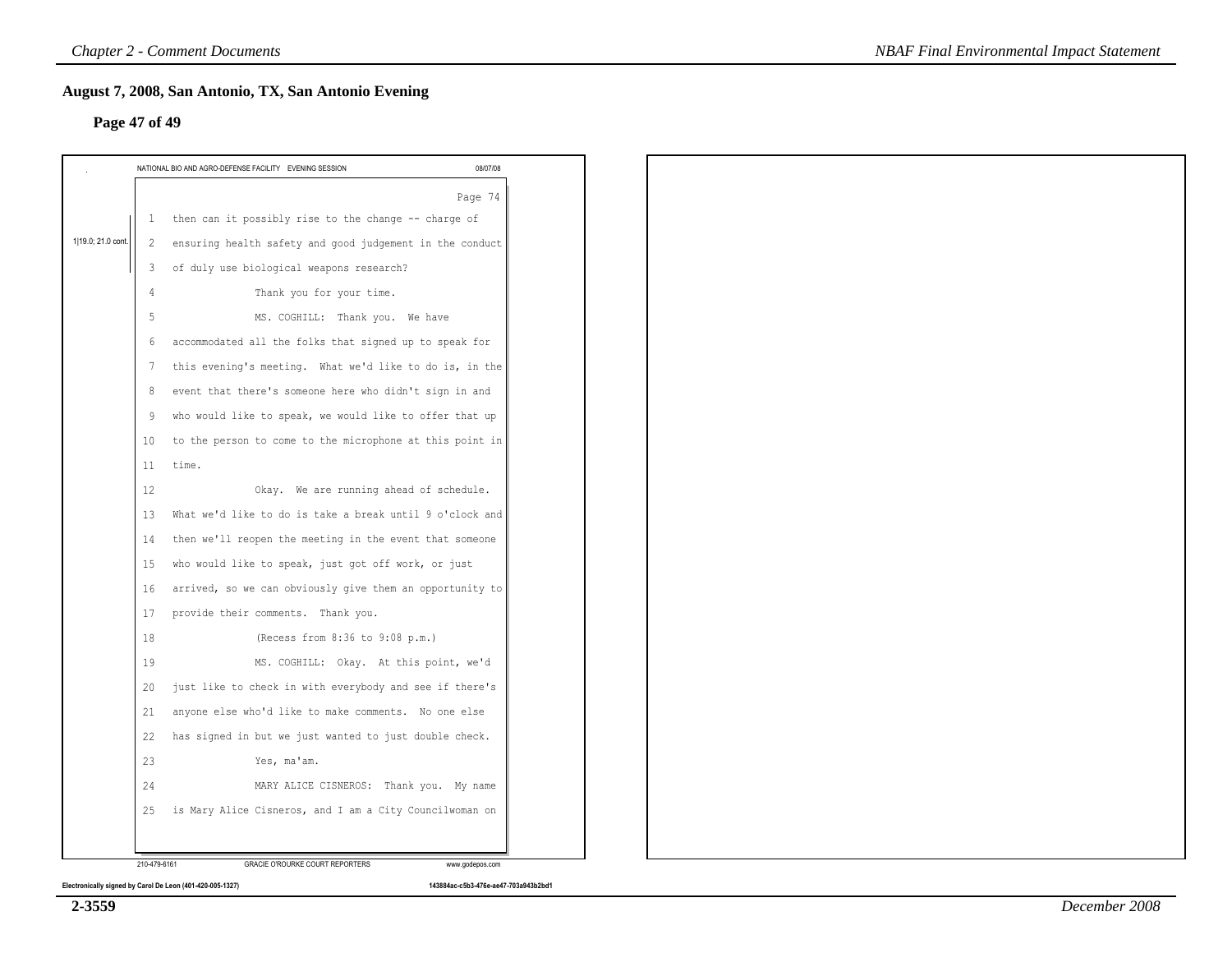|                    | <b>Chapter 2 - Comment Documents</b>                                  |                 | <b>NBAF Final Environmental Impact Statement</b> |
|--------------------|-----------------------------------------------------------------------|-----------------|--------------------------------------------------|
|                    | August 7, 2008, San Antonio, TX, San Antonio Evening<br>Page 47 of 49 |                 |                                                  |
|                    | NATIONAL BIO AND AGRO-DEFENSE FACILITY EVENING SESSION                | 08/07/08        |                                                  |
|                    |                                                                       | Page 74         |                                                  |
|                    | 1 then can it possibly rise to the change -- charge of                |                 |                                                  |
| 1 19.0; 21.0 cont. | ensuring health safety and good judgement in the conduct<br>2         |                 |                                                  |
|                    | of duly use biological weapons research?<br>3                         |                 |                                                  |
|                    | Thank you for your time.<br>4                                         |                 |                                                  |
|                    | -5<br>MS. COGHILL: Thank you. We have                                 |                 |                                                  |
|                    | accommodated all the folks that signed up to speak for<br>6           |                 |                                                  |
|                    | this evening's meeting. What we'd like to do is, in the<br>-7         |                 |                                                  |
|                    | event that there's someone here who didn't sign in and<br>8           |                 |                                                  |
|                    | who would like to speak, we would like to offer that up<br>9          |                 |                                                  |
|                    | to the person to come to the microphone at this point in<br>10        |                 |                                                  |
|                    | 11<br>time.                                                           |                 |                                                  |
|                    | Okay. We are running ahead of schedule.<br>12                         |                 |                                                  |
|                    | What we'd like to do is take a break until 9 o'clock and<br>13        |                 |                                                  |
|                    | then we'll reopen the meeting in the event that someone<br>14         |                 |                                                  |
|                    | who would like to speak, just got off work, or just<br>15             |                 |                                                  |
|                    | arrived, so we can obviously give them an opportunity to<br>16        |                 |                                                  |
|                    | provide their comments. Thank you.<br>17                              |                 |                                                  |
|                    | 18<br>(Recess from 8:36 to 9:08 p.m.)                                 |                 |                                                  |
|                    | MS. COGHILL: Okay. At this point, we'd<br>19                          |                 |                                                  |
|                    | just like to check in with everybody and see if there's<br>20         |                 |                                                  |
|                    | 21<br>anyone else who'd like to make comments. No one else            |                 |                                                  |
|                    | has signed in but we just wanted to just double check.<br>22          |                 |                                                  |
|                    | 23<br>Yes, ma'am.                                                     |                 |                                                  |
|                    | 24<br>MARY ALICE CISNEROS: Thank you. My name                         |                 |                                                  |
|                    | is Mary Alice Cisneros, and I am a City Councilwoman on<br>25         |                 |                                                  |
|                    | 210-479-6161<br>GRACIE O'ROURKE COURT REPORTERS                       | www.godepos.com |                                                  |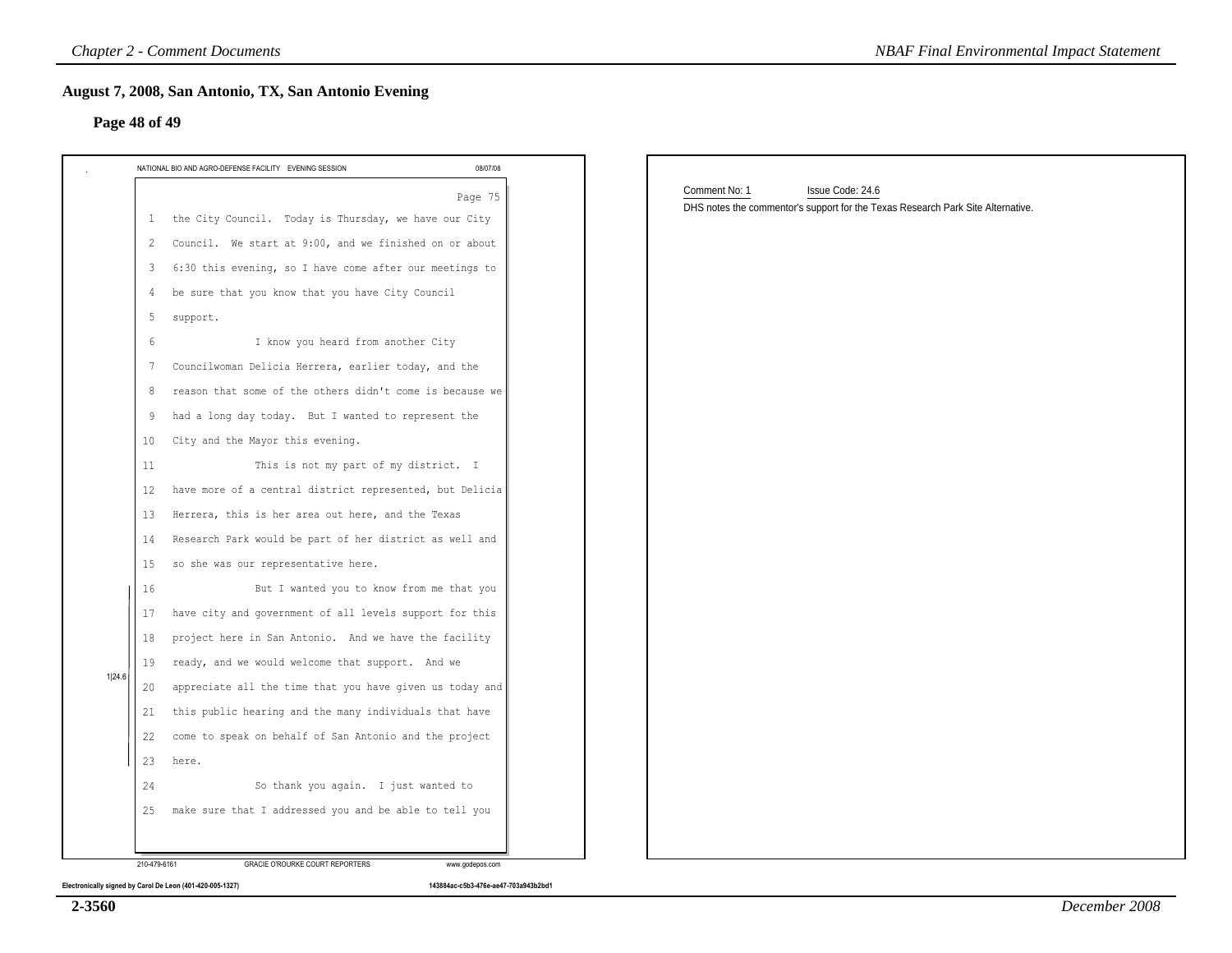| NATIONAL BIO AND AGRO-DEFENSE FACILITY EVENING SESSION         | 08/07/08 |                                                                                 |
|----------------------------------------------------------------|----------|---------------------------------------------------------------------------------|
|                                                                | Page 75  | Comment No: 1<br>Issue Code: 24.6                                               |
| the City Council. Today is Thursday, we have our City<br>-1    |          | DHS notes the commentor's support for the Texas Research Park Site Alternative. |
| Council. We start at 9:00, and we finished on or about<br>2    |          |                                                                                 |
| 6:30 this evening, so I have come after our meetings to<br>3   |          |                                                                                 |
| be sure that you know that you have City Council<br>4          |          |                                                                                 |
| 5<br>support.                                                  |          |                                                                                 |
| I know you heard from another City<br>6                        |          |                                                                                 |
| Councilwoman Delicia Herrera, earlier today, and the<br>7      |          |                                                                                 |
| reason that some of the others didn't come is because we<br>8  |          |                                                                                 |
| had a long day today. But I wanted to represent the<br>9       |          |                                                                                 |
| City and the Mayor this evening.<br>10                         |          |                                                                                 |
| This is not my part of my district. I<br>11                    |          |                                                                                 |
| have more of a central district represented, but Delicia<br>12 |          |                                                                                 |
| Herrera, this is her area out here, and the Texas<br>13        |          |                                                                                 |
| Research Park would be part of her district as well and<br>14  |          |                                                                                 |
| so she was our representative here.<br>15                      |          |                                                                                 |
| But I wanted you to know from me that you<br>16                |          |                                                                                 |
| have city and government of all levels support for this<br>17  |          |                                                                                 |
| project here in San Antonio. And we have the facility<br>18    |          |                                                                                 |
| ready, and we would welcome that support. And we<br>19         |          |                                                                                 |
| appreciate all the time that you have given us today and<br>20 |          |                                                                                 |
| this public hearing and the many individuals that have<br>21   |          |                                                                                 |
| 22<br>come to speak on behalf of San Antonio and the project   |          |                                                                                 |
| 23<br>here.                                                    |          |                                                                                 |
| So thank you again. I just wanted to<br>24                     |          |                                                                                 |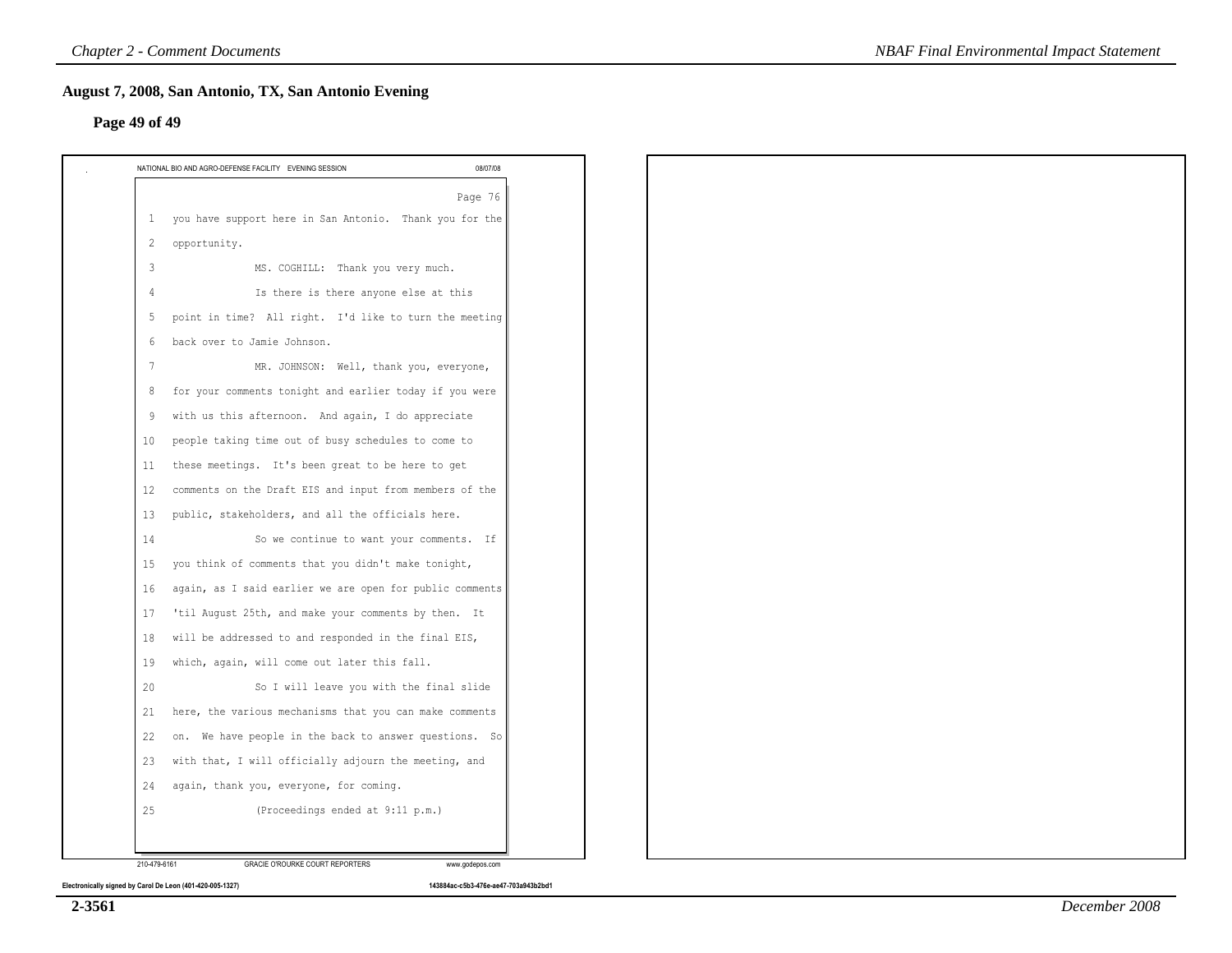# **Page 49 of 49**

|                   | Page 76                                                  |
|-------------------|----------------------------------------------------------|
| -1                | you have support here in San Antonio. Thank you for the  |
| 2                 | opportunity.                                             |
| $\overline{3}$    | MS. COGHILL: Thank you very much.                        |
| 4                 | Is there is there anyone else at this                    |
| -5                | point in time? All right. I'd like to turn the meeting   |
| 6                 | back over to Jamie Johnson.                              |
| 7                 | MR. JOHNSON: Well, thank you, everyone,                  |
| 8                 | for your comments tonight and earlier today if you were  |
| 9                 | with us this afternoon. And again, I do appreciate       |
| 10                | people taking time out of busy schedules to come to      |
| 11                | these meetings. It's been great to be here to get        |
| $12 \overline{ }$ | comments on the Draft EIS and input from members of the  |
| 13                | public, stakeholders, and all the officials here.        |
| 14                | So we continue to want your comments. If                 |
| 15                | you think of comments that you didn't make tonight,      |
| 16                | again, as I said earlier we are open for public comments |
| 17                | 'til August 25th, and make your comments by then. It     |
| 18                | will be addressed to and responded in the final EIS,     |
| 19                | which, again, will come out later this fall.             |
| 20                | So I will leave you with the final slide                 |
| 21                | here, the various mechanisms that you can make comments  |
| 22                | on. We have people in the back to answer questions. So   |
| 23                | with that, I will officially adjourn the meeting, and    |
| 24                | again, thank you, everyone, for coming.                  |
| 25                | (Proceedings ended at 9:11 p.m.)                         |
|                   |                                                          |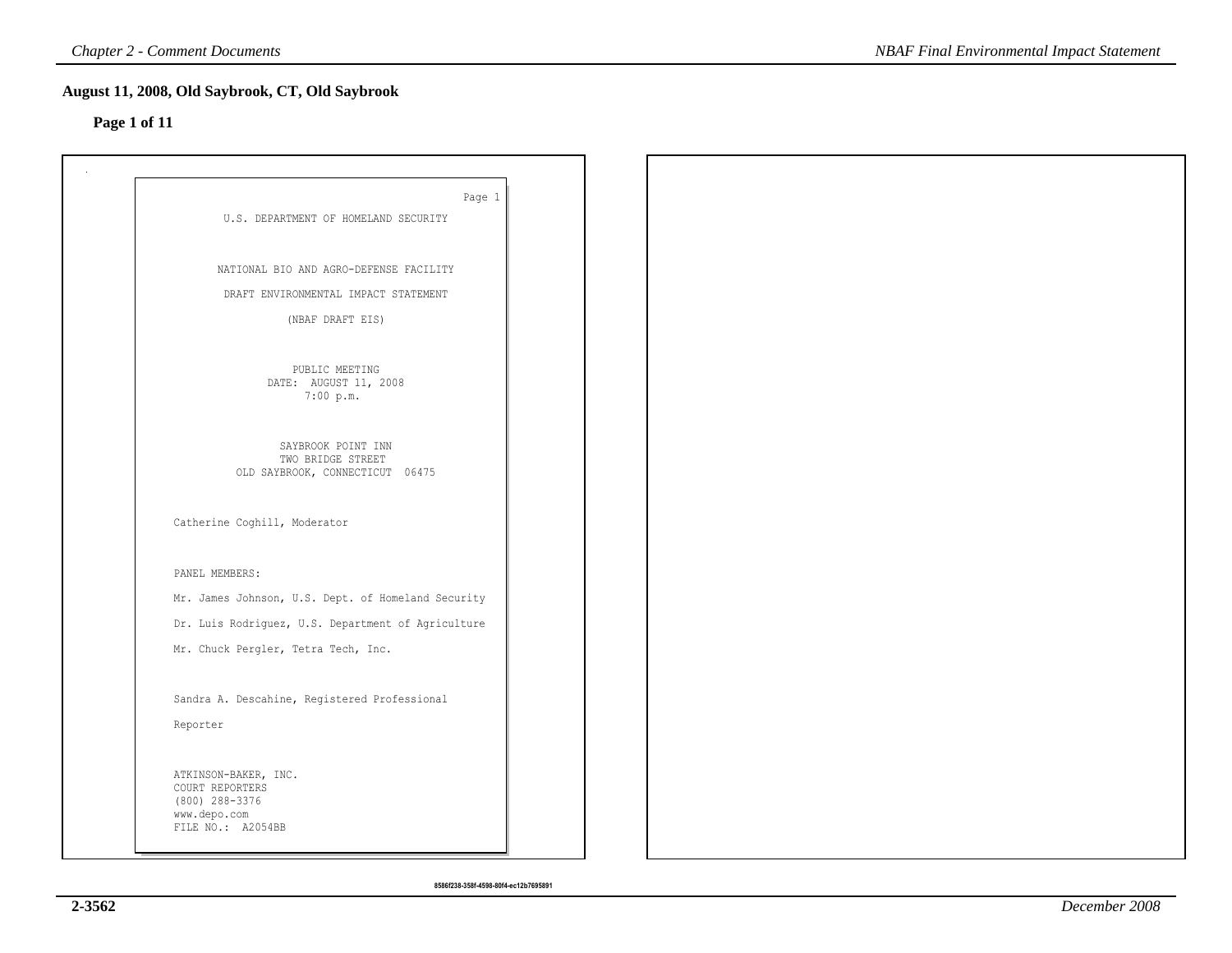# **Page 1 of 11**

| Page 1                                               |  |  |
|------------------------------------------------------|--|--|
| U.S. DEPARTMENT OF HOMELAND SECURITY                 |  |  |
|                                                      |  |  |
| NATIONAL BIO AND AGRO-DEFENSE FACILITY               |  |  |
|                                                      |  |  |
| DRAFT ENVIRONMENTAL IMPACT STATEMENT                 |  |  |
| (NBAF DRAFT EIS)                                     |  |  |
|                                                      |  |  |
| PUBLIC MEETING<br>DATE: AUGUST 11, 2008              |  |  |
| 7:00 p.m.                                            |  |  |
|                                                      |  |  |
| SAYBROOK POINT INN                                   |  |  |
| TWO BRIDGE STREET<br>OLD SAYBROOK, CONNECTICUT 06475 |  |  |
|                                                      |  |  |
| Catherine Coghill, Moderator                         |  |  |
|                                                      |  |  |
|                                                      |  |  |
| PANEL MEMBERS:                                       |  |  |
| Mr. James Johnson, U.S. Dept. of Homeland Security   |  |  |
| Dr. Luis Rodriguez, U.S. Department of Agriculture   |  |  |
| Mr. Chuck Pergler, Tetra Tech, Inc.                  |  |  |
|                                                      |  |  |
| Sandra A. Descahine, Registered Professional         |  |  |
| Reporter                                             |  |  |
|                                                      |  |  |
| ATKINSON-BAKER, INC.                                 |  |  |
| COURT REPORTERS<br>(800) 288-3376                    |  |  |
| www.depo.com                                         |  |  |
| FILE NO.: A2054BB                                    |  |  |
|                                                      |  |  |

**8586f238-358f-4598-80f4-ec12b7695891**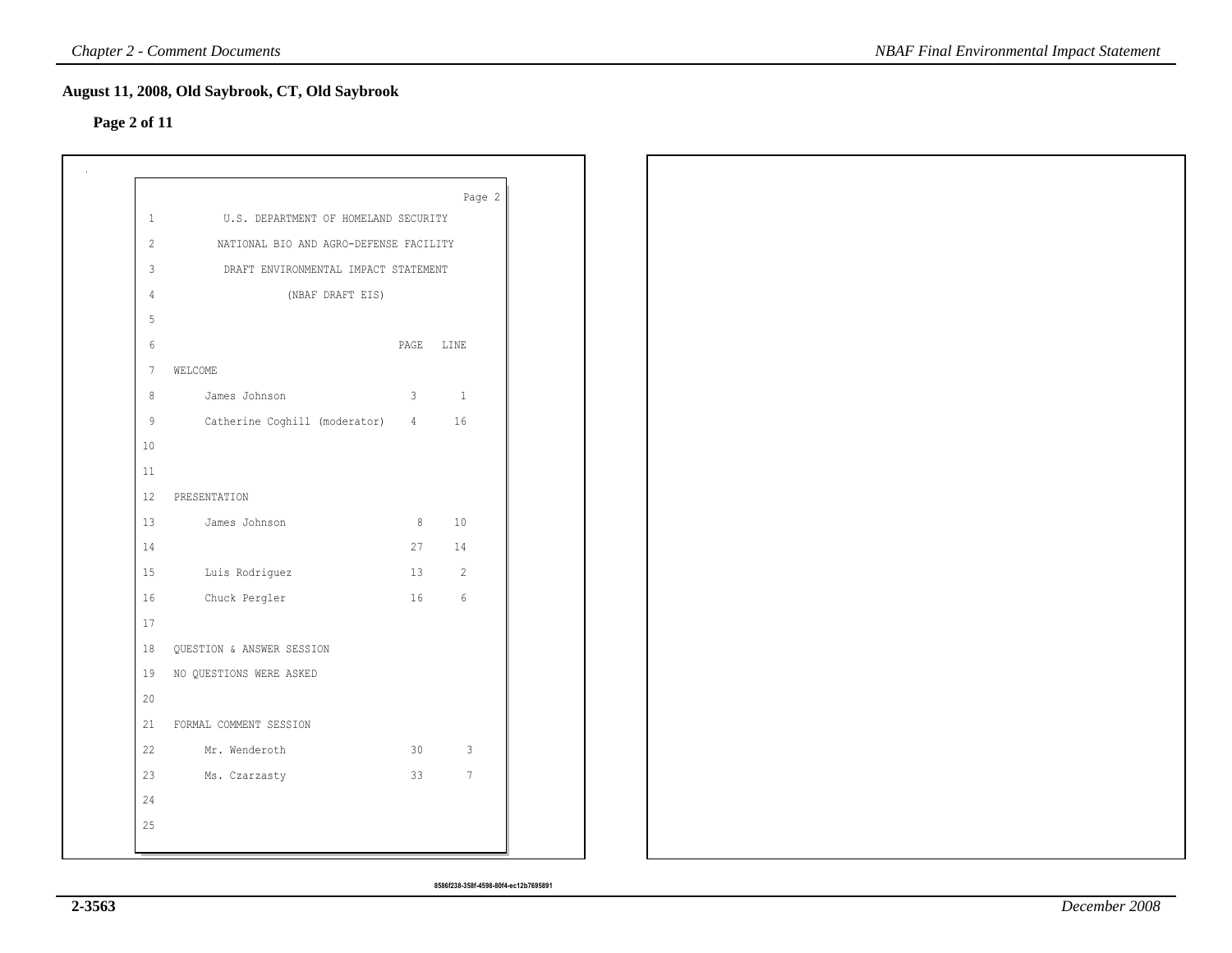# **Page 2 of 11**

|                 |                                        |    | Page 2                   |
|-----------------|----------------------------------------|----|--------------------------|
| $\mathbf{1}$    | U.S. DEPARTMENT OF HOMELAND SECURITY   |    |                          |
| $\overline{c}$  | NATIONAL BIO AND AGRO-DEFENSE FACILITY |    |                          |
| $\mathfrak{Z}$  | DRAFT ENVIRONMENTAL IMPACT STATEMENT   |    |                          |
| $\overline{4}$  | (NBAF DRAFT EIS)                       |    |                          |
| $5\phantom{.0}$ |                                        |    |                          |
| 6               |                                        |    | PAGE LINE                |
| $7\phantom{.0}$ | WELCOME                                |    |                          |
| 8               | James Johnson<br>$\sim$ 3              |    | $\mathbf{1}$             |
| 9               | Catherine Coghill (moderator) 4        |    | 16                       |
| $10$            |                                        |    |                          |
| $11\,$          |                                        |    |                          |
| 12              | PRESENTATION                           |    |                          |
| 13              | $\sim$ 8<br>James Johnson              |    | $10$                     |
| $1\,4$          |                                        | 27 | 14                       |
| $15\,$          | Luis Rodriguez<br>13                   |    | $\overline{\phantom{a}}$ |
| $1\,6$          | Chuck Pergler<br>16                    |    | $\sqrt{6}$               |
| 17              |                                        |    |                          |
| 18              | QUESTION & ANSWER SESSION              |    |                          |
| 19              | NO QUESTIONS WERE ASKED                |    |                          |
| 20              |                                        |    |                          |
| 21              | FORMAL COMMENT SESSION                 |    |                          |
| 22              | 30<br>Mr. Wenderoth                    |    | $\mathbf{3}$             |
| 23              | 33<br>Ms. Czarzasty                    |    | $7\phantom{.0}$          |
| 24              |                                        |    |                          |
| 25              |                                        |    |                          |
|                 |                                        |    |                          |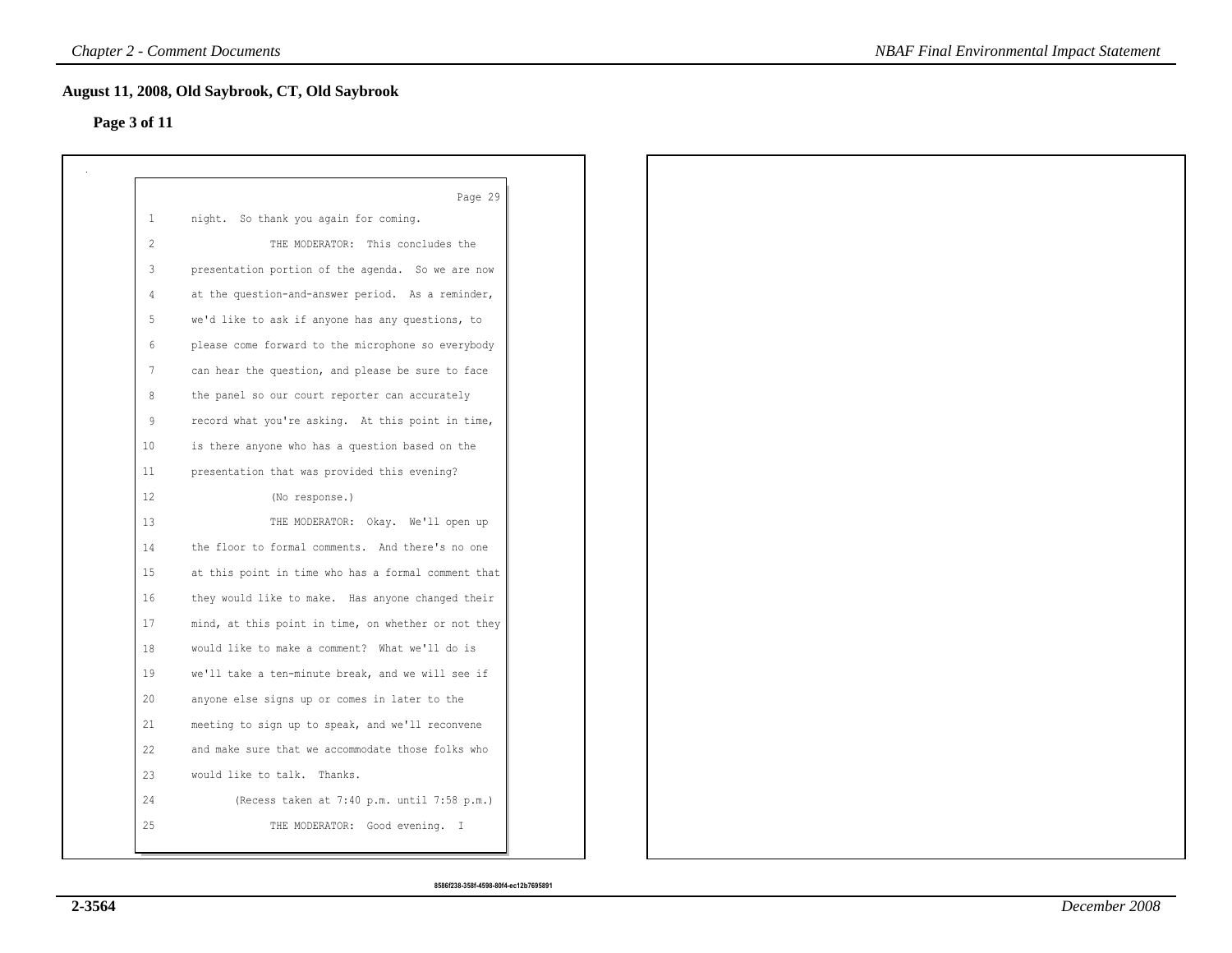# **Page 3 of 11**

|                 | Page 29                                             |
|-----------------|-----------------------------------------------------|
| $\mathbf{1}$    | night. So thank you again for coming.               |
| 2               | THE MODERATOR: This concludes the                   |
| $\mathcal{E}$   | presentation portion of the agenda. So we are now   |
| $\overline{4}$  | at the question-and-answer period. As a reminder,   |
| 5               | we'd like to ask if anyone has any questions, to    |
| 6               | please come forward to the microphone so everybody  |
| $7\phantom{.0}$ | can hear the question, and please be sure to face   |
| 8               | the panel so our court reporter can accurately      |
| 9               | record what you're asking. At this point in time,   |
| 10 <sup>°</sup> | is there anyone who has a question based on the     |
| 11              | presentation that was provided this evening?        |
| 12              | (No response.)                                      |
| 13              | THE MODERATOR: Okay. We'll open up                  |
| 14              | the floor to formal comments. And there's no one    |
| 15 <sub>1</sub> | at this point in time who has a formal comment that |
| 16              | they would like to make. Has anyone changed their   |
| 17              | mind, at this point in time, on whether or not they |
| 18              | would like to make a comment? What we'll do is      |
| 19              | we'll take a ten-minute break, and we will see if   |
| 20              | anyone else signs up or comes in later to the       |
| 21              | meeting to sign up to speak, and we'll reconvene    |
| 22              | and make sure that we accommodate those folks who   |
| 23              | would like to talk. Thanks.                         |
| 24              | (Recess taken at 7:40 p.m. until 7:58 p.m.)         |
| 25              | THE MODERATOR: Good evening. I                      |
|                 |                                                     |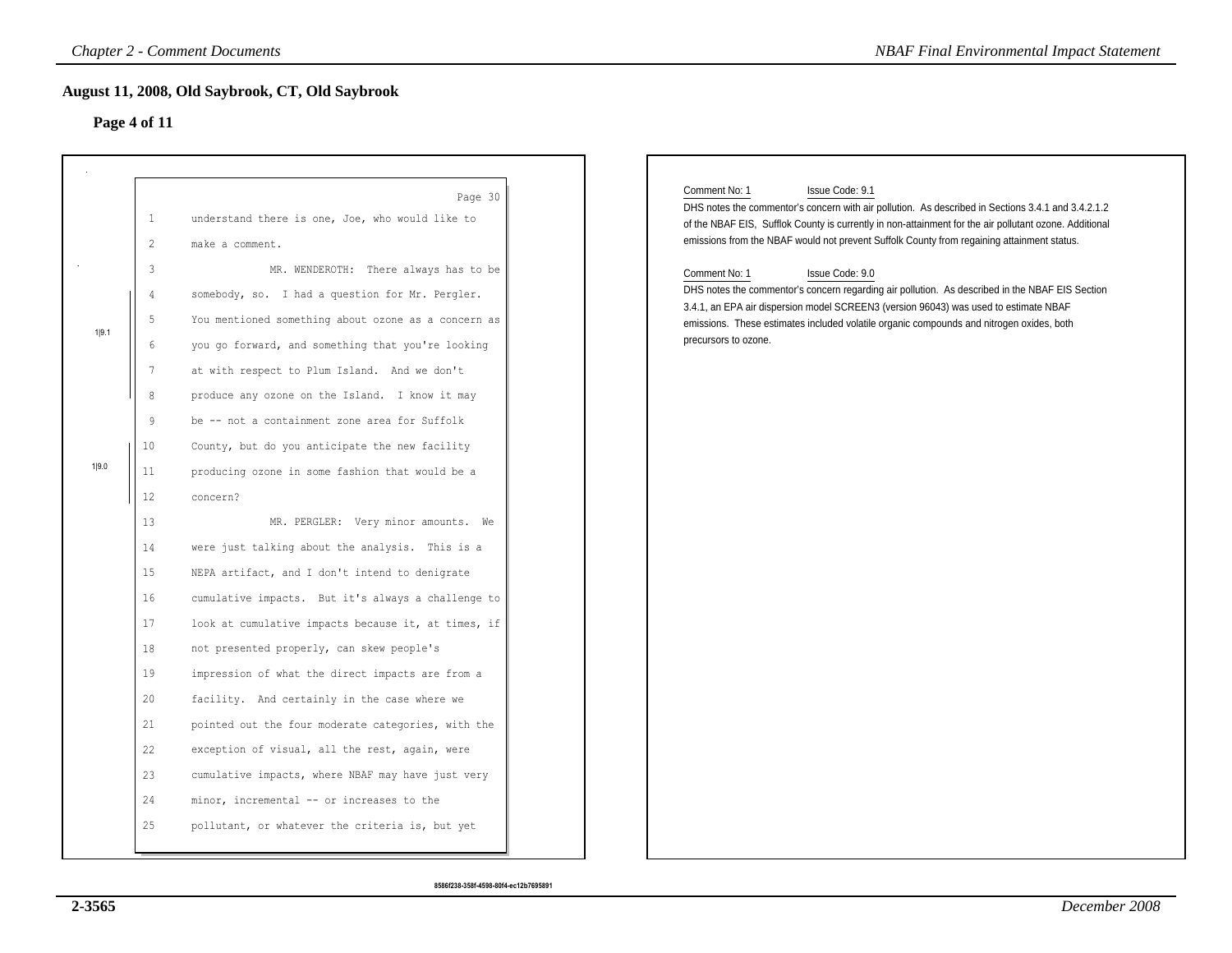# **Page 4 of 11**

|       |                                                                                                         | <b>Chapter 2 - Comment Documents</b>                                                                                                                                                                                                                                                                                                  | <b>NBAF Final Environmental Impact Statement</b>                                                                                                                                                                                                                                                                                                                                                                                                                                                                                                                                                                                                                                                  |
|-------|---------------------------------------------------------------------------------------------------------|---------------------------------------------------------------------------------------------------------------------------------------------------------------------------------------------------------------------------------------------------------------------------------------------------------------------------------------|---------------------------------------------------------------------------------------------------------------------------------------------------------------------------------------------------------------------------------------------------------------------------------------------------------------------------------------------------------------------------------------------------------------------------------------------------------------------------------------------------------------------------------------------------------------------------------------------------------------------------------------------------------------------------------------------------|
|       | Page 4 of 11                                                                                            | August 11, 2008, Old Saybrook, CT, Old Saybrook                                                                                                                                                                                                                                                                                       |                                                                                                                                                                                                                                                                                                                                                                                                                                                                                                                                                                                                                                                                                                   |
| 1 9.1 | $\mathbf{1}$<br>$\mathbf{2}$<br>$\mathfrak{Z}$<br>$\overline{4}$<br>5<br>$\sqrt{6}$<br>$\boldsymbol{7}$ | Page 30<br>understand there is one, Joe, who would like to<br>make a comment.<br>MR. WENDEROTH: There always has to be<br>somebody, so. I had a question for Mr. Pergler.<br>You mentioned something about ozone as a concern as<br>you go forward, and something that you're looking<br>at with respect to Plum Island. And we don't | Comment No: 1<br>Issue Code: 9.1<br>DHS notes the commentor's concern with air pollution. As described in Sections 3.4.1 and 3.4.2.1.2<br>of the NBAF EIS, Sufflok County is currently in non-attainment for the air pollutant ozone. Additional<br>emissions from the NBAF would not prevent Suffolk County from regaining attainment status.<br>Comment No: 1<br>Issue Code: 9.0<br>DHS notes the commentor's concern regarding air pollution. As described in the NBAF EIS Section<br>3.4.1, an EPA air dispersion model SCREEN3 (version 96043) was used to estimate NBAF<br>emissions. These estimates included volatile organic compounds and nitrogen oxides, both<br>precursors to ozone. |
| 1 9.0 | $\,8\,$<br>9<br>10                                                                                      | produce any ozone on the Island. I know it may<br>be -- not a containment zone area for Suffolk<br>County, but do you anticipate the new facility                                                                                                                                                                                     |                                                                                                                                                                                                                                                                                                                                                                                                                                                                                                                                                                                                                                                                                                   |
|       | 11<br>12<br>13<br>14                                                                                    | producing ozone in some fashion that would be a<br>concern?<br>MR. PERGLER: Very minor amounts. We<br>were just talking about the analysis. This is a                                                                                                                                                                                 |                                                                                                                                                                                                                                                                                                                                                                                                                                                                                                                                                                                                                                                                                                   |
|       | 15<br>16<br>17                                                                                          | NEPA artifact, and I don't intend to denigrate<br>cumulative impacts. But it's always a challenge to<br>look at cumulative impacts because it, at times, if                                                                                                                                                                           |                                                                                                                                                                                                                                                                                                                                                                                                                                                                                                                                                                                                                                                                                                   |
|       | 18<br>19<br>20<br>21                                                                                    | not presented properly, can skew people's<br>impression of what the direct impacts are from a<br>facility. And certainly in the case where we<br>pointed out the four moderate categories, with the                                                                                                                                   |                                                                                                                                                                                                                                                                                                                                                                                                                                                                                                                                                                                                                                                                                                   |
|       | 22<br>23<br>24                                                                                          | exception of visual, all the rest, again, were<br>cumulative impacts, where NBAF may have just very<br>minor, incremental -- or increases to the                                                                                                                                                                                      |                                                                                                                                                                                                                                                                                                                                                                                                                                                                                                                                                                                                                                                                                                   |
|       | 25                                                                                                      | pollutant, or whatever the criteria is, but yet                                                                                                                                                                                                                                                                                       |                                                                                                                                                                                                                                                                                                                                                                                                                                                                                                                                                                                                                                                                                                   |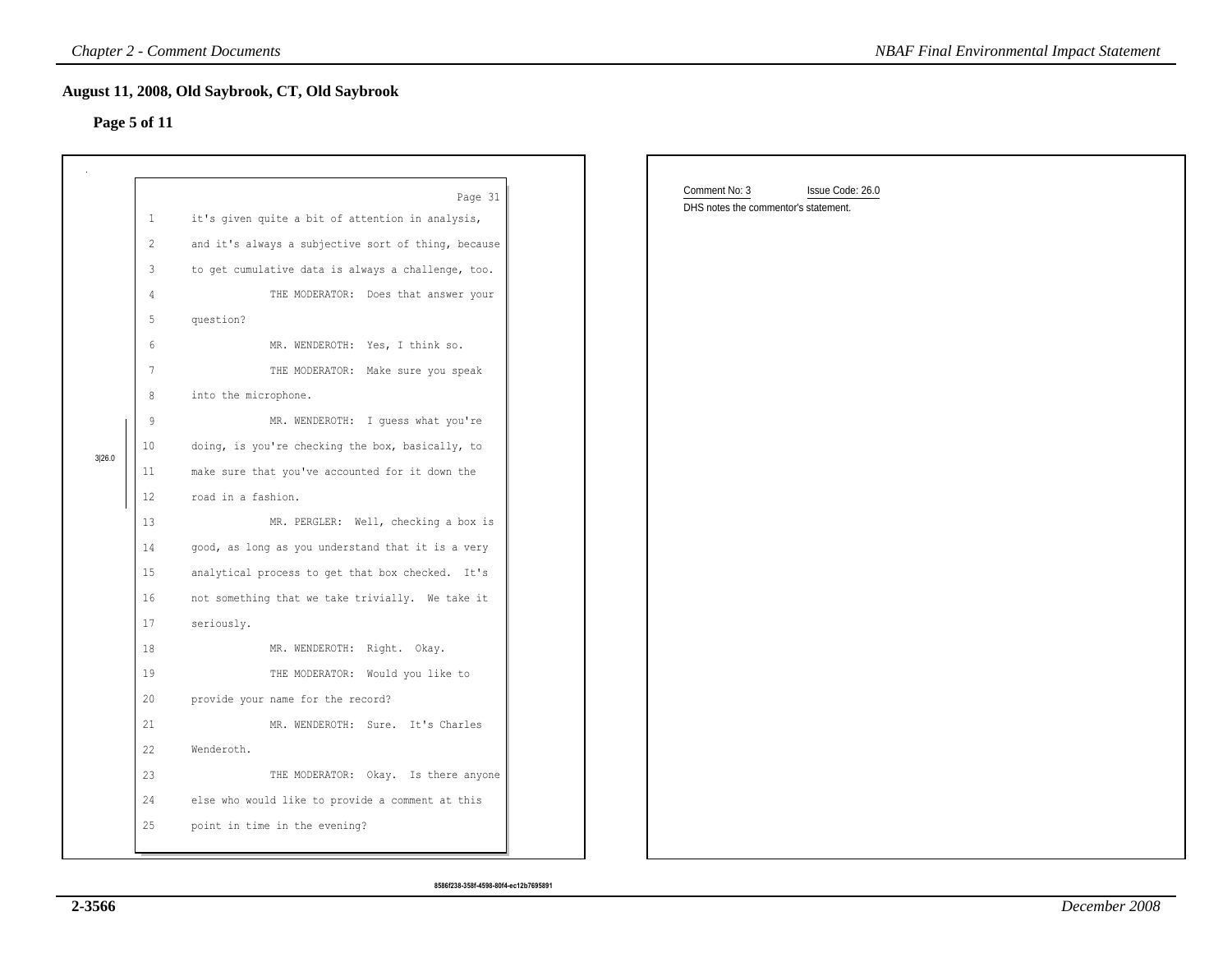# **Page 5 of 11**

|        |                                                                                                                                                                                                     | <b>Chapter 2 - Comment Documents</b>                                                                                                                                                                                                                                                                                                                                                                                                                                                                                                                                                                                                                                                                                                                                                                                                                                                                                                                                                                         | <b>NBAF Final Environmental Impact Statement</b>                          |
|--------|-----------------------------------------------------------------------------------------------------------------------------------------------------------------------------------------------------|--------------------------------------------------------------------------------------------------------------------------------------------------------------------------------------------------------------------------------------------------------------------------------------------------------------------------------------------------------------------------------------------------------------------------------------------------------------------------------------------------------------------------------------------------------------------------------------------------------------------------------------------------------------------------------------------------------------------------------------------------------------------------------------------------------------------------------------------------------------------------------------------------------------------------------------------------------------------------------------------------------------|---------------------------------------------------------------------------|
|        | Page 5 of 11                                                                                                                                                                                        | August 11, 2008, Old Saybrook, CT, Old Saybrook                                                                                                                                                                                                                                                                                                                                                                                                                                                                                                                                                                                                                                                                                                                                                                                                                                                                                                                                                              |                                                                           |
| 3 26.0 | $\mathbf{1}$<br>$\mathbf{2}$<br>3<br>$\overline{4}$<br>5<br>$\epsilon$<br>$7\phantom{.0}$<br>8<br>9<br>10<br>11<br>12<br>13<br>14<br>15<br>16<br>17<br>18<br>19<br>20<br>21<br>22<br>23<br>24<br>25 | Page 31<br>it's given quite a bit of attention in analysis,<br>and it's always a subjective sort of thing, because<br>to get cumulative data is always a challenge, too.<br>THE MODERATOR: Does that answer your<br>question?<br>MR. WENDEROTH: Yes, I think so.<br>THE MODERATOR: Make sure you speak<br>into the microphone.<br>MR. WENDEROTH: I quess what you're<br>doing, is you're checking the box, basically, to<br>make sure that you've accounted for it down the<br>road in a fashion.<br>MR. PERGLER: Well, checking a box is<br>good, as long as you understand that it is a very<br>analytical process to get that box checked. It's<br>not something that we take trivially. We take it<br>seriously.<br>MR. WENDEROTH: Right. Okay.<br>THE MODERATOR: Would you like to<br>provide your name for the record?<br>MR. WENDEROTH: Sure. It's Charles<br>Wenderoth.<br>THE MODERATOR: Okay. Is there anyone<br>else who would like to provide a comment at this<br>point in time in the evening? | Comment No: 3<br>Issue Code: 26.0<br>DHS notes the commentor's statement. |

**8586f238-358f-4598-80f4-ec12b7695891**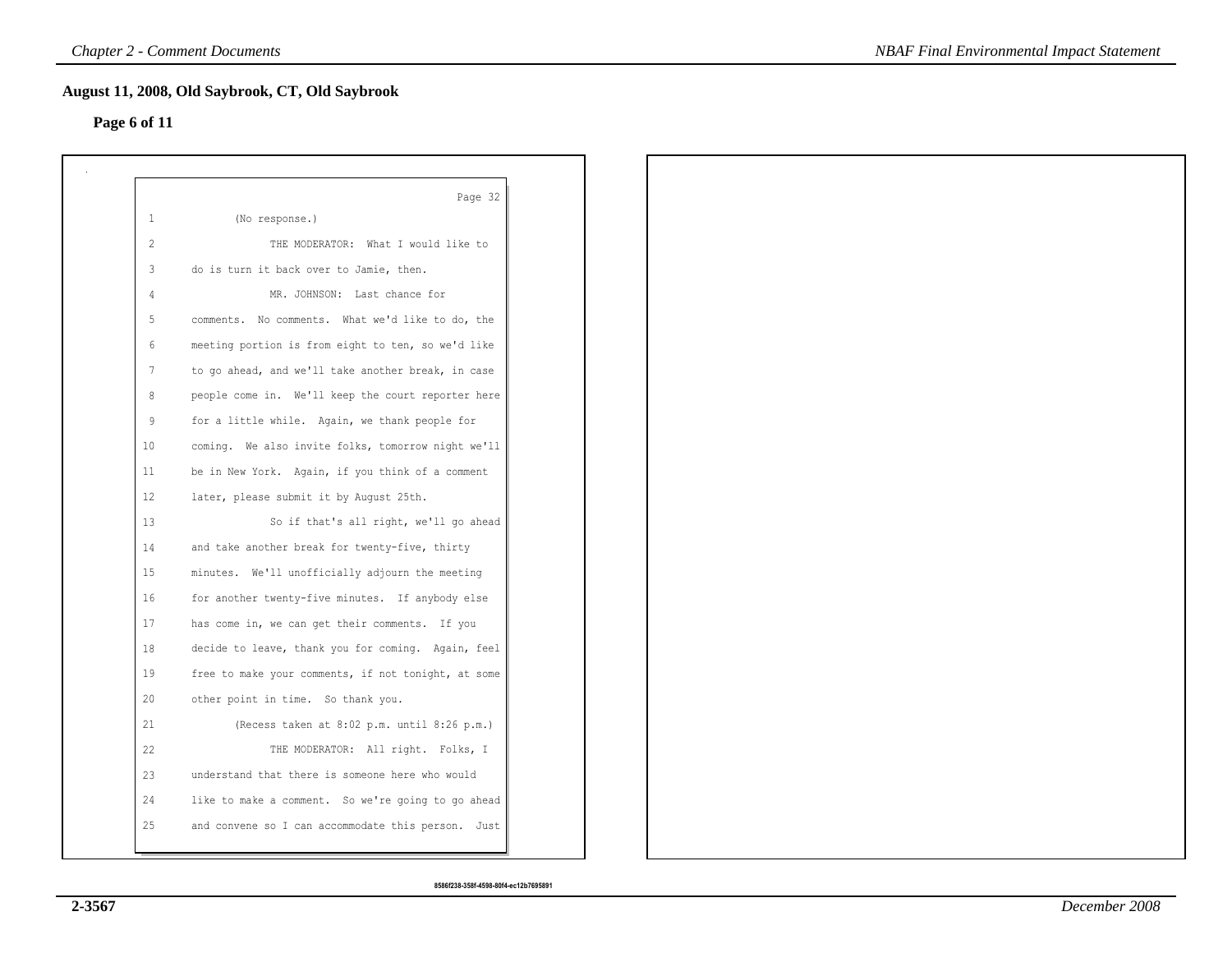# **Page 6 of 11**

|                 | Page 32                                             |
|-----------------|-----------------------------------------------------|
| 1               | (No response.)                                      |
| 2               | THE MODERATOR: What I would like to                 |
| $\mathbf{3}$    | do is turn it back over to Jamie, then.             |
| $\overline{4}$  | MR. JOHNSON: Last chance for                        |
| 5               | comments. No comments. What we'd like to do, the    |
| $6\overline{6}$ | meeting portion is from eight to ten, so we'd like  |
| $7\phantom{.0}$ | to go ahead, and we'll take another break, in case  |
| 8               | people come in. We'll keep the court reporter here  |
| 9               | for a little while. Again, we thank people for      |
| 10              | coming. We also invite folks, tomorrow night we'll  |
| 11              | be in New York. Again, if you think of a comment    |
| 12              | later, please submit it by August 25th.             |
| 13              | So if that's all right, we'll go ahead              |
| 14              | and take another break for twenty-five, thirty      |
| 15              | minutes. We'll unofficially adjourn the meeting     |
| 16              | for another twenty-five minutes. If anybody else    |
| 17              | has come in, we can get their comments. If you      |
| 18              | decide to leave, thank you for coming. Again, feel  |
| 19              | free to make your comments, if not tonight, at some |
| 20              | other point in time. So thank you.                  |
| 21              | (Recess taken at 8:02 p.m. until 8:26 p.m.)         |
| 22              | THE MODERATOR: All right. Folks, I                  |
| 23              | understand that there is someone here who would     |
| 24              | like to make a comment. So we're going to go ahead  |
| 25              | and convene so I can accommodate this person. Just  |
|                 |                                                     |

**8586f238-358f-4598-80f4-ec12b7695891**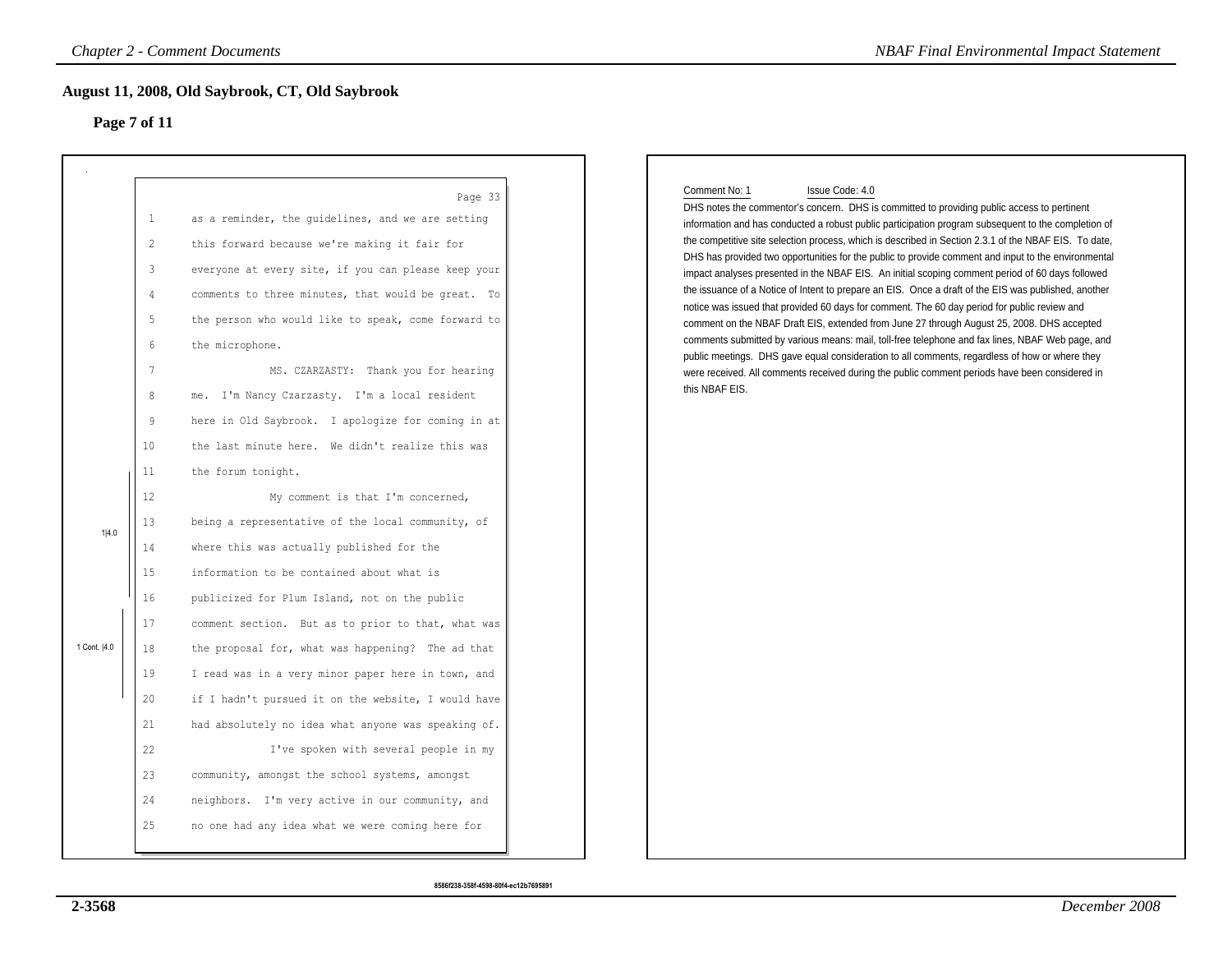## **Page 7 of 11**

|              | Page 7 of 11                                                                                               | August 11, 2008, Old Saybrook, CT, Old Saybrook                                                                                                                                                                                                                                                                                                                                                                                                                                                         |
|--------------|------------------------------------------------------------------------------------------------------------|---------------------------------------------------------------------------------------------------------------------------------------------------------------------------------------------------------------------------------------------------------------------------------------------------------------------------------------------------------------------------------------------------------------------------------------------------------------------------------------------------------|
|              | $\mathbf{1}$<br>$\mathbf{2}$<br>3<br>$\overline{4}$<br>5<br>$6\,$<br>$7\phantom{.0}$<br>$\,8\,$<br>9<br>10 | Page 33<br>as a reminder, the quidelines, and we are setting<br>this forward because we're making it fair for<br>everyone at every site, if you can please keep your<br>comments to three minutes, that would be great. To<br>the person who would like to speak, come forward to<br>the microphone.<br>MS. CZARZASTY: Thank you for hearing<br>me. I'm Nancy Czarzasty. I'm a local resident<br>here in Old Saybrook. I apologize for coming in at<br>the last minute here. We didn't realize this was |
| 1 4.0        | 11<br>12<br>13                                                                                             | the forum tonight.<br>My comment is that I'm concerned,<br>being a representative of the local community, of                                                                                                                                                                                                                                                                                                                                                                                            |
|              | 14<br>15<br>16<br>17                                                                                       | where this was actually published for the<br>information to be contained about what is<br>publicized for Plum Island, not on the public<br>comment section. But as to prior to that, what was                                                                                                                                                                                                                                                                                                           |
| 1 Cont.  4.0 | 18<br>19<br>20                                                                                             | the proposal for, what was happening? The ad that<br>I read was in a very minor paper here in town, and<br>if I hadn't pursued it on the website, I would have                                                                                                                                                                                                                                                                                                                                          |
|              | 21<br>22<br>23<br>24                                                                                       | had absolutely no idea what anyone was speaking of.<br>I've spoken with several people in my<br>community, amongst the school systems, amongst<br>neighbors. I'm very active in our community, and                                                                                                                                                                                                                                                                                                      |
|              | 25                                                                                                         | no one had any idea what we were coming here for                                                                                                                                                                                                                                                                                                                                                                                                                                                        |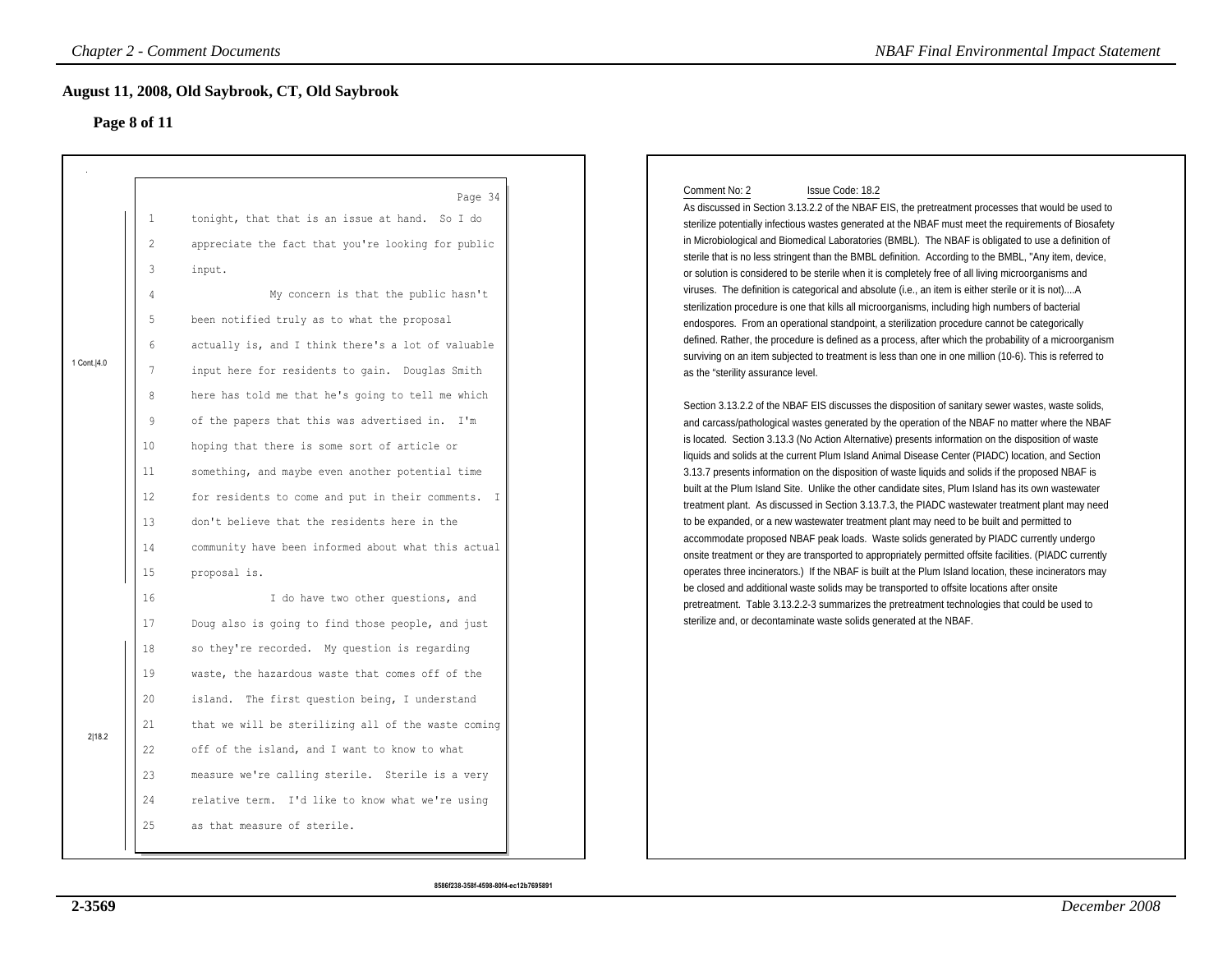### **Page 8 of 11**

|               |                                                                                                                                                        | <b>Chapter 2 - Comment Documents</b>                                                                                                                                                                                                                                                                                                                                                                                                                                                                                                                                                                                                                                                                                                                                                                          | <b>NBAF Final Environmental Impact Statement</b>                                                                                                                                                                                                                                                                                                                                                                                                                                                                                                                                                                                                                                                                                                                                                                                                                                                                                                                                                                                                                                                                                                                                                                                                                                                                                                                                                                                                                                                                                                                                                                                                                                                                                                                                                                                                                                                                                                                                                                                                                                                                                                                                                                                                                                                                                                                                                                                                                                                                                                                          |
|---------------|--------------------------------------------------------------------------------------------------------------------------------------------------------|---------------------------------------------------------------------------------------------------------------------------------------------------------------------------------------------------------------------------------------------------------------------------------------------------------------------------------------------------------------------------------------------------------------------------------------------------------------------------------------------------------------------------------------------------------------------------------------------------------------------------------------------------------------------------------------------------------------------------------------------------------------------------------------------------------------|---------------------------------------------------------------------------------------------------------------------------------------------------------------------------------------------------------------------------------------------------------------------------------------------------------------------------------------------------------------------------------------------------------------------------------------------------------------------------------------------------------------------------------------------------------------------------------------------------------------------------------------------------------------------------------------------------------------------------------------------------------------------------------------------------------------------------------------------------------------------------------------------------------------------------------------------------------------------------------------------------------------------------------------------------------------------------------------------------------------------------------------------------------------------------------------------------------------------------------------------------------------------------------------------------------------------------------------------------------------------------------------------------------------------------------------------------------------------------------------------------------------------------------------------------------------------------------------------------------------------------------------------------------------------------------------------------------------------------------------------------------------------------------------------------------------------------------------------------------------------------------------------------------------------------------------------------------------------------------------------------------------------------------------------------------------------------------------------------------------------------------------------------------------------------------------------------------------------------------------------------------------------------------------------------------------------------------------------------------------------------------------------------------------------------------------------------------------------------------------------------------------------------------------------------------------------------|
|               | Page 8 of 11                                                                                                                                           | August 11, 2008, Old Saybrook, CT, Old Saybrook                                                                                                                                                                                                                                                                                                                                                                                                                                                                                                                                                                                                                                                                                                                                                               |                                                                                                                                                                                                                                                                                                                                                                                                                                                                                                                                                                                                                                                                                                                                                                                                                                                                                                                                                                                                                                                                                                                                                                                                                                                                                                                                                                                                                                                                                                                                                                                                                                                                                                                                                                                                                                                                                                                                                                                                                                                                                                                                                                                                                                                                                                                                                                                                                                                                                                                                                                           |
| 1 Cont.   4.0 | $\mathbf{1}$<br>$\overline{2}$<br>3<br>$\overline{4}$<br>5<br>$\,$ 6 $\,$<br>$7\phantom{.0}$<br>8<br>9<br>10<br>11<br>12<br>13<br>14<br>15<br>16<br>17 | Page 34<br>tonight, that that is an issue at hand. So I do<br>appreciate the fact that you're looking for public<br>input.<br>My concern is that the public hasn't<br>been notified truly as to what the proposal<br>actually is, and I think there's a lot of valuable<br>input here for residents to gain. Douglas Smith<br>here has told me that he's going to tell me which<br>of the papers that this was advertised in. I'm<br>hoping that there is some sort of article or<br>something, and maybe even another potential time<br>for residents to come and put in their comments. I<br>don't believe that the residents here in the<br>community have been informed about what this actual<br>proposal is.<br>I do have two other questions, and<br>Doug also is going to find those people, and just | Comment No: 2<br>Issue Code: 18.2<br>As discussed in Section 3.13.2.2 of the NBAF EIS, the pretreatment processes that would be used to<br>sterilize potentially infectious wastes generated at the NBAF must meet the requirements of Biosafety<br>in Microbiological and Biomedical Laboratories (BMBL). The NBAF is obligated to use a definition of<br>sterile that is no less stringent than the BMBL definition. According to the BMBL, "Any item, device,<br>or solution is considered to be sterile when it is completely free of all living microorganisms and<br>viruses. The definition is categorical and absolute (i.e., an item is either sterile or it is not)A<br>sterilization procedure is one that kills all microorganisms, including high numbers of bacterial<br>endospores. From an operational standpoint, a sterilization procedure cannot be categorically<br>defined. Rather, the procedure is defined as a process, after which the probability of a microorganism<br>surviving on an item subjected to treatment is less than one in one million (10-6). This is referred to<br>as the "sterility assurance level.<br>Section 3.13.2.2 of the NBAF EIS discusses the disposition of sanitary sewer wastes, waste solids,<br>and carcass/pathological wastes generated by the operation of the NBAF no matter where the NBAF<br>is located. Section 3.13.3 (No Action Alternative) presents information on the disposition of waste<br>liquids and solids at the current Plum Island Animal Disease Center (PIADC) location, and Section<br>3.13.7 presents information on the disposition of waste liquids and solids if the proposed NBAF is<br>built at the Plum Island Site. Unlike the other candidate sites, Plum Island has its own wastewater<br>treatment plant. As discussed in Section 3.13.7.3, the PIADC wastewater treatment plant may need<br>to be expanded, or a new wastewater treatment plant may need to be built and permitted to<br>accommodate proposed NBAF peak loads. Waste solids generated by PIADC currently undergo<br>onsite treatment or they are transported to appropriately permitted offsite facilities. (PIADC currently<br>operates three incinerators.) If the NBAF is built at the Plum Island location, these incinerators may<br>be closed and additional waste solids may be transported to offsite locations after onsite<br>pretreatment. Table 3.13.2.2-3 summarizes the pretreatment technologies that could be used to<br>sterilize and, or decontaminate waste solids generated at the NBAF. |
| 2 18.2        | 18<br>19<br>20<br>21<br>22<br>23<br>24<br>25                                                                                                           | so they're recorded. My question is regarding<br>waste, the hazardous waste that comes off of the<br>island. The first question being, I understand<br>that we will be sterilizing all of the waste coming<br>off of the island, and I want to know to what<br>measure we're calling sterile. Sterile is a very<br>relative term. I'd like to know what we're using<br>as that measure of sterile.                                                                                                                                                                                                                                                                                                                                                                                                            |                                                                                                                                                                                                                                                                                                                                                                                                                                                                                                                                                                                                                                                                                                                                                                                                                                                                                                                                                                                                                                                                                                                                                                                                                                                                                                                                                                                                                                                                                                                                                                                                                                                                                                                                                                                                                                                                                                                                                                                                                                                                                                                                                                                                                                                                                                                                                                                                                                                                                                                                                                           |

## Comment No: 2 Issue Code: 18.2

**8586f238-358f-4598-80f4-ec12b7695891**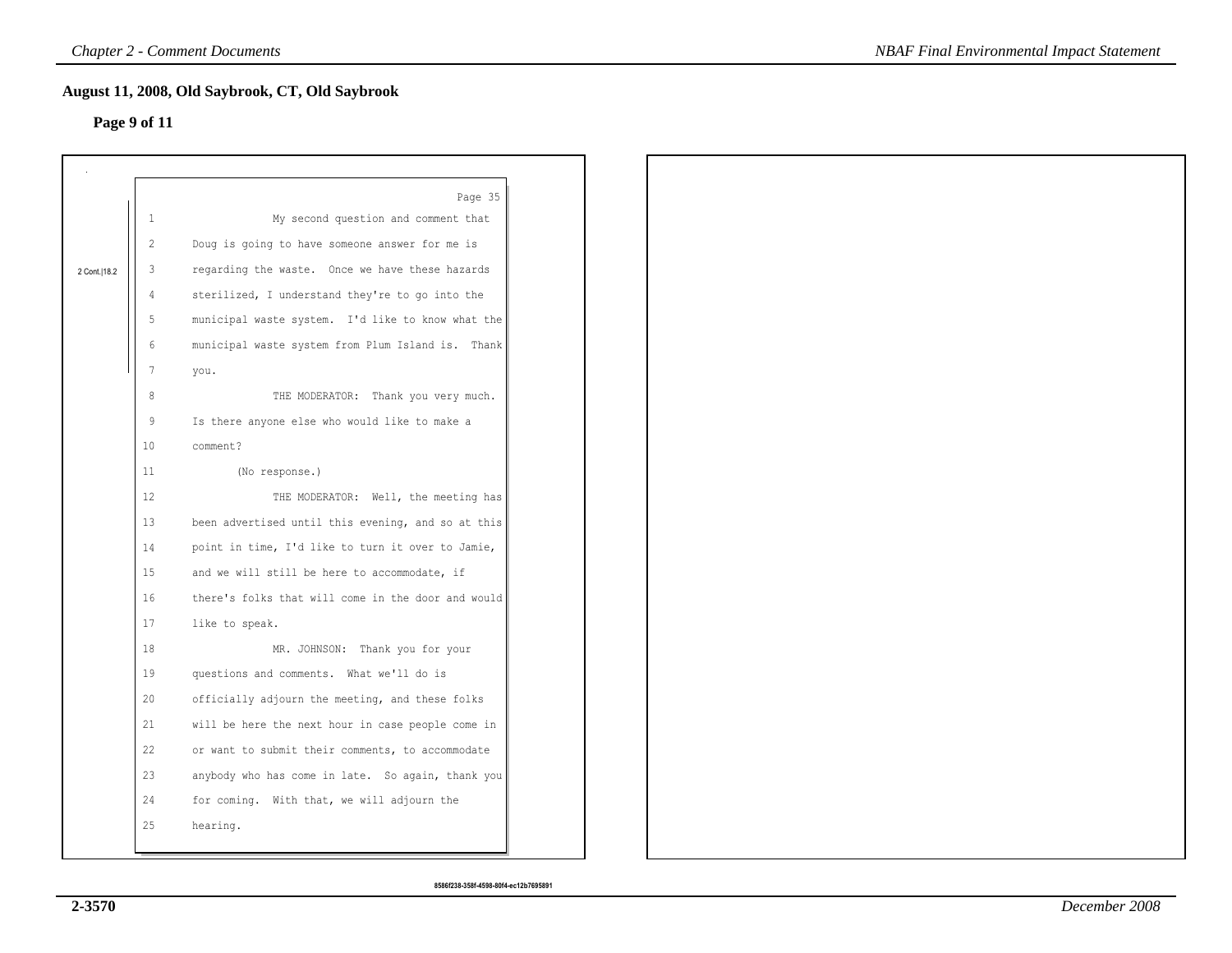# **Page 9 of 11**

|                |                 | August 11, 2008, Old Saybrook, CT, Old Saybrook    |
|----------------|-----------------|----------------------------------------------------|
|                | Page 9 of 11    |                                                    |
|                |                 |                                                    |
|                |                 | Page 35                                            |
|                | $\mathbf{1}$    | My second question and comment that                |
|                | $\overline{2}$  | Doug is going to have someone answer for me is     |
| 2 Cont.   18.2 | $\mathbf{3}$    | regarding the waste. Once we have these hazards    |
|                | $\overline{4}$  | sterilized, I understand they're to go into the    |
|                | 5               | municipal waste system. I'd like to know what the  |
|                | $6\,$           | municipal waste system from Plum Island is. Thank  |
|                | $7\phantom{.0}$ | you.                                               |
|                | $\,8\,$         | THE MODERATOR: Thank you very much.                |
|                | 9               | Is there anyone else who would like to make a      |
|                | 10 <sub>1</sub> | comment?                                           |
|                | 11              | (No response.)                                     |
|                | $12 \,$         | THE MODERATOR: Well, the meeting has               |
|                | 13 <sup>°</sup> | been advertised until this evening, and so at this |
|                | 14              | point in time, I'd like to turn it over to Jamie,  |
|                | 15              | and we will still be here to accommodate, if       |
|                | 16              | there's folks that will come in the door and would |
|                | 17              | like to speak.                                     |
|                | 18              | MR. JOHNSON: Thank you for your                    |
|                | 19              | questions and comments. What we'll do is           |
|                | 20              | officially adjourn the meeting, and these folks    |
|                | 21              | will be here the next hour in case people come in  |
|                | 22              | or want to submit their comments, to accommodate   |
|                | 23              | anybody who has come in late. So again, thank you  |
|                | 24              | for coming. With that, we will adjourn the         |
|                | 25              | hearing.                                           |
|                |                 |                                                    |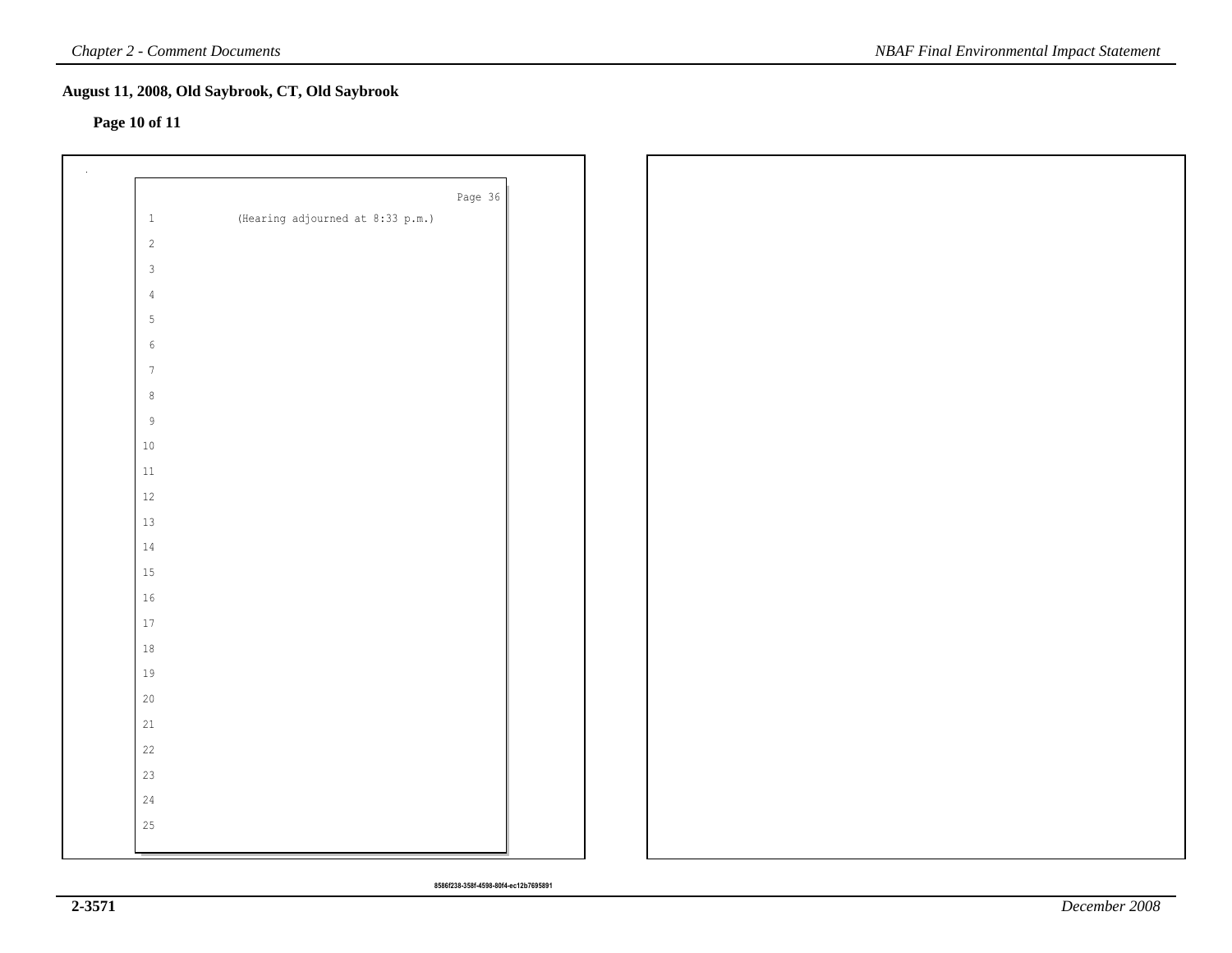# **Page 10 of 11**

|                 |                                  | Page 36 |
|-----------------|----------------------------------|---------|
| $\,$ $\,$ $\,$  | (Hearing adjourned at 8:33 p.m.) |         |
| $\sqrt{2}$      |                                  |         |
| $\mathbf{3}$    |                                  |         |
| $\sqrt{4}$      |                                  |         |
| $5\phantom{.0}$ |                                  |         |
| $\sqrt{6}$      |                                  |         |
| $7\phantom{.0}$ |                                  |         |
| $\,$ 8 $\,$     |                                  |         |
| $\,9$           |                                  |         |
| $10$            |                                  |         |
| $11\,$          |                                  |         |
| $12\,$          |                                  |         |
| 13              |                                  |         |
| $14\,$          |                                  |         |
| 15              |                                  |         |
| 16              |                                  |         |
| $17\,$          |                                  |         |
| $18\,$          |                                  |         |
| 19              |                                  |         |
| $20$            |                                  |         |
| $21\,$          |                                  |         |
| 22              |                                  |         |
| 23              |                                  |         |
| $24\,$          |                                  |         |
| 25              |                                  |         |
|                 |                                  |         |

**8586f238-358f-4598-80f4-ec12b7695891**